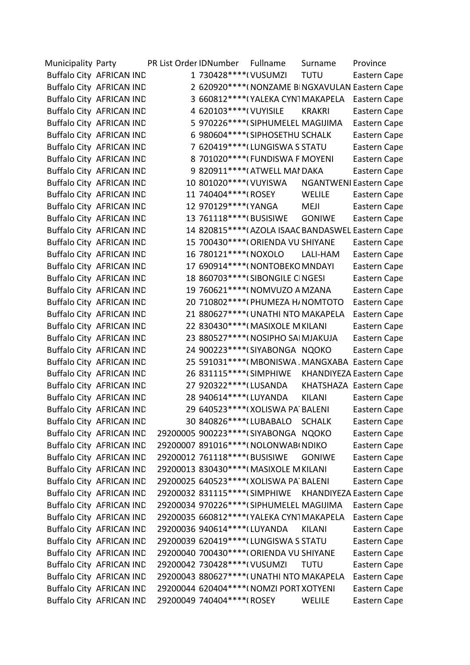| Municipality Party |                                 | PR List Order IDNumber |                                | Fullname                                 | Surname       | Province                                           |
|--------------------|---------------------------------|------------------------|--------------------------------|------------------------------------------|---------------|----------------------------------------------------|
|                    | <b>Buffalo City AFRICAN IND</b> |                        | 1 730428 **** ( VUSUMZI        |                                          | <b>TUTU</b>   | Eastern Cape                                       |
|                    | <b>Buffalo City AFRICAN IND</b> |                        |                                |                                          |               | 2 620920**** (NONZAME BINGXAVULAN Eastern Cape     |
|                    | <b>Buffalo City AFRICAN IND</b> |                        |                                | 3 660812 **** (YALEKA CYN1 MAKAPELA      |               | Eastern Cape                                       |
|                    | <b>Buffalo City AFRICAN IND</b> |                        | 4 620103 ***** ( VUYISILE      |                                          | <b>KRAKRI</b> | Eastern Cape                                       |
|                    | <b>Buffalo City AFRICAN IND</b> |                        |                                | 5 970226****(SIPHUMELEL MAGIJIMA         |               | Eastern Cape                                       |
|                    | <b>Buffalo City AFRICAN IND</b> |                        |                                | 6 980604 **** (SIPHOSETHU SCHALK         |               | Eastern Cape                                       |
|                    | <b>Buffalo City AFRICAN IND</b> |                        |                                | 7 620419****(LUNGISWA S STATU            |               | Eastern Cape                                       |
|                    | <b>Buffalo City AFRICAN IND</b> |                        |                                | 8 701020 **** (FUNDISWA F MOYENI         |               | Eastern Cape                                       |
|                    | <b>Buffalo City AFRICAN IND</b> |                        |                                | 9 820911 **** (ATWELL MAI DAKA           |               | Eastern Cape                                       |
|                    | <b>Buffalo City AFRICAN IND</b> |                        | 10 801020 **** ( VUYISWA       |                                          |               | <b>NGANTWENI Eastern Cape</b>                      |
|                    | <b>Buffalo City AFRICAN IND</b> |                        | 11 740404 **** (ROSEY          |                                          | WELILE        | Eastern Cape                                       |
|                    | <b>Buffalo City AFRICAN IND</b> |                        | 12 970129 **** (YANGA          |                                          | MEJI          | Eastern Cape                                       |
|                    | <b>Buffalo City AFRICAN IND</b> |                        |                                |                                          | <b>GONIWE</b> | Eastern Cape                                       |
|                    | <b>Buffalo City AFRICAN IND</b> |                        |                                |                                          |               | 14 820815 **** (AZOLA ISAAC BANDASWEL Eastern Cape |
|                    | <b>Buffalo City AFRICAN IND</b> |                        |                                | 15 700430 **** (ORIENDA VU SHIYANE       |               | Eastern Cape                                       |
|                    | <b>Buffalo City AFRICAN IND</b> |                        | 16 780121****(NOXOLO           |                                          | LALI-HAM      | Eastern Cape                                       |
|                    | <b>Buffalo City AFRICAN IND</b> |                        |                                | 17 690914****(NONTOBEKO MNDAYI           |               | Eastern Cape                                       |
|                    | <b>Buffalo City AFRICAN IND</b> |                        |                                | 18 860703****(SIBONGILE CINGESI          |               | Eastern Cape                                       |
|                    | <b>Buffalo City AFRICAN IND</b> |                        |                                | 19 760621****( NOMVUZO A MZANA           |               | Eastern Cape                                       |
|                    | <b>Buffalo City AFRICAN IND</b> |                        |                                | 20 710802 **** (PHUMEZA H/ NOMTOTO       |               | Eastern Cape                                       |
|                    | <b>Buffalo City AFRICAN IND</b> |                        |                                | 21 880627 **** (UNATHI NTO MAKAPELA      |               | Eastern Cape                                       |
|                    | <b>Buffalo City AFRICAN IND</b> |                        |                                | 22 830430**** (MASIXOLE M KILANI         |               | Eastern Cape                                       |
|                    | <b>Buffalo City AFRICAN IND</b> |                        |                                | 23 880527 **** (NOSIPHO SAI MJAKUJA      |               | Eastern Cape                                       |
|                    | <b>Buffalo City AFRICAN IND</b> |                        |                                | 24 900223 **** (SIYABONGA NQOKO          |               | Eastern Cape                                       |
|                    | <b>Buffalo City AFRICAN IND</b> |                        |                                |                                          |               | 25 591031**** (MBONISWA, MANGXABA Eastern Cape     |
|                    | <b>Buffalo City AFRICAN IND</b> |                        | 26 831115 **** (SIMPHIWE       |                                          |               | <b>KHANDIYEZA Eastern Cape</b>                     |
|                    | <b>Buffalo City AFRICAN IND</b> |                        | 27 920322 **** (LUSANDA        |                                          |               | KHATSHAZA Eastern Cape                             |
|                    | <b>Buffalo City AFRICAN IND</b> |                        | 28 940614 **** (LUYANDA        |                                          | <b>KILANI</b> | Eastern Cape                                       |
|                    | <b>Buffalo City AFRICAN IND</b> |                        |                                | 29 640523****(XOLISWA PA BALENI          |               | Eastern Cape                                       |
|                    | <b>Buffalo City AFRICAN IND</b> |                        |                                | 30 840826 **** (LUBABALO SCHALK          |               | Eastern Cape                                       |
|                    | <b>Buffalo City AFRICAN IND</b> |                        |                                | 29200005 900223 **** (SIYABONGA NQOKO    |               | Eastern Cape                                       |
|                    | <b>Buffalo City AFRICAN IND</b> |                        |                                | 29200007 891016 **** ( NOLONWAB ( NDIKO  |               | Eastern Cape                                       |
|                    | <b>Buffalo City AFRICAN IND</b> |                        | 29200012 761118 **** (BUSISIWE |                                          | <b>GONIWE</b> | Eastern Cape                                       |
|                    | Buffalo City AFRICAN IND        |                        |                                | 29200013 830430**** (MASIXOLE MKILANI    |               | Eastern Cape                                       |
|                    | <b>Buffalo City AFRICAN IND</b> |                        |                                | 29200025 640523 **** (XOLISWA PA BALENI  |               | Eastern Cape                                       |
|                    | <b>Buffalo City AFRICAN IND</b> |                        | 29200032 831115****(SIMPHIWE   |                                          |               | <b>KHANDIYEZA Eastern Cape</b>                     |
|                    | <b>Buffalo City AFRICAN IND</b> |                        |                                | 29200034 970226****(SIPHUMELEL MAGIJIMA  |               | Eastern Cape                                       |
|                    | <b>Buffalo City AFRICAN IND</b> |                        |                                | 29200035 660812****(YALEKA CYN1MAKAPELA  |               | Eastern Cape                                       |
|                    | Buffalo City AFRICAN IND        |                        | 29200036 940614 **** (LUYANDA  |                                          | KILANI        | Eastern Cape                                       |
|                    | <b>Buffalo City AFRICAN IND</b> |                        |                                | 29200039 620419 **** (LUNGISWA S STATU   |               | Eastern Cape                                       |
|                    | <b>Buffalo City AFRICAN IND</b> |                        |                                | 29200040 700430 **** (ORIENDA VU SHIYANE |               | Eastern Cape                                       |
|                    | <b>Buffalo City AFRICAN IND</b> |                        | 29200042 730428****(VUSUMZI    |                                          | <b>TUTU</b>   | Eastern Cape                                       |
|                    | <b>Buffalo City AFRICAN IND</b> |                        |                                | 29200043 880627****(UNATHI NTO MAKAPELA  |               | Eastern Cape                                       |
|                    | <b>Buffalo City AFRICAN IND</b> |                        |                                | 29200044 620404****(NOMZI PORT XOTYENI   |               | Eastern Cape                                       |
|                    | <b>Buffalo City AFRICAN IND</b> |                        | 29200049 740404 **** (ROSEY    |                                          | WELILE        | Eastern Cape                                       |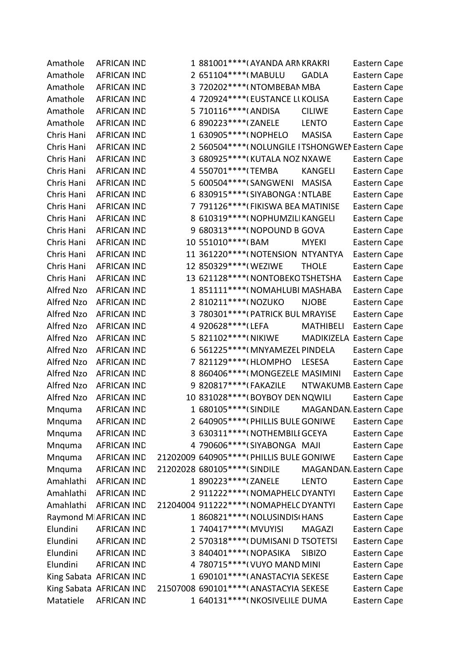| Amathole   | <b>AFRICAN IND</b>      | 1 881001 **** (AYANDA ARN KRAKRI                  |                | Eastern Cape                 |
|------------|-------------------------|---------------------------------------------------|----------------|------------------------------|
| Amathole   | <b>AFRICAN IND</b>      | 2 651104 **** (MABULU                             | <b>GADLA</b>   | Eastern Cape                 |
| Amathole   | <b>AFRICAN IND</b>      | 3 720202 **** (NTOMBEBAN MBA                      |                | Eastern Cape                 |
| Amathole   | <b>AFRICAN IND</b>      | 4 720924 **** (EUSTANCE LI KOLISA                 |                | Eastern Cape                 |
| Amathole   | <b>AFRICAN IND</b>      | 5 710116****(ANDISA                               | <b>CILIWE</b>  | Eastern Cape                 |
| Amathole   | <b>AFRICAN IND</b>      | 6 890223 **** (ZANELE                             | <b>LENTO</b>   | Eastern Cape                 |
| Chris Hani | <b>AFRICAN IND</b>      | 1 630905 **** ( NOPHELO                           | <b>MASISA</b>  | Eastern Cape                 |
| Chris Hani | <b>AFRICAN IND</b>      | 2 560504 **** ( NOLUNGILE ITSHONGWEI Eastern Cape |                |                              |
| Chris Hani | <b>AFRICAN IND</b>      | 3 680925 **** (KUTALA NOZ NXAWE                   |                | Eastern Cape                 |
| Chris Hani | <b>AFRICAN IND</b>      | 4 550701 **** (TEMBA                              | <b>KANGELI</b> | Eastern Cape                 |
| Chris Hani | <b>AFRICAN IND</b>      | 5 600504 **** (SANGWENI                           | <b>MASISA</b>  | Eastern Cape                 |
| Chris Hani | <b>AFRICAN IND</b>      | 6 830915 **** (SIYABONGA : NTLABE                 |                | Eastern Cape                 |
| Chris Hani | <b>AFRICAN IND</b>      | 7 791126**** (FIKISWA BEA MATINISE                |                | Eastern Cape                 |
| Chris Hani | <b>AFRICAN IND</b>      | 8 610319 **** (NOPHUMZILI KANGELI                 |                | Eastern Cape                 |
| Chris Hani | <b>AFRICAN IND</b>      | 9 680313 **** (NOPOUND B GOVA                     |                | Eastern Cape                 |
| Chris Hani | <b>AFRICAN IND</b>      | 10 551010 **** (BAM                               | <b>MYEKI</b>   | Eastern Cape                 |
| Chris Hani | <b>AFRICAN IND</b>      | 11 361220 **** (NOTENSION NTYANTYA                |                | Eastern Cape                 |
| Chris Hani | <b>AFRICAN IND</b>      | 12 850329 **** (WEZIWE                            | <b>THOLE</b>   | Eastern Cape                 |
| Chris Hani | <b>AFRICAN IND</b>      | 13 621128 **** (NONTOBEKO TSHETSHA                |                | Eastern Cape                 |
| Alfred Nzo | <b>AFRICAN IND</b>      | 1 851111 **** (NOMAHLUBI MASHABA                  |                | Eastern Cape                 |
| Alfred Nzo | <b>AFRICAN IND</b>      | 2 810211 **** (NOZUKO                             | <b>NJOBE</b>   | Eastern Cape                 |
| Alfred Nzo | <b>AFRICAN IND</b>      | 3 780301 **** (PATRICK BUL MRAYISE                |                | Eastern Cape                 |
| Alfred Nzo | <b>AFRICAN IND</b>      | 4 920628 **** (LEFA                               | MATHIBELI      | Eastern Cape                 |
| Alfred Nzo | <b>AFRICAN IND</b>      | 5 821102***** (NIKIWE                             |                | MADIKIZELA Eastern Cape      |
| Alfred Nzo | <b>AFRICAN IND</b>      | 6 561225 **** (MNYAMEZEL PINDELA                  |                | Eastern Cape                 |
| Alfred Nzo | <b>AFRICAN IND</b>      | 7 821129 **** (HLOMPHO                            | LESESA         | Eastern Cape                 |
| Alfred Nzo | <b>AFRICAN IND</b>      | 8 860406**** (MONGEZELE MASIMINI                  |                | Eastern Cape                 |
| Alfred Nzo | <b>AFRICAN IND</b>      | 9 820817 **** (FAKAZILE                           |                | NTWAKUMB Eastern Cape        |
| Alfred Nzo | <b>AFRICAN IND</b>      | 10 831028 **** (BOYBOY DEN NQWILI                 |                | Eastern Cape                 |
| Mnguma     | <b>AFRICAN IND</b>      | 1 680105 **** (SINDILE                            |                | <b>MAGANDAN</b> Eastern Cape |
| Mnquma     | <b>AFRICAN IND</b>      | 2 640905**** (PHILLIS BULE GONIWE                 |                | Eastern Cape                 |
| Mnquma     | <b>AFRICAN IND</b>      | 3 630311 **** (NOTHEMBILI GCEYA                   |                | Eastern Cape                 |
| Mnquma     | <b>AFRICAN IND</b>      | 4 790606*****(SIYABONGA MAJI                      |                | Eastern Cape                 |
| Mnguma     | <b>AFRICAN IND</b>      | 21202009 640905 **** (PHILLIS BULE GONIWE         |                | Eastern Cape                 |
| Mnquma     | <b>AFRICAN IND</b>      | 21202028 680105****(SINDILE                       |                | <b>MAGANDAN</b> Eastern Cape |
| Amahlathi  | <b>AFRICAN IND</b>      | 1 890223 **** (ZANELE                             | <b>LENTO</b>   | Eastern Cape                 |
| Amahlathi  | <b>AFRICAN IND</b>      | 2 911222 **** (NOMAPHELC DYANTYI                  |                | Eastern Cape                 |
| Amahlathi  | <b>AFRICAN IND</b>      | 21204004 911222 **** ( NOMAPHELC DYANTYI          |                | Eastern Cape                 |
|            | Raymond M AFRICAN IND   | 1 860821 **** ( NOLUSINDIS ( HANS                 |                | Eastern Cape                 |
| Elundini   | <b>AFRICAN IND</b>      | 1 740417****(MVUYISI                              | <b>MAGAZI</b>  | Eastern Cape                 |
| Elundini   | <b>AFRICAN IND</b>      | 2 570318 **** (DUMISANI DITSOTETSI                |                | Eastern Cape                 |
| Elundini   | <b>AFRICAN IND</b>      | 3 840401 **** (NOPASIKA                           | <b>SIBIZO</b>  | Eastern Cape                 |
| Elundini   | <b>AFRICAN IND</b>      | 4 780715 **** ( VUYO MAND MINI                    |                | Eastern Cape                 |
|            | King Sabata AFRICAN IND | 1 690101 **** (ANASTACYIA SEKESE                  |                | Eastern Cape                 |
|            | King Sabata AFRICAN IND | 21507008 690101 **** (ANASTACYIA SEKESE           |                | Eastern Cape                 |
| Matatiele  | <b>AFRICAN IND</b>      | 1 640131 **** (NKOSIVELILE DUMA                   |                | Eastern Cape                 |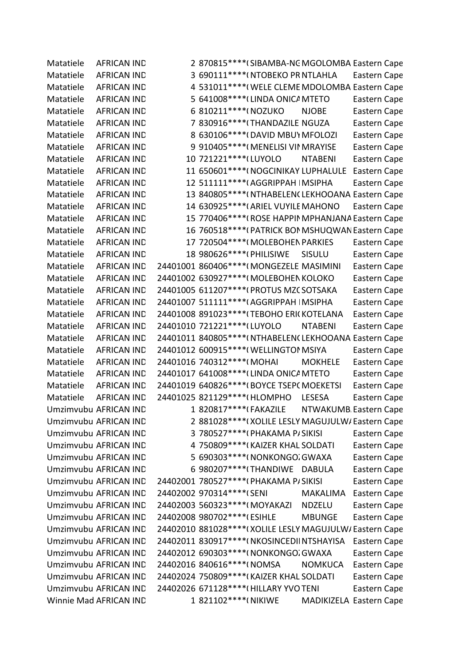Matatiele AFRICAN IND 2 870815\*\*\*\*(SIBAMBA-NC MGOLOMBA Eastern Cape Matatiele AFRICAN IND 3 690111\*\*\*\*(NTOBEKO PR NTLAHLA Eastern Cape Matatiele AFRICAN IND 4 531011\*\*\*\*\*(WELE CLEME MDOLOMBA Eastern Cape Matatiele AFRICAN IND 5 641008\*\*\*\* (LINDA ONICA MTETO Eastern Cape Matatiele AFRICAN IND 6 810211\*\*\*\*(NOZUKO NJOBE Eastern Cape Matatiele AFRICAN IND 7 830916\*\*\*\*(THANDAZILE NGUZA Eastern Cape Matatiele AFRICAN IND 8 630106\*\*\*\*(DAVID MBUY MFOLOZI Eastern Cape Matatiele AFRICAN IND 9 910405\*\*\*\*(MENELISI VII MRAYISE Eastern Cape Matatiele AFRICAN IND 10 721221\*\*\*\* (LUYOLO NTABENI Eastern Cape Matatiele AFRICAN IND 11 650601\*\*\*\*(NOGCINIKAY LUPHALULE Eastern Cape Matatiele AFRICAN IND 12 511111\*\*\*\*(AGGRIPPAH IMSIPHA Eastern Cape Matatiele AFRICAN IND 13 840805\*\*\*\*\*(NTHABELENCLEKHOOANA Eastern Cape Matatiele AFRICAN IND 14 630925\*\*\*\*(ARIEL VUYILE MAHONO Eastern Cape Matatiele AFRICAN IND 15 770406\*\*\*\*\*(ROSE HAPPIN MPHANJANA Eastern Cape Matatiele AFRICAN IND 16 760518\*\*\*\*\*(PATRICK BON MSHUQWAN Eastern Cape Matatiele AFRICAN IND 17 720504\*\*\*\*(MOLEBOHEN PARKIES Eastern Cape Matatiele AFRICAN IND 18 980626\*\*\*\*(PHILISIWE SISULU Eastern Cape Matatiele AFRICAN IND 24401001 860406\*\*\*\*(MONGEZELE MASIMINI Eastern Cape Matatiele AFRICAN IND 24401002 630927\*\*\*\*(MOLEBOHEN KOLOKO Eastern Cape Matatiele AFRICAN IND 24401005 611207\*\*\*\*(PROTUS MZC SOTSAKA Eastern Cape Matatiele AFRICAN IND 24401007 511111\*\*\*\*(AGGRIPPAH | MSIPHA Eastern Cape Matatiele AFRICAN IND 24401008 891023\*\*\*\*(TEBOHO ERICKOTELANA Eastern Cape Matatiele AFRICAN IND 24401010 721221\*\*\*\* (LUYOLO NTABENI Eastern Cape Matatiele AFRICAN IND 24401011 840805\*\*\*\*(NTHABELEN(LEKHOOANA Eastern Cape Matatiele AFRICAN IND 24401012 600915\*\*\*\*(WELLINGTOM SIYA Eastern Cape Matatiele AFRICAN IND 24401016 740312\*\*\*\*(MOHAI MOKHELE Eastern Cape Matatiele AFRICAN IND 24401017 641008\*\*\*\*(LINDA ONICA MTETO Eastern Cape Matatiele AFRICAN IND 24401019 640826\*\*\*\*(BOYCE TSEPC MOEKETSI Eastern Cape Matatiele AFRICAN IND 24401025 821129\*\*\*\* (HLOMPHO LESESA Eastern Cape Umzimvubu AFRICAN IND 1 820817\*\*\*\*(FAKAZILE NTWAKUMB Eastern Cape Umzimvubu AFRICAN IND 2 881028\*\*\*\*(XOLILE LESLY MAGUJULW/Eastern Cape Umzimvubu AFRICAN IND 3 780527\*\*\*\*(PHAKAMA P/SIKISI Eastern Cape Umzimvubu AFRICAN IND 4 750809\*\*\*\*(KAIZER KHAL SOLDATI Eastern Cape Umzimvubu AFRICAN IND 5 690303\*\*\*\*\*(NONKONGO.GWAXA Eastern Cape Umzimvubu AFRICAN IND 6 980207\*\*\*\*(THANDIWE DABULA Eastern Cape Umzimvubu AFRICAN IND 24402001 780527\*\*\*\*(PHAKAMA P/SIKISI Eastern Cape Umzimvubu AFRICAN IND 24402002 970314\*\*\*\*(SENI MAKALIMA Eastern Cape Umzimvubu AFRICAN IND 24402003 560323\*\*\*\*(MOYAKAZI NDZELU Eastern Cape Umzimvubu AFRICAN IND 24402008 980702\*\*\*\*(ESIHLE MBUNGE Eastern Cape Umzimvubu AFRICAN IND 24402010 881028\*\*\*\*(XOLILE LESLY MAGUJULW/Eastern Cape Umzimvubu AFRICAN IND 24402011 830917\*\*\*\*(NKOSINCEDIINTSHAYISA Eastern Cape Umzimvubu AFRICAN IND 24402012 690303\*\*\*\*(NONKONGO.GWAXA Eastern Cape Umzimvubu AFRICAN IND 24402016 840616\*\*\*\*(NOMSA NOMKUCA Eastern Cape Umzimvubu AFRICAN IND 24402024 750809\*\*\*\*(KAIZER KHAL SOLDATI Eastern Cape Umzimvubu AFRICAN IND 24402026 671128\*\*\*\*(HILLARY YVOTENI Eastern Cape Winnie Mad AFRICAN IND 1 821102\*\*\*\*( NIKIWE MADIKIZELA Eastern Cape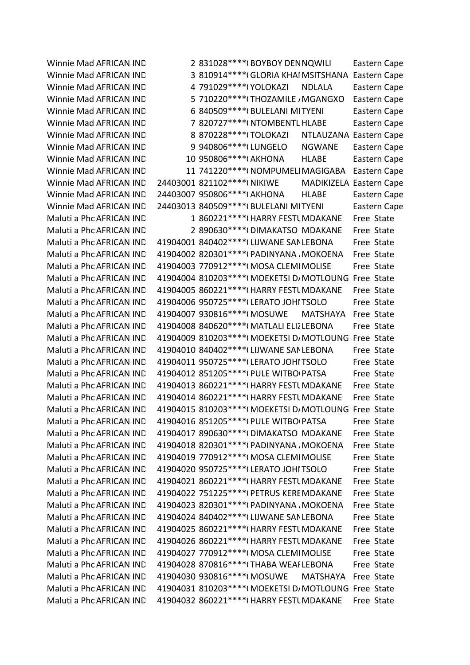Winnie Mad AFRICAN IND 2 831028\*\*\*\* (BOYBOY DEN NQWILI Eastern Cape Winnie Mad AFRICAN IND 3 810914\*\*\*\* (GLORIA KHAI MSITSHANA Eastern Cape Winnie Mad AFRICAN IND 4 791029\*\*\*\*(YOLOKAZI NDLALA Eastern Cape Winnie Mad AFRICAN IND 5 710220\*\*\*\* (THOZAMILE / MGANGXO Eastern Cape Winnie Mad AFRICAN IND 6 840509\*\*\*\*(BULELANI MITYENI Eastern Cape Winnie Mad AFRICAN IND <br>
7 820727\*\*\*\*(NTOMBENTL HLABE Eastern Cape Winnie Mad AFRICAN IND 8 870228\*\*\*\* (TOLOKAZI NTLAUZANA Eastern Cape Winnie Mad AFRICAN IND 9940806\*\*\*\*(LUNGELO NGWANE Eastern Cape Winnie Mad AFRICAN IND 10 950806\*\*\*\*(AKHONA HLABE Eastern Cape Winnie Mad AFRICAN IND 11 741220\*\*\*\* (NOMPUMELI MAGIGABA Eastern Cape Winnie Mad AFRICAN IND 24403001 821102\*\*\*\* (NIKIWE MADIKIZELA Eastern Cape Winnie Mad AFRICAN IND 24403007 950806\*\*\*\*(AKHONA HLABE Eastern Cape Winnie Mad AFRICAN IND 24403013 840509\*\*\*\*(BULELANI MITYENI Eastern Cape Maluti a Phc AFRICAN IND 1 860221\*\*\*\*\* (HARRY FESTL MDAKANE Free State Maluti a Phc AFRICAN IND 2 890630\*\*\*\*\*(DIMAKATSO MDAKANE Free State Maluti a Phc AFRICAN IND 41904001 840402\*\*\*\* (LIJWANE SAN LEBONA Free State Maluti a Phc AFRICAN IND 41904002 820301\*\*\*\*(PADINYANA , MOKOENA Free State Maluti a Phc AFRICAN IND 41904003 770912\*\*\*\*(MOSA CLEMI MOLISE Free State Maluti a Phc AFRICAN IND 41904004 810203\*\*\*\*(MOEKETSI D/MOTLOUNG Free State Maluti a Phc AFRICAN IND 41904005 860221\*\*\*\*\*(HARRY FESTL MDAKANE Free State Maluti a Phc AFRICAN IND 41904006 950725\*\*\*\*(LERATO JOHITSOLO Free State Maluti a Phc AFRICAN IND 41904007 930816\*\*\*\*(MOSUWE MATSHAYA Free State Maluti a Phc AFRICAN IND 41904008 840620\*\*\*\*(MATLALI ELIZ LEBONA Free State Maluti a Phc AFRICAN IND 41904009 810203\*\*\*\*(MOEKETSI D/MOTLOUNG Free State Maluti a Phc AFRICAN IND 41904010 840402\*\*\*\* (LIJWANE SAN LEBONA Free State Maluti a Phc AFRICAN IND 41904011 950725\*\*\*\*(LERATO JOHITSOLO Free State Maluti a Phc AFRICAN IND 41904012 851205\*\*\*\*(PULE WITBO PATSA Free State Maluti a Phc AFRICAN IND 41904013 860221\*\*\*\*(HARRY FESTL MDAKANE Free State Maluti a Phc AFRICAN IND 41904014 860221\*\*\*\* (HARRY FESTL MDAKANE Free State Maluti a Phc AFRICAN IND 41904015 810203\*\*\*\*(MOEKETSI D/MOTLOUNG Free State Maluti a Phc AFRICAN IND 41904016 851205\*\*\*\*(PULE WITBO PATSA Free State Maluti a Phc AFRICAN IND 41904017 890630\*\*\*\* (DIMAKATSO MDAKANE Free State Maluti a Phc AFRICAN IND 41904018 820301\*\*\*\*(PADINYANA MOKOENA Free State Maluti a Phc AFRICAN IND 41904019 770912\*\*\*\*(MOSA CLEMI MOLISE Free State Maluti a Phc AFRICAN IND 41904020 950725\*\*\*\*(LERATO JOHITSOLO Free State Maluti a Phc AFRICAN IND 41904021 860221\*\*\*\*\*(HARRY FESTL MDAKANE Free State Maluti a Phc AFRICAN IND 41904022 751225\*\*\*\*(PETRUS KERE MDAKANE Free State Maluti a Phc AFRICAN IND 41904023 820301\*\*\*\*(PADINYANA , MOKOENA Free State Maluti a Phc AFRICAN IND 41904024 840402\*\*\*\*(LIJWANE SAN LEBONA Free State Maluti a Phc AFRICAN IND 41904025 860221\*\*\*\*\*(HARRY FESTL MDAKANE Free State Maluti a Phc AFRICAN IND 41904026 860221\*\*\*\*(HARRY FESTL MDAKANE Free State Maluti a Phc AFRICAN IND 41904027 770912\*\*\*\*(MOSA CLEMI MOLISE Free State Maluti a Phc AFRICAN IND 41904028 870816\*\*\*\*(THABA WEAI LEBONA Free State Maluti a Phc AFRICAN IND 41904030 930816\*\*\*\*(MOSUWE MATSHAYA Free State Maluti a Phc AFRICAN IND 41904031 810203\*\*\*\*(MOEKETSI D/MOTLOUNG Free State Maluti a Phc AFRICAN IND 41904032 860221\*\*\*\*(HARRY FESTL MDAKANE Free State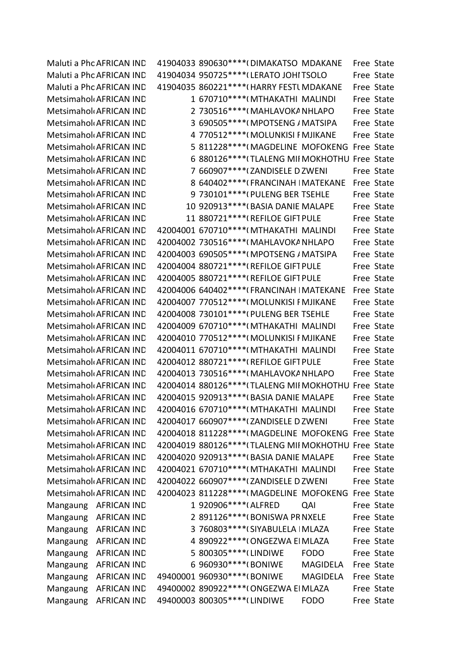Maluti a Phc AFRICAN IND 41904033 890630\*\*\*\*(DIMAKATSO MDAKANE Free State Maluti a Phc AFRICAN IND 41904034 950725\*\*\*\* (LERATO JOHITSOLO Free State Maluti a Phc AFRICAN IND 41904035 860221\*\*\*\*(HARRY FESTL MDAKANE Free State Metsimahol AFRICAN IND 1 670710\*\*\*\* (MTHAKATHI MALINDI Free State Metsimahol AFRICAN IND 2 730516\*\*\*\* (MAHLAVOKA NHLAPO Free State Metsimahol AFRICAN IND 3 690505\*\*\*\* (MPOTSENG / MATSIPA Free State Metsimahol AFRICAN IND 4 770512\*\*\*\* (MOLUNKISI FMJIKANE Free State Metsimahol AFRICAN IND 5 811228\*\*\*\* (MAGDELINE MOFOKENG Free State Metsimahol AFRICAN IND 6 880126\*\*\*\* TLALENG MII MOKHOTHU Free State Metsimaholi AFRICAN IND  $\overline{P}$  660907\*\*\*\*\*(ZANDISFLF D ZWENI Free State Metsimahol AFRICAN IND 8 640402\*\*\*\* (FRANCINAH IMATEKANE Free State Metsimahol AFRICAN IND 9 730101\*\*\*\* (PULENG BERITSEHLE Free State MetsimaholoAFRICAN IND 10 920913\*\*\*\*(BASIA DANIE MALAPE Free State Metsimahol AFRICAN IND 11 880721\*\*\*\* (REFILOE GIFT PULE Free State MetsimaholoAFRICAN IND 42004001 670710\*\*\*\*\* (MTHAKATHI MALINDI Free State Metsimahol<sub>1</sub> AFRICAN IND 42004002 730516\*\*\*\*(MAHLAVOKA NHLAPO Free State Metsimahol(AFRICAN IND 42004003 690505\*\*\*\*(MPOTSENG / MATSIPA Free State Metsimahol(AFRICAN IND 42004004 880721\*\*\*\*(REFILOE GIFT PULE Free State Metsimahol(AFRICAN IND 42004005 880721\*\*\*\*(REFILOE GIFT PULE Free State Metsimahol(AFRICAN IND 42004006 640402\*\*\*\*(FRANCINAH | MATEKANE Free State MetsimaholoAFRICAN IND 42004007 770512\*\*\*\*(MOLUNKISI FMJIKANE Free State MetsimaholoAFRICAN IND 42004008 730101\*\*\*\*(PULENG BER TSEHLE Free State MetsimaholoAFRICAN IND 42004009 670710\*\*\*\*(MTHAKATHI MALINDI Free State Metsimahol(AFRICAN IND 42004010 770512\*\*\*\*(MOLUNKISI F MJIKANE Free State Metsimahol(AFRICAN IND 42004011 670710\*\*\*\*(MTHAKATHI MALINDI Free State Metsimahol(AFRICAN IND 42004012 880721\*\*\*\*(REFILOE GIFT PULE Free State Metsimahol(AFRICAN IND 42004013 730516\*\*\*\*(MAHLAVOKA NHLAPO Free State Metsimahol(AFRICAN IND 42004014 880126\*\*\*\*(TLALENG MII MOKHOTHU Free State Metsimahol AFRICAN IND 42004015 920913\*\*\*\* (BASIA DANIE MALAPE Free State Metsimahol AFRICAN IND 42004016 670710\*\*\*\* (MTHAKATHI MALINDI Free State Metsimahol(AFRICAN IND 42004017 660907\*\*\*\*(ZANDISELE D ZWENI Free State Metsimahol AFRICAN IND 42004018 811228\*\*\*\* (MAGDELINE MOFOKENG Free State Metsimahol(AFRICAN IND 42004019 880126\*\*\*\*(TLALENG MII MOKHOTHU Free State Metsimahol AFRICAN IND 42004020 920913\*\*\*\* (BASIA DANIE MALAPE Free State Metsimahol AFRICAN IND 42004021 670710\*\*\*\* (MTHAKATHI MALINDI Free State MetsimaholoAFRICAN IND 42004022 660907\*\*\*\*(ZANDISELE D ZWENI Free State Metsimahol(AFRICAN IND 42004023 811228\*\*\*\*(MAGDELINE MOFOKENG Free State Mangaung AFRICAN IND 1920906\*\*\*\*(ALFRED QAI Free State Mangaung AFRICAN IND 2 891126\*\*\*\*(BONISWA PRNXELE Free State Mangaung AFRICAN IND 3 760803\*\*\*\* (SIYABULELA | MLAZA Free State Mangaung AFRICAN IND 4 890922\*\*\*\*(ONGEZWA EIMLAZA Free State Mangaung AFRICAN IND 5 800305\*\*\*\* (LINDIWE FODO Free State Mangaung AFRICAN IND 6 960930\*\*\*\*(BONIWE MAGIDELA Free State Mangaung AFRICAN IND 49400001 960930\*\*\*\*(BONIWE MAGIDELA Free State Mangaung AFRICAN IND 49400002 890922\*\*\*\*(ONGEZWA EIMLAZA Free State Mangaung AFRICAN IND 49400003 800305\*\*\*\* (LINDIWE FODO Free State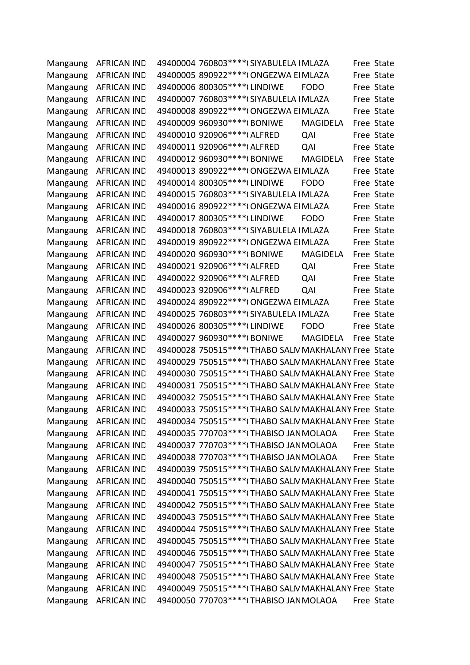| Mangaung | <b>AFRICAN IND</b>   | 49400004 760803 **** (SIYABULELA   MLAZA              |                 | Free State |
|----------|----------------------|-------------------------------------------------------|-----------------|------------|
| Mangaung | <b>AFRICAN IND</b>   | 49400005 890922 **** (ONGEZWA EI MLAZA                |                 | Free State |
| Mangaung | <b>AFRICAN IND</b>   | 49400006 800305 **** (LINDIWE                         | <b>FODO</b>     | Free State |
| Mangaung | <b>AFRICAN IND</b>   | 49400007 760803 **** (SIYABULELA   MLAZA              |                 | Free State |
| Mangaung | <b>AFRICAN IND</b>   | 49400008 890922 **** (ONGEZWA EI MLAZA                |                 | Free State |
| Mangaung | <b>AFRICAN IND</b>   | 49400009 960930 **** (BONIWE                          | <b>MAGIDELA</b> | Free State |
| Mangaung | <b>AFRICAN IND</b>   | 49400010 920906 **** (ALFRED                          | QAI             | Free State |
| Mangaung | <b>AFRICAN IND</b>   | 49400011 920906 **** (ALFRED                          | QAI             | Free State |
| Mangaung | <b>AFRICAN IND</b>   | 49400012 960930 **** (BONIWE                          | <b>MAGIDELA</b> | Free State |
| Mangaung | <b>AFRICAN IND</b>   | 49400013 890922 **** (ONGEZWA EI MLAZA                |                 | Free State |
| Mangaung | <b>AFRICAN IND</b>   | 49400014 800305 **** (LINDIWE                         | <b>FODO</b>     | Free State |
| Mangaung | <b>AFRICAN IND</b>   | 49400015 760803 **** (SIYABULELA   MLAZA              |                 | Free State |
| Mangaung | <b>AFRICAN IND</b>   | 49400016 890922 **** (ONGEZWA El MLAZA                |                 | Free State |
| Mangaung | <b>AFRICAN IND</b>   | 49400017 800305 **** (LINDIWE                         | <b>FODO</b>     | Free State |
| Mangaung | <b>AFRICAN IND</b>   | 49400018 760803 **** (SIYABULELA   MLAZA              |                 | Free State |
| Mangaung | <b>AFRICAN IND</b>   | 49400019 890922 **** (ONGEZWA EI MLAZA                |                 | Free State |
| Mangaung | <b>AFRICAN IND</b>   | 49400020 960930 **** (BONIWE                          | <b>MAGIDELA</b> | Free State |
| Mangaung | <b>AFRICAN IND</b>   | 49400021 920906 **** (ALFRED                          | QAI             | Free State |
| Mangaung | <b>AFRICAN IND</b>   | 49400022 920906 **** (ALFRED                          | QAI             | Free State |
| Mangaung | <b>AFRICAN IND</b>   | 49400023 920906***** (ALFRED                          | QAI             | Free State |
| Mangaung | <b>AFRICAN IND</b>   | 49400024 890922 **** (ONGEZWA EI MLAZA                |                 | Free State |
| Mangaung | <b>AFRICAN IND</b>   | 49400025 760803 **** (SIYABULELA   MLAZA              |                 | Free State |
| Mangaung | <b>AFRICAN IND</b>   | 49400026 800305 **** (LINDIWE                         | <b>FODO</b>     | Free State |
| Mangaung | <b>AFRICAN IND</b>   | 49400027 960930 **** (BONIWE                          | <b>MAGIDELA</b> | Free State |
| Mangaung | <b>AFRICAN IND</b>   | 49400028 750515**** (THABO SALN MAKHALANY Free State  |                 |            |
| Mangaung | <b>AFRICAN IND</b>   | 49400029 750515**** (THABO SALN MAKHALANY Free State  |                 |            |
| Mangaung | <b>AFRICAN IND</b>   | 49400030 750515**** (THABO SALN MAKHALANY Free State  |                 |            |
| Mangaung | <b>AFRICAN IND</b>   | 49400031 750515 **** (THABO SALN MAKHALANY Free State |                 |            |
| Mangaung | <b>AFRICAN IND</b>   | 49400032 750515**** (THABO SALN MAKHALANY Free State  |                 |            |
|          | Mangaung AFRICAN IND | 49400033 750515*****(THABO SALN MAKHALANY Free State  |                 |            |
| Mangaung | AFRICAN IND          | 49400034 750515**** (THABO SALN MAKHALANY Free State  |                 |            |
| Mangaung | <b>AFRICAN IND</b>   | 49400035 770703 **** (THABISO JAN MOLAOA              |                 | Free State |
| Mangaung | <b>AFRICAN IND</b>   | 49400037 770703 **** (THABISO JAN MOLAOA              |                 | Free State |
| Mangaung | <b>AFRICAN IND</b>   | 49400038 770703 **** (THABISO JAN MOLAOA              |                 | Free State |
| Mangaung | <b>AFRICAN IND</b>   | 49400039 750515 **** (THABO SALN MAKHALANY Free State |                 |            |
| Mangaung | <b>AFRICAN IND</b>   | 49400040 750515 **** (THABO SALN MAKHALANY Free State |                 |            |
| Mangaung | <b>AFRICAN IND</b>   | 49400041 750515**** (THABO SALN MAKHALANY Free State  |                 |            |
| Mangaung | <b>AFRICAN IND</b>   | 49400042 750515**** (THABO SALN MAKHALANY Free State  |                 |            |
| Mangaung | <b>AFRICAN IND</b>   | 49400043 750515**** (THABO SALN MAKHALANY Free State  |                 |            |
| Mangaung | <b>AFRICAN IND</b>   | 49400044 750515**** (THABO SALN MAKHALANY Free State  |                 |            |
| Mangaung | <b>AFRICAN IND</b>   | 49400045 750515**** (THABO SALN MAKHALANY Free State  |                 |            |
| Mangaung | <b>AFRICAN IND</b>   | 49400046 750515*****(THABO SALN MAKHALANY Free State  |                 |            |
| Mangaung | <b>AFRICAN IND</b>   | 49400047 750515**** (THABO SALN MAKHALANY Free State  |                 |            |
| Mangaung | <b>AFRICAN IND</b>   | 49400048 750515**** (THABO SALN MAKHALANY Free State  |                 |            |
| Mangaung | <b>AFRICAN IND</b>   | 49400049 750515****(THABO SALN MAKHALANY Free State   |                 |            |
| Mangaung | <b>AFRICAN IND</b>   | 49400050 770703****(THABISO JAN MOLAOA                |                 | Free State |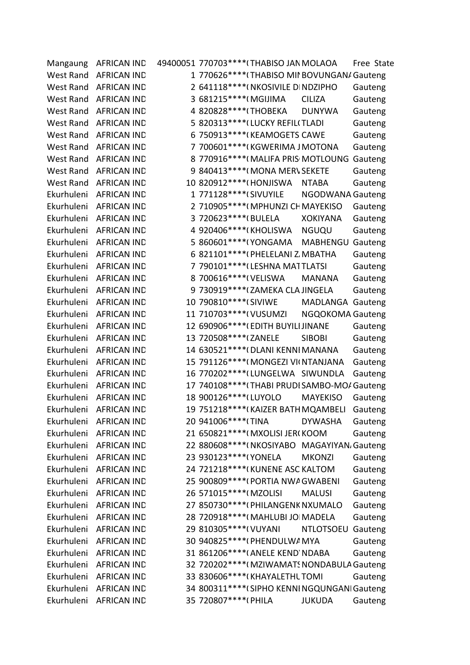| Mangaung         | <b>AFRICAN IND</b> | 49400051 770703 **** (THABISO JAN MOLAOA<br>Free State |
|------------------|--------------------|--------------------------------------------------------|
| West Rand        | <b>AFRICAN IND</b> | 1 770626**** (THABISO MII BOVUNGAN/ Gauteng            |
| West Rand        | <b>AFRICAN IND</b> | 2 641118****(NKOSIVILE DINDZIPHO<br>Gauteng            |
| West Rand        | <b>AFRICAN IND</b> | 3 681215****(MGIJIMA<br><b>CILIZA</b><br>Gauteng       |
| West Rand        | <b>AFRICAN IND</b> | 4 820828 **** (THOBEKA<br><b>DUNYWA</b><br>Gauteng     |
| West Rand        | <b>AFRICAN IND</b> | 5 820313 **** (LUCKY REFIL(TLADI<br>Gauteng            |
| <b>West Rand</b> | <b>AFRICAN IND</b> | 6 750913 **** (KEAMOGETS CAWE<br>Gauteng               |
| West Rand        | <b>AFRICAN IND</b> | 7 700601 **** (KGWERIMA J MOTONA<br>Gauteng            |
| West Rand        | <b>AFRICAN IND</b> | 8 770916**** (MALIFA PRIS MOTLOUNG Gauteng             |
| West Rand        | <b>AFRICAN IND</b> | 9 840413 **** (MONA MER\ SEKETE<br>Gauteng             |
| West Rand        | <b>AFRICAN IND</b> | 10 820912 **** (HONJISWA<br><b>NTABA</b><br>Gauteng    |
| Ekurhuleni       | <b>AFRICAN IND</b> | 1 771128 **** (SIVUYILE<br>NGODWANA Gauteng            |
| Ekurhuleni       | <b>AFRICAN IND</b> | 2 710905 **** (MPHUNZI CH MAYEKISO<br>Gauteng          |
| Ekurhuleni       | <b>AFRICAN IND</b> | 3 720623 **** (BULELA<br><b>XOKIYANA</b><br>Gauteng    |
| Ekurhuleni       | <b>AFRICAN IND</b> | 4 920406 **** (KHOLISWA<br><b>NGUQU</b><br>Gauteng     |
| Ekurhuleni       | <b>AFRICAN IND</b> | 5 860601 ***** (YONGAMA<br><b>MABHENGU Gauteng</b>     |
| Ekurhuleni       | <b>AFRICAN IND</b> | 6 821101 **** (PHELELANI Z. MBATHA<br>Gauteng          |
| Ekurhuleni       | <b>AFRICAN IND</b> | 7 790101****(LESHNA MATTLATSI<br>Gauteng               |
| Ekurhuleni       | <b>AFRICAN IND</b> | 8 700616 **** ( VELISWA<br><b>MANANA</b><br>Gauteng    |
| Ekurhuleni       | <b>AFRICAN IND</b> | 9 730919 **** (ZAMEKA CLA JINGELA<br>Gauteng           |
| Ekurhuleni       | <b>AFRICAN IND</b> | 10 790810****(SIVIWE<br>MADLANGA Gauteng               |
| Ekurhuleni       | <b>AFRICAN IND</b> | 11 710703 **** ( VUSUMZI<br>NGQOKOMA Gauteng           |
| Ekurhuleni       | <b>AFRICAN IND</b> | 12 690906*****(EDITH BUYILIJINANE<br>Gauteng           |
| Ekurhuleni       | <b>AFRICAN IND</b> | 13 720508 **** (ZANELE<br><b>SIBOBI</b><br>Gauteng     |
| Ekurhuleni       | <b>AFRICAN IND</b> | 14 630521 **** (DLANI KENNI MANANA<br>Gauteng          |
| Ekurhuleni       | <b>AFRICAN IND</b> | 15 791126**** (MONGEZI VIONTANJANA<br>Gauteng          |
| Ekurhuleni       | <b>AFRICAN IND</b> | 16 770202 **** (LUNGELWA SIWUNDLA<br>Gauteng           |
| Ekurhuleni       | <b>AFRICAN IND</b> | 17 740108 **** (THABI PRUDI SAMBO-MO/ Gauteng          |
| Ekurhuleni       | <b>AFRICAN IND</b> | 18 900126 **** (LUYOLO<br><b>MAYEKISO</b><br>Gauteng   |
| Ekurhuleni       | <b>AFRICAN IND</b> | 19 751218 **** (KAIZER BATH MQAMBELI<br>Gauteng        |
| Ekurhuleni       | <b>AFRICAN IND</b> | 20 941006*****(TINA<br><b>DYWASHA</b><br>Gauteng       |
| Ekurhuleni       | <b>AFRICAN IND</b> | 21 650821 **** (MXOLISI JER (KOOM<br>Gauteng           |
| Ekurhuleni       | <b>AFRICAN IND</b> | 22 880608 **** (NKOSIYABO MAGAYIYAN, Gauteng           |
| Ekurhuleni       | <b>AFRICAN IND</b> | 23 930123 **** (YONELA<br><b>MKONZI</b><br>Gauteng     |
| Ekurhuleni       | <b>AFRICAN IND</b> | 24 721218 **** (KUNENE ASC KALTOM<br>Gauteng           |
| Ekurhuleni       | <b>AFRICAN IND</b> | 25 900809 **** (PORTIA NWA GWABENI<br>Gauteng          |
| Ekurhuleni       | <b>AFRICAN IND</b> | 26 571015 **** (MZOLISI<br><b>MALUSI</b><br>Gauteng    |
| Ekurhuleni       | <b>AFRICAN IND</b> | 27 850730 **** (PHILANGENK NXUMALO<br>Gauteng          |
| Ekurhuleni       | <b>AFRICAN IND</b> | 28 720918 **** (MAHLUBI JO MADELA<br>Gauteng           |
| Ekurhuleni       | <b>AFRICAN IND</b> | 29 810305 **** ( VUYANI<br><b>NTLOTSOEU</b><br>Gauteng |
| Ekurhuleni       | <b>AFRICAN IND</b> | 30 940825 **** (PHENDULWA MYA<br>Gauteng               |
| Ekurhuleni       | <b>AFRICAN IND</b> | 31 861206***** (ANELE KEND' NDABA<br>Gauteng           |
| Ekurhuleni       | <b>AFRICAN IND</b> | 32 720202****(MZIWAMATS NONDABULA Gauteng              |
| Ekurhuleni       | <b>AFRICAN IND</b> | 33 830606 **** (KHAYALETHL TOMI<br>Gauteng             |
| Ekurhuleni       | <b>AFRICAN IND</b> | 34 800311 **** (SIPHO KENNINGQUNGANI Gauteng           |
| Ekurhuleni       | <b>AFRICAN IND</b> | 35 720807 **** (PHILA<br><b>JUKUDA</b><br>Gauteng      |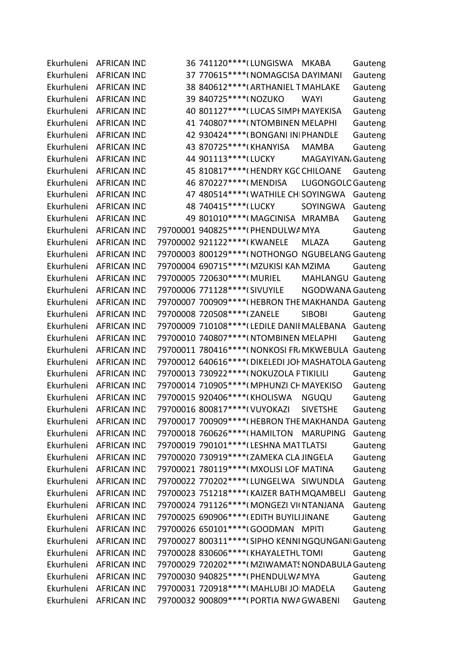Ekurhuleni AFRICAN IND 36 741120\*\*\*\* (LUNGISWA MKABA Gauteng Ekurhuleni AFRICAN IND 37 770615\*\*\*\*(NOMAGCISA DAYIMANI Gauteng Ekurhuleni AFRICAN IND 38 840612\*\*\*\*(ARTHANIEL TMAHLAKE Gauteng Ekurhuleni AFRICAN IND 39 840725\*\*\*\*(NOZUKO WAYI Gauteng Ekurhuleni AFRICAN IND 40 801127\*\*\*\*(LUCAS SIMPI MAYEKISA Gauteng Ekurhuleni AFRICAN IND 41 740807\*\*\*\*(NTOMBINEN MELAPHI Gauteng Ekurhuleni AFRICAN IND 42 930424\*\*\*\*(BONGANI INI PHANDLE Gauteng Ekurhuleni AFRICAN IND 43 870725\*\*\*\*(KHANYISA MAMBA Gauteng Ekurhuleni AFRICAN IND 44 901113\*\*\*\* (LUCKY MAGAYIYAN, Gauteng Ekurhuleni AFRICAN IND 45 810817\*\*\*\*(HENDRY KGC CHILOANE Gauteng Ekurhuleni AFRICAN IND 46 870227\*\*\*\*(MENDISA LUGONGOLC Gauteng Ekurhuleni AFRICAN IND 47 480514\*\*\*\*(WATHILE CHISOYINGWA Gauteng Ekurhuleni AFRICAN IND 48 740415\*\*\*\*\*(LUCKY SOYINGWA Gauteng Ekurhuleni AFRICAN IND 49 801010\*\*\*\*(MAGCINISA MRAMBA Gauteng Ekurhuleni AFRICAN IND 79700001 940825\*\*\*\*(PHENDULWA MYA Gauteng Ekurhuleni AFRICAN IND 79700002 921122\*\*\*\*(KWANELE MLAZA Gauteng Ekurhuleni AFRICAN IND 79700003 800129\*\*\*\*(NOTHONGO NGUBELANG Gauteng Ekurhuleni AFRICAN IND 79700004 690715\*\*\*\*(MZUKISI KAN MZIMA Gauteng Ekurhuleni AFRICAN IND 79700005 720630\*\*\*\*(MURIEL MAHLANGU Gauteng Ekurhuleni AFRICAN IND 79700006 771128\*\*\*\*(SIVUYILE NGODWANA Gauteng Ekurhuleni AFRICAN IND 79700007 700909\*\*\*\*(HEBRON THE MAKHANDA Gauteng Ekurhuleni AFRICAN IND 79700008 720508\*\*\*\*(ZANELE SIBOBI Gauteng Ekurhuleni AFRICAN IND 79700009 710108\*\*\*\*(LEDILE DANII MALEBANA Gauteng Ekurhuleni AFRICAN IND 79700010 740807\*\*\*\*(NTOMBINEN MELAPHI Gauteng Ekurhuleni AFRICAN IND 79700011 780416\*\*\*\*(NONKOSI FR/MKWEBULA Gauteng Ekurhuleni AFRICAN IND 79700012 640616\*\*\*\*(DIKELEDI JOH MASHATOLA Gauteng Ekurhuleni AFRICAN IND 79700013 730922\*\*\*\*(NOKUZOLA PTIKILILI Gauteng Ekurhuleni AFRICAN IND 79700014 710905\*\*\*\*(MPHUNZI CHMAYEKISO Gauteng Ekurhuleni AFRICAN IND 79700015 920406\*\*\*\*(KHOLISWA NGUQU Gauteng Ekurhuleni AFRICAN IND 79700016 800817\*\*\*\*(VUYOKAZI SIVETSHE Gauteng Ekurhuleni AFRICAN IND 79700017 700909\*\*\*\*(HEBRON THE MAKHANDA Gauteng Ekurhuleni AFRICAN IND 79700018 760626\*\*\*\*(HAMILTON MARUPING Gauteng Ekurhuleni AFRICAN IND 79700019 790101\*\*\*\*(LESHNA MATTLATSI Gauteng Ekurhuleni AFRICAN IND 79700020 730919\*\*\*\* (ZAMEKA CLA JINGELA Gauteng Ekurhuleni AFRICAN IND 79700021 780119\*\*\*\*(MXOLISI LOF MATINA Gauteng Ekurhuleni AFRICAN IND 79700022 770202\*\*\*\* (LUNGELWA SIWUNDLA Gauteng Ekurhuleni AFRICAN IND 79700023 751218\*\*\*\*(KAIZER BATHMQAMBELI Gauteng Ekurhuleni AFRICAN IND 79700024 791126\*\*\*\*(MONGEZI VI(NTANJANA Gauteng Ekurhuleni AFRICAN IND 79700025 690906\*\*\*\*(EDITH BUYILIJINANE Gauteng Ekurhuleni AFRICAN IND 79700026 650101\*\*\*\*(GOODMAN MPITI Gauteng Ekurhuleni AFRICAN IND 79700027 800311\*\*\*\* (SIPHO KENNI NGQUNGANI Gauteng Ekurhuleni AFRICAN IND 79700028 830606\*\*\*\*(KHAYALETHL TOMI Gauteng Ekurhuleni AFRICAN IND 79700029 720202\*\*\*\*(MZIWAMATS NONDABULA Gauteng Ekurhuleni AFRICAN IND 79700030 940825\*\*\*\*(PHENDULWA MYA Gauteng Ekurhuleni AFRICAN IND 79700031 720918\*\*\*\*(MAHLUBI JOIMADELA Gauteng Ekurhuleni AFRICAN IND 79700032 900809\*\*\*\*(PORTIA NWA GWABENI Gauteng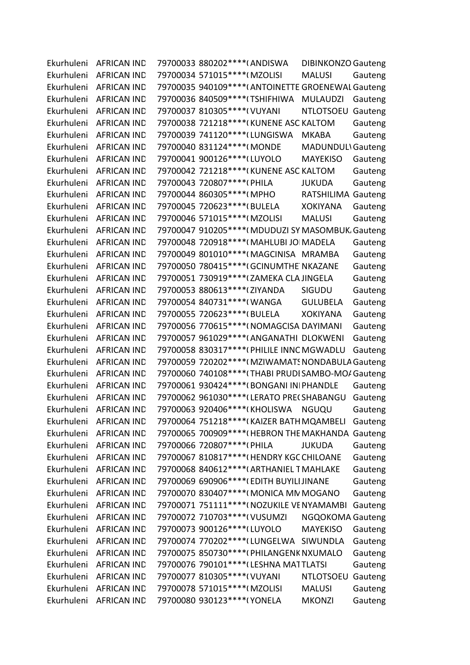| Ekurhuleni | <b>AFRICAN IND</b>     | 79700033 880202 **** (ANDISWA<br><b>DIBINKONZO Gauteng</b> |         |
|------------|------------------------|------------------------------------------------------------|---------|
| Ekurhuleni | <b>AFRICAN IND</b>     | 79700034 571015 **** (MZOLISI<br><b>MALUSI</b>             | Gauteng |
| Ekurhuleni | <b>AFRICAN IND</b>     | 79700035 940109 **** (ANTOINETTE GROENEWAL Gauteng         |         |
| Ekurhuleni | <b>AFRICAN IND</b>     | 79700036 840509 **** (TSHIFHIWA<br><b>MULAUDZI</b>         | Gauteng |
| Ekurhuleni | <b>AFRICAN IND</b>     | 79700037 810305 **** ( VUYANI<br><b>NTLOTSOEU</b>          | Gauteng |
| Ekurhuleni | <b>AFRICAN IND</b>     | 79700038 721218 **** (KUNENE ASC KALTOM                    | Gauteng |
| Ekurhuleni | <b>AFRICAN IND</b>     | 79700039 741120 **** (LUNGISWA<br><b>MKABA</b>             | Gauteng |
| Ekurhuleni | <b>AFRICAN IND</b>     | 79700040 831124 **** (MONDE<br>MADUNDULI Gauteng           |         |
| Ekurhuleni | <b>AFRICAN IND</b>     | 79700041 900126 **** (LUYOLO<br><b>MAYEKISO</b>            | Gauteng |
| Ekurhuleni | <b>AFRICAN IND</b>     | 79700042 721218 **** (KUNENE ASC KALTOM                    | Gauteng |
| Ekurhuleni | <b>AFRICAN IND</b>     | 79700043 720807****(PHILA<br><b>JUKUDA</b>                 | Gauteng |
| Ekurhuleni | <b>AFRICAN IND</b>     | 79700044 860305 **** (MPHO<br>RATSHILIMA Gauteng           |         |
| Ekurhuleni | <b>AFRICAN IND</b>     | 79700045 720623 **** (BULELA<br><b>XOKIYANA</b>            | Gauteng |
| Ekurhuleni | <b>AFRICAN IND</b>     | 79700046 571015 **** (MZOLISI<br><b>MALUSI</b>             | Gauteng |
| Ekurhuleni | <b>AFRICAN IND</b>     | 79700047 910205**** (MDUDUZI SY MASOMBUK, Gauteng          |         |
| Ekurhuleni | <b>AFRICAN IND</b>     | 79700048 720918 **** (MAHLUBI JO MADELA                    | Gauteng |
| Ekurhuleni | <b>AFRICAN IND</b>     | 79700049 801010 **** (MAGCINISA MRAMBA                     | Gauteng |
| Ekurhuleni | <b>AFRICAN IND</b>     | 79700050 780415 **** (GCINUMTHE NKAZANE                    | Gauteng |
| Ekurhuleni | <b>AFRICAN IND</b>     | 79700051 730919 **** (ZAMEKA CLA JINGELA                   | Gauteng |
| Ekurhuleni | <b>AFRICAN IND</b>     | 79700053 880613 **** (ZIYANDA<br><b>SIGUDU</b>             | Gauteng |
| Ekurhuleni | <b>AFRICAN IND</b>     | 79700054 840731 **** (WANGA<br><b>GULUBELA</b>             | Gauteng |
| Ekurhuleni | <b>AFRICAN IND</b>     | 79700055 720623 **** (BULELA<br><b>XOKIYANA</b>            | Gauteng |
| Ekurhuleni | <b>AFRICAN IND</b>     | 79700056 770615****(NOMAGCISA DAYIMANI                     | Gauteng |
| Ekurhuleni | <b>AFRICAN IND</b>     | 79700057 961029 **** (ANGANATHI DLOKWENI                   | Gauteng |
| Ekurhuleni | <b>AFRICAN IND</b>     | 79700058 830317 **** (PHILILE INNC MGWADLU                 | Gauteng |
| Ekurhuleni | <b>AFRICAN IND</b>     | 79700059 720202**** (MZIWAMATS NONDABULA Gauteng           |         |
| Ekurhuleni | <b>AFRICAN IND</b>     | 79700060 740108 **** (THABI PRUDI SAMBO-MO/ Gauteng        |         |
| Ekurhuleni | <b>AFRICAN IND</b>     | 79700061 930424 **** (BONGANI INI PHANDLE                  | Gauteng |
| Ekurhuleni | <b>AFRICAN IND</b>     | 79700062 961030 **** (LERATO PRECSHABANGU                  | Gauteng |
|            | Ekurhuleni AFRICAN IND | 79700063 920406****(KHOLISWA NGUQU                         | Gauteng |
| Ekurhuleni | <b>AFRICAN IND</b>     | 79700064 751218****(KAIZER BATH MQAMBELI Gauteng           |         |
| Ekurhuleni | <b>AFRICAN IND</b>     | 79700065 700909**** (HEBRON THE MAKHANDA Gauteng           |         |
| Ekurhuleni | <b>AFRICAN IND</b>     | <b>JUKUDA</b>                                              | Gauteng |
| Ekurhuleni | <b>AFRICAN IND</b>     | 79700067 810817 **** (HENDRY KGC CHILOANE                  | Gauteng |
| Ekurhuleni | <b>AFRICAN IND</b>     | 79700068 840612 **** (ARTHANIEL T MAHLAKE                  | Gauteng |
| Ekurhuleni | <b>AFRICAN IND</b>     | 79700069 690906***** (EDITH BUYILI JINANE                  | Gauteng |
| Ekurhuleni | <b>AFRICAN IND</b>     | 79700070 830407**** (MONICA MN MOGANO                      | Gauteng |
| Ekurhuleni | <b>AFRICAN IND</b>     | 79700071 751111 **** ( NOZUKILE VE NYAMAMBI                | Gauteng |
| Ekurhuleni | <b>AFRICAN IND</b>     | 79700072 710703****(VUSUMZI<br>NGQOKOMA Gauteng            |         |
| Ekurhuleni | <b>AFRICAN IND</b>     | 79700073 900126 **** (LUYOLO<br><b>MAYEKISO</b>            | Gauteng |
| Ekurhuleni | <b>AFRICAN IND</b>     | 79700074 770202****(LUNGELWA SIWUNDLA                      | Gauteng |
| Ekurhuleni | <b>AFRICAN IND</b>     | 79700075 850730 **** (PHILANGENK NXUMALO                   | Gauteng |
| Ekurhuleni | <b>AFRICAN IND</b>     | 79700076 790101 **** (LESHNA MATTLATSI                     | Gauteng |
| Ekurhuleni | <b>AFRICAN IND</b>     | 79700077 810305 **** ( VUYANI<br>NTLOTSOEU Gauteng         |         |
| Ekurhuleni | <b>AFRICAN IND</b>     | 79700078 571015 **** (MZOLISI<br><b>MALUSI</b>             | Gauteng |
| Ekurhuleni | <b>AFRICAN IND</b>     | 79700080 930123 **** (YONELA<br><b>MKONZI</b>              | Gauteng |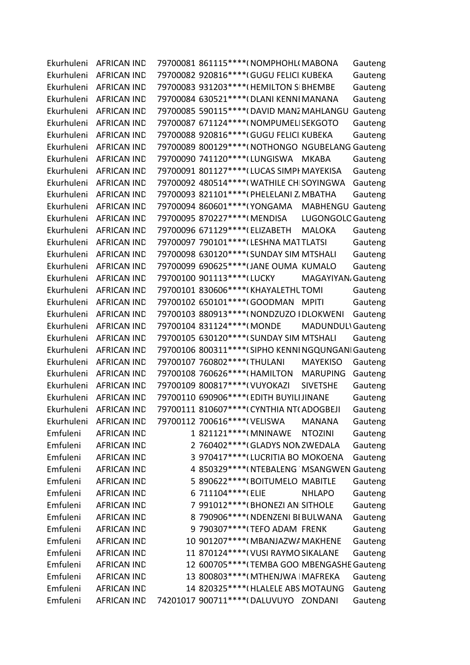| Ekurhuleni | <b>AFRICAN IND</b>     | 79700081 861115 **** ( NOMPHOHL ( MABONA                  | Gauteng |
|------------|------------------------|-----------------------------------------------------------|---------|
| Ekurhuleni | <b>AFRICAN IND</b>     | 79700082 920816 **** (GUGU FELICI KUBEKA                  | Gauteng |
| Ekurhuleni | <b>AFRICAN IND</b>     | 79700083 931203 **** (HEMILTON SIBHEMBE                   | Gauteng |
| Ekurhuleni | <b>AFRICAN IND</b>     | 79700084 630521 **** (DLANI KENNI MANANA                  | Gauteng |
| Ekurhuleni | <b>AFRICAN IND</b>     | 79700085 590115 **** (DAVID MANZ MAHLANGU                 | Gauteng |
| Ekurhuleni | <b>AFRICAN IND</b>     | 79700087 671124 **** ( NOMPUMEL SEKGOTO                   | Gauteng |
| Ekurhuleni | <b>AFRICAN IND</b>     | 79700088 920816 **** (GUGU FELICI KUBEKA                  | Gauteng |
| Ekurhuleni | <b>AFRICAN IND</b>     | 79700089 800129 **** (NOTHONGO NGUBELANG Gauteng          |         |
| Ekurhuleni | <b>AFRICAN IND</b>     | 79700090 741120 **** (LUNGISWA<br><b>MKABA</b>            | Gauteng |
| Ekurhuleni | <b>AFRICAN IND</b>     | 79700091 801127 **** (LUCAS SIMPI MAYEKISA                | Gauteng |
| Ekurhuleni | <b>AFRICAN IND</b>     | 79700092 480514 **** (WATHILE CHISOYINGWA                 | Gauteng |
| Ekurhuleni | <b>AFRICAN IND</b>     | 79700093 821101 **** (PHELELANI Z. MBATHA                 | Gauteng |
| Ekurhuleni | <b>AFRICAN IND</b>     | 79700094 860601 **** ( YONGAMA<br><b>MABHENGU Gauteng</b> |         |
| Ekurhuleni | <b>AFRICAN IND</b>     | 79700095 870227 **** (MENDISA<br><b>LUGONGOLC Gauteng</b> |         |
| Ekurhuleni | <b>AFRICAN IND</b>     | 79700096 671129 **** (ELIZABETH<br><b>MALOKA</b>          | Gauteng |
| Ekurhuleni | <b>AFRICAN IND</b>     | 79700097 790101 **** (LESHNA MATTLATSI                    | Gauteng |
| Ekurhuleni | <b>AFRICAN IND</b>     | 79700098 630120 **** (SUNDAY SIM MTSHALI                  | Gauteng |
| Ekurhuleni | <b>AFRICAN IND</b>     | 79700099 690625 **** (JANE OUMA KUMALO                    | Gauteng |
| Ekurhuleni | <b>AFRICAN IND</b>     | 79700100 901113 **** (LUCKY<br>MAGAYIYAN, Gauteng         |         |
| Ekurhuleni | <b>AFRICAN IND</b>     | 79700101 830606 **** (KHAYALETHL TOMI                     | Gauteng |
| Ekurhuleni | <b>AFRICAN IND</b>     | 79700102 650101***** (GOODMAN MPITI                       | Gauteng |
| Ekurhuleni | <b>AFRICAN IND</b>     | 79700103 880913 **** ( NONDZUZO I DLOKWENI                | Gauteng |
| Ekurhuleni | <b>AFRICAN IND</b>     | 79700104 831124 **** (MONDE<br><b>MADUNDULI Gauteng</b>   |         |
| Ekurhuleni | <b>AFRICAN IND</b>     | 79700105 630120 **** (SUNDAY SIM MTSHALI                  | Gauteng |
| Ekurhuleni | <b>AFRICAN IND</b>     | 79700106 800311 **** (SIPHO KENNI NGQUNGANI Gauteng       |         |
| Ekurhuleni | <b>AFRICAN IND</b>     | 79700107 760802 **** (THULANI<br><b>MAYEKISO</b>          | Gauteng |
| Ekurhuleni | <b>AFRICAN IND</b>     | 79700108 760626 **** (HAMILTON<br><b>MARUPING</b>         | Gauteng |
| Ekurhuleni | <b>AFRICAN IND</b>     | 79700109 800817 **** ( VUYOKAZI<br><b>SIVETSHE</b>        | Gauteng |
| Ekurhuleni | <b>AFRICAN IND</b>     | 79700110 690906 **** (EDITH BUYILI JINANE                 | Gauteng |
|            | Ekurhuleni AFRICAN IND | 79700111 810607****(CYNTHIA NT(ADOGBEJI                   | Gauteng |
| Ekurhuleni | <b>AFRICAN IND</b>     | 79700112 700616 **** ( VELISWA<br><b>MANANA</b>           | Gauteng |
| Emfuleni   | <b>AFRICAN IND</b>     | 1 821121 **** (MNINAWE<br><b>NTOZINI</b>                  | Gauteng |
| Emfuleni   | <b>AFRICAN IND</b>     | 2 760402 **** (GLADYS NON ZWEDALA                         | Gauteng |
| Emfuleni   | <b>AFRICAN IND</b>     | 3 970417 **** (LUCRITIA BO MOKOENA                        | Gauteng |
| Emfuleni   | <b>AFRICAN IND</b>     | 4 850329 **** (NTEBALENG 'MSANGWEN Gauteng                |         |
| Emfuleni   | <b>AFRICAN IND</b>     | 5 890622 **** (BOITUMELO MABITLE                          | Gauteng |
| Emfuleni   | <b>AFRICAN IND</b>     | 6 711104 **** (ELIE<br><b>NHLAPO</b>                      | Gauteng |
| Emfuleni   | <b>AFRICAN IND</b>     | 7 991012 **** (BHONEZI AN SITHOLE                         | Gauteng |
| Emfuleni   | <b>AFRICAN IND</b>     | 8 790906 **** (NDENZENI BI BULWANA                        | Gauteng |
| Emfuleni   | <b>AFRICAN IND</b>     | 9 790307****(TEFO ADAM FRENK                              | Gauteng |
| Emfuleni   | <b>AFRICAN IND</b>     | 10 901207 **** (MBANJAZWA MAKHENE                         | Gauteng |
| Emfuleni   | <b>AFRICAN IND</b>     | 11 870124 **** ( VUSI RAYMO SIKALANE                      | Gauteng |
| Emfuleni   | <b>AFRICAN IND</b>     | 12 600705**** (TEMBA GOO MBENGASHE Gauteng                |         |
| Emfuleni   | <b>AFRICAN IND</b>     | 13 800803 **** (MTHENJWA   MAFREKA                        | Gauteng |
| Emfuleni   | <b>AFRICAN IND</b>     | 14 820325 **** (HLALELE ABS MOTAUNG                       | Gauteng |
| Emfuleni   | <b>AFRICAN IND</b>     | 74201017 900711 **** (DALUVUYO ZONDANI                    | Gauteng |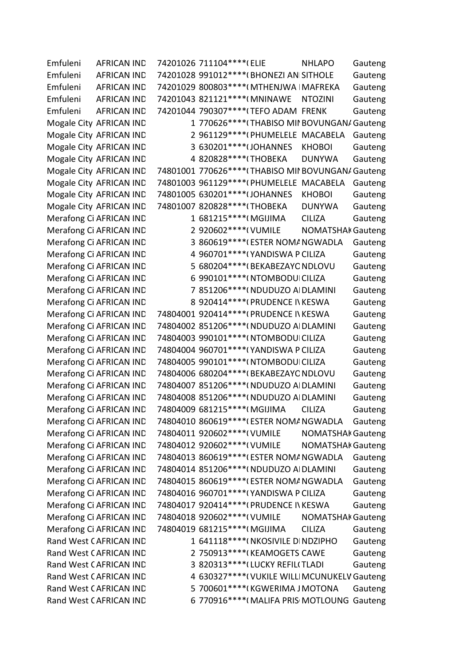Emfuleni AFRICAN IND 74201026 711104\*\*\*\*(ELIE NHLAPO Gauteng Emfuleni AFRICAN IND 74201028 991012\*\*\*\*(BHONEZI ANISITHOLE Gauteng Emfuleni AFRICAN IND 74201029 800803\*\*\*\*(MTHENJWA | MAFREKA Gauteng Emfuleni AFRICAN IND 74201043 821121\*\*\*\*(MNINAWE NTOZINI Gauteng Emfuleni AFRICAN IND 74201044 790307\*\*\*\*(TEFO ADAM FRENK Gauteng Mogale City AFRICAN IND 1 770626\*\*\*\* (THABISO MII BOVUNGAN/ Gauteng Mogale City AFRICAN IND 2 961129\*\*\*\*(PHUMELELE MACABELA Gauteng Mogale City AFRICAN IND 3 630201\*\*\*\*\* JOHANNES KHOBOI Gauteng Mogale City AFRICAN IND 4 820828\*\*\*\* (THOBEKA DUNYWA Gauteng Mogale City AFRICAN IND 74801001 770626\*\*\*\* (THABISO MII BOVUNGAN/ Gauteng Mogale City AFRICAN IND 74801003 961129\*\*\*\*(PHUMELELE MACABELA Gauteng Mogale City AFRICAN IND 74801005 630201\*\*\*\* (JOHANNES KHOBOI Gauteng Mogale City AFRICAN IND 74801007 820828\*\*\*\* (THOBEKA DUNYWA Gauteng Merafong Ci AFRICAN IND 1 681215\*\*\*\*(MGIJIMA CILIZA Gauteng Merafong Ci AFRICAN IND
2 920602\*\*\*\*(VUMILE NOMATSHAK Gauteng Merafong Ci AFRICAN IND 3 860619\*\*\*\*(ESTER NOMANGWADLA Gauteng Merafong Ci AFRICAN IND 4 960701\*\*\*\* (YANDISWA P CILIZA Gauteng Merafong Ci AFRICAN IND 5 680204\*\*\*\*(BEKABEZAYO NDLOVU Gauteng Merafong Ci AFRICAN IND 6 990101\*\*\*\*\*(NTOMBODUI CILIZA Gauteng Merafong Ci AFRICAN IND 7 851206\*\*\*\*(NDUDUZO AI DLAMINI Gauteng Merafong Ci AFRICAN IND 8 920414\*\*\*\*\*(PRUDENCE IN KESWA Gauteng Merafong Ci AFRICAN IND 74804001 920414\*\*\*\*(PRUDENCE IVIKESWA Gauteng Merafong Ci AFRICAN IND 74804002 851206\*\*\*\*( NDUDUZO AI DLAMINI Gauteng Merafong Ci AFRICAN IND 74804003 990101\*\*\*\*(NTOMBODUI CILIZA Gauteng Merafong Ci AFRICAN IND 74804004 960701\*\*\*\*(YANDISWA P CILIZA Gauteng Merafong Ci AFRICAN IND 74804005 990101\*\*\*\*(NTOMBODUI CILIZA Gauteng Merafong Ci AFRICAN IND 74804006 680204\*\*\*\* (BEKABEZAYO NDLOVU Gauteng Merafong Ci AFRICAN IND 74804007 851206\*\*\*\*( NDUDUZO AI DLAMINI Gauteng Merafong Ci AFRICAN IND 74804008 851206\*\*\*\*( NDUDUZO AI DLAMINI Gauteng Merafong Ci AFRICAN IND 74804009 681215\*\*\*\*(MGIJIMA CILIZA Gauteng Merafong Ci AFRICAN IND 74804010 860619\*\*\*\* (ESTER NOMANGWADLA Gauteng Merafong Ci AFRICAN IND 74804011 920602\*\*\*\*( VUMILE NOMATSHAK Gauteng Merafong Ci AFRICAN IND 74804012 920602\*\*\*\*( VUMILE NOMATSHAK Gauteng Merafong Ci AFRICAN IND 74804013 860619\*\*\*\* (ESTER NOMANGWADLA Gauteng Merafong Ci AFRICAN IND 74804014 851206\*\*\*\* (NDUDUZO AI DLAMINI Gauteng Merafong Ci AFRICAN IND 74804015 860619\*\*\*\* (ESTER NOMANGWADLA Gauteng Merafong Ci AFRICAN IND 74804016 960701\*\*\*\*(YANDISWA P CILIZA Gauteng Merafong Ci AFRICAN IND 74804017 920414\*\*\*\*(PRUDENCE IN KESWA Gauteng Merafong Ci AFRICAN IND 74804018 920602\*\*\*\*( VUMILE NOMATSHAK Gauteng Merafong Ci AFRICAN IND 74804019 681215\*\*\*\*(MGIJIMA CILIZA Gauteng Rand West CAFRICAN IND 1 641118\*\*\*\*( NKOSIVILE DINDZIPHO Gauteng Rand West CAFRICAN IND 2 750913\*\*\*\*(KEAMOGETS CAWE Gauteng Rand West CAFRICAN IND 3 820313\*\*\*\* (LUCKY REFILITLADI Gauteng Rand West CAFRICAN IND 4 630327\*\*\*\*\*(VUKILE WILLIMCUNUKELV Gauteng Rand West CAFRICAN IND 5 700601\*\*\*\*(KGWERIMA JMOTONA Gauteng Rand West CAFRICAN IND 6 770916\*\*\*\*(MALIFA PRIS MOTLOUNG Gauteng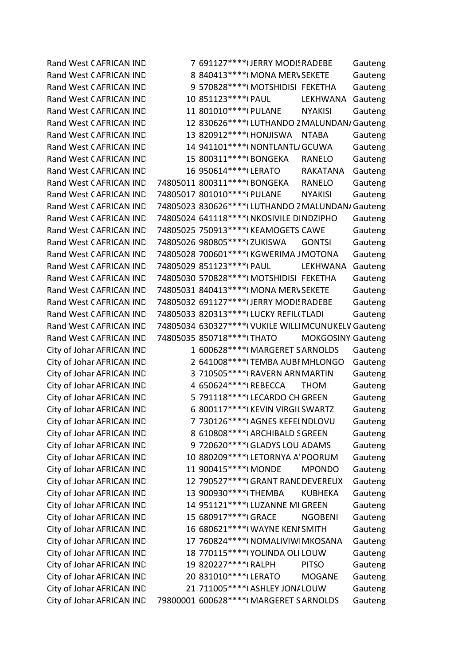Rand West CAFRICAN IND 7 691127\*\*\*\* (JERRY MODI: RADEBE Gauteng Rand West CAFRICAN IND 8 840413\*\*\*\*(MONA MERV SEKETE Gauteng Rand West CAFRICAN IND 9 570828\*\*\*\*(MOTSHIDISI FEKETHA Gauteng Rand West CAFRICAN IND 10 851123\*\*\*\*\*(PAUL LEKHWANA Gauteng Rand West CAFRICAN IND 11 801010\*\*\*\*(PULANE NYAKISI Gauteng Rand West CAFRICAN IND 12 830626\*\*\*\* (LUTHANDO ZMALUNDAN/ Gauteng Rand West CAFRICAN IND 13 820912\*\*\*\*(HONJISWA NTABA Gauteng Rand West CAFRICAN IND 14 941101\*\*\*\*\*(NONTLANTLAGCUWA Gauteng Rand West CAFRICAN IND 15 800311\*\*\*\*(BONGEKA RANELO Gauteng Rand West CAFRICAN IND 16 950614\*\*\*\*\*(LERATO RAKATANA Gauteng Rand West CAFRICAN IND 74805011 800311\*\*\*\* (BONGEKA RANELO Gauteng Rand West CAFRICAN IND 74805017 801010\*\*\*\*(PULANE NYAKISI Gauteng Rand West CAFRICAN IND 74805023 830626\*\*\*\* (LUTHANDO ZMALUNDAN/ Gauteng Rand West CAFRICAN IND 74805024 641118\*\*\*\*(NKOSIVILE DINDZIPHO Gauteng Rand West CAFRICAN IND 74805025 750913\*\*\*\*(KEAMOGETS CAWE Gauteng Rand West CAFRICAN IND 74805026 980805\*\*\*\* (ZUKISWA GONTSI Gauteng Rand West CAFRICAN IND 74805028 700601\*\*\*\*(KGWERIMA JMOTONA Gauteng Rand West CAFRICAN IND 74805029 851123\*\*\*\* (PAUL LEKHWANA Gauteng Rand West CAFRICAN IND 74805030 570828\*\*\*\*(MOTSHIDISI FEKETHA Gauteng Rand West CAFRICAN IND 74805031 840413\*\*\*\* (MONA MERV SEKETE Gauteng Rand West CAFRICAN IND 74805032 691127\*\*\*\* (JERRY MODI: RADEBE Gauteng Rand West CAFRICAN IND 74805033 820313\*\*\*\* (LUCKY REFILITLADI Gauteng Rand West CAFRICAN IND 74805034 630327\*\*\*\*(VUKILE WILLIMCUNUKELV Gauteng Rand West CAFRICAN IND 74805035 850718\*\*\*\* (THATO MOKGOSINY Gauteng City of Johar AFRICAN IND 1 600628\*\*\*\*(MARGERET SARNOLDS Gauteng City of Johar AFRICAN IND 2 641008\*\*\*\* (TEMBA AUBF MHLONGO Gauteng City of Johar AFRICAN IND 3 710505\*\*\*\*\*(RAVERN ARN MARTIN Gauteng City of Johar AFRICAN IND 4 650624\*\*\*\*(REBECCA THOM Gauteng City of Johar AFRICAN IND 5 791118\*\*\*\* (LECARDO CH GREEN Gauteng City of Johar AFRICAN IND 6 800117\*\*\*\*(KEVIN VIRGIL SWARTZ Gauteng City of Johar AFRICAN IND 7 730126\*\*\*\*(AGNES KEFEL NDLOVU Gauteng City of Johar AFRICAN IND 8 610808\*\*\*\*(ARCHIBALD SGREEN Gauteng City of Johar AFRICAN IND 9 720620\*\*\*\*(GLADYS LOUI ADAMS Gauteng City of Johar AFRICAN IND 10 880209\*\*\*\* (LETORNYA A' POORUM Gauteng City of Johar AFRICAN IND 11 900415\*\*\*\*(MONDE MPONDO Gauteng City of Johar AFRICAN IND 12 790527\*\*\*\*\*(GRANT RANL DEVEREUX Gauteng City of Johar AFRICAN IND 13 900930\*\*\*\* (THEMBA KUBHEKA Gauteng City of Johar AFRICAN IND 14 951121\*\*\*\* (LUZANNE MI GREEN Gauteng City of Johar AFRICAN IND 15 680917\*\*\*\*\*(GRACE NGOBENI Gauteng City of Johar AFRICAN IND 16 680621\*\*\*\*\*(WAYNE KENI SMITH Gauteng City of Johar AFRICAN IND 17 760824\*\*\*\*\*( NOMALIVIW MKOSANA Gauteng City of Johar AFRICAN IND 18 770115\*\*\*\*\*(YOLINDA OLI LOUW Gauteng City of Johar AFRICAN IND 19 820227\*\*\*\*(RALPH PITSO Gauteng City of Johar AFRICAN IND 20 831010\*\*\*\*\*(LERATO MOGANE Gauteng City of Johar AFRICAN IND 21 711005 \*\*\*\* (ASHLEY JONALOUW Gauteng City of Johar AFRICAN IND 79800001 600628\*\*\*\*(MARGERET SARNOLDS Gauteng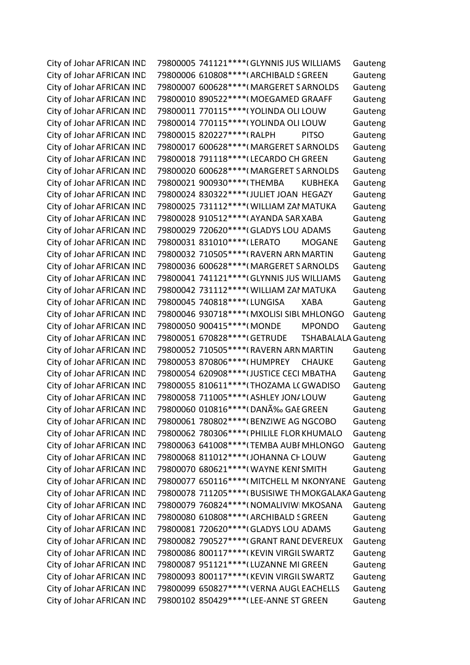City of Johar AFRICAN IND 79800005 741121\*\*\*\* (GLYNNIS JUS WILLIAMS Gauteng City of Johar AFRICAN IND 79800006 610808\*\*\*\*(ARCHIBALD SGREEN Gauteng City of Johar AFRICAN IND 79800007 600628\*\*\*\*(MARGERET SARNOLDS Gauteng City of Johar AFRICAN IND 79800010 890522\*\*\*\*(MOEGAMED GRAAFF Gauteng City of Johar AFRICAN IND 79800011 770115\*\*\*\*(YOLINDA OLI LOUW Gauteng City of Johar AFRICAN IND 79800014 770115\*\*\*\*(YOLINDA OLI LOUW Gauteng City of Johar AFRICAN IND 79800015 820227\*\*\*\* (RALPH PITSO Gauteng City of Johar AFRICAN IND 79800017 600628\*\*\*\*(MARGERET SARNOLDS Gauteng City of Johar AFRICAN IND 79800018 791118\*\*\*\*(LECARDO CH GREEN Gauteng City of Johar AFRICAN IND 79800020 600628\*\*\*\*(MARGERET SARNOLDS Gauteng City of Johar AFRICAN IND 79800021 900930\*\*\*\*(THEMBA KUBHEKA Gauteng City of Johar AFRICAN IND 79800024 830322\*\*\*\* (JULIET JOAN HEGAZY Gauteng City of Johar AFRICAN IND 79800025 731112\*\*\*\*(WILLIAM ZAI MATUKA Gauteng City of Johar AFRICAN IND 79800028 910512\*\*\*\*(AYANDA SAR XABA Gauteng City of Johar AFRICAN IND 79800029 720620\*\*\*\* (GLADYS LOU ADAMS Gauteng City of Johar AFRICAN IND 79800031 831010\*\*\*\* (LERATO MOGANE Gauteng City of Johar AFRICAN IND 79800032 710505\*\*\*\*(RAVERN ARN MARTIN Gauteng City of Johar AFRICAN IND 79800036 600628\*\*\*\*(MARGERET SARNOLDS Gauteng City of Johar AFRICAN IND 79800041 741121\*\*\*\* (GLYNNIS JUS WILLIAMS Gauteng City of Johar AFRICAN IND 79800042 731112\*\*\*\*(WILLIAM ZAI MATUKA Gauteng City of Johar AFRICAN IND 79800045 740818\*\*\*\* (LUNGISA XABA Gauteng City of Johar AFRICAN IND 79800046 930718\*\*\*\*( MXOLISI SIBL MHLONGO Gauteng City of Johar AFRICAN IND 79800050 900415\*\*\*\* (MONDE MPONDO Gauteng City of Johar AFRICAN IND 79800051 670828\*\*\*\* (GETRUDE TSHABALALA Gauteng City of Johar AFRICAN IND 79800052 710505\*\*\*\*(RAVERN ARN MARTIN Gauteng City of Johar AFRICAN IND 79800053 870806\*\*\*\*(HUMPREY CHAUKE Gauteng City of Johar AFRICAN IND 79800054 620908\*\*\*\*(JUSTICE CECI MBATHA Gauteng City of Johar AFRICAN IND 79800055 810611\*\*\*\*(THOZAMA LCGWADISO Gauteng City of Johar AFRICAN IND 79800058 711005\*\*\*\*(ASHLEY JON/LOUW Gauteng City of Johar AFRICAN IND 79800060 010816\*\*\*\*( $DAN\widetilde{A}\%$  GAE GREEN Gauteng City of Johar AFRICAN IND 79800061 780802\*\*\*\*(BENZIWE AG NGCOBO Gauteng City of Johar AFRICAN IND 79800062 780306\*\*\*\*(PHILILE FLOR KHUMALO Gauteng City of Johar AFRICAN IND 79800063 641008\*\*\*\* (TEMBA AUBI MHLONGO Gauteng City of Johar AFRICAN IND 79800068 811012\*\*\*\* (JOHANNA CHLOUW Gauteng City of Johar AFRICAN IND 79800070 680621\*\*\*\*(WAYNE KENI SMITH Gauteng City of Johar AFRICAN IND 79800077 650116\*\*\*\*(MITCHELL M NKONYANE Gauteng City of Johar AFRICAN IND 79800078 711205\*\*\*\*(BUSISIWE TH MOKGALAKA Gauteng City of Johar AFRICAN IND 79800079 760824\*\*\*\*( NOMALIVIW MKOSANA Gauteng City of Johar AFRICAN IND 79800080 610808\*\*\*\*(ARCHIBALD SGREEN Gauteng City of Johar AFRICAN IND 79800081 720620\*\*\*\* (GLADYS LOU ADAMS Gauteng City of Johar AFRICAN IND 79800082 790527\*\*\*\*(GRANT RANL DEVEREUX Gauteng City of Johar AFRICAN IND 79800086 800117\*\*\*\*(KEVIN VIRGIL SWARTZ Gauteng City of Johar AFRICAN IND 79800087 951121\*\*\*\* (LUZANNE MI GREEN Gauteng City of Johar AFRICAN IND 79800093 800117\*\*\*\*(KEVIN VIRGIL SWARTZ Gauteng City of Johar AFRICAN IND 79800099 650827\*\*\*\*(VERNA AUGL EACHELLS Gauteng City of Johar AFRICAN IND 79800102 850429\*\*\*\*(LEE-ANNE ST GREEN Gauteng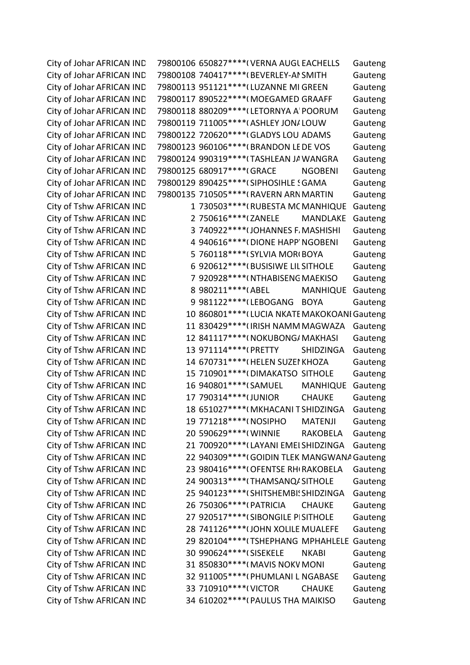City of Johar AFRICAN IND 79800106 650827\*\*\*\*(VERNA AUGL EACHELLS Gauteng City of Johar AFRICAN IND 79800108 740417\*\*\*\* (BEVERLEY-AI SMITH Gauteng City of Johar AFRICAN IND 79800113 951121\*\*\*\* (LUZANNE MI GREEN Gauteng City of Johar AFRICAN IND 79800117 890522\*\*\*\*(MOEGAMED GRAAFF Gauteng City of Johar AFRICAN IND 79800118 880209\*\*\*\* (LETORNYA A' POORUM Gauteng City of Johar AFRICAN IND 79800119 711005\*\*\*\*(ASHLEY JON/LOUW Gauteng City of Johar AFRICAN IND 79800122 720620\*\*\*\* (GLADYS LOU ADAMS Gauteng City of Johar AFRICAN IND 79800123 960106\*\*\*\*(BRANDON LE DE VOS Gauteng City of Johar AFRICAN IND 79800124 990319\*\*\*\*(TASHLEAN JA WANGRA Gauteng City of Johar AFRICAN IND 79800125 680917\*\*\*\* (GRACE NGOBENI Gauteng City of Johar AFRICAN IND 79800129 890425\*\*\*\* (SIPHOSIHLE SGAMA Gauteng City of Johar AFRICAN IND 79800135 710505\*\*\*\*(RAVERN ARN MARTIN Gauteng City of Tshw AFRICAN IND 1 730503\*\*\*\*\*(RUBESTA MC MANHIQUE Gauteng City of Tshw AFRICAN IND 2 750616\*\*\*\*(ZANELE MANDLAKE Gauteng City of Tshw AFRICAN IND 3 740922\*\*\*\* (JOHANNES F. MASHISHI Gauteng City of Tshw AFRICAN IND 4 940616\*\*\*\*(DIONE HAPP' NGOBENI Gauteng City of Tshw AFRICAN IND 5 760118\*\*\*\* (SYLVIA MORI BOYA Gauteng City of Tshw AFRICAN IND 6 920612\*\*\*\*(BUSISIWE LIL SITHOLE Gauteng City of Tshw AFRICAN IND 7 920928\*\*\*\*(NTHABISENG MAEKISO Gauteng City of Tshw AFRICAN IND 8 980211\*\*\*\*(ABEL MANHIQUE Gauteng City of Tshw AFRICAN IND 9981122\*\*\*\*(LEBOGANG BOYA Gauteng City of Tshw AFRICAN IND 10 860801\*\*\*\* (LUCIA NKATE MAKOKOANI Gauteng City of Tshw AFRICAN IND 11 830429\*\*\*\* (IRISH NAMM MAGWAZA Gauteng City of Tshw AFRICAN IND 12 841117\*\*\*\*(NOKUBONG/MAKHASI Gauteng City of Tshw AFRICAN IND 13 971114\*\*\*\*(PRETTY SHIDZINGA Gauteng City of Tshw AFRICAN IND 14 670731\*\*\*\* (HELEN SUZEI KHOZA Gauteng City of Tshw AFRICAN IND 15 710901\*\*\*\*(DIMAKATSO SITHOLE Gauteng City of Tshw AFRICAN IND 16 940801\*\*\*\*(SAMUEL MANHIQUE Gauteng City of Tshw AFRICAN IND 17 790314\*\*\*\* UUNIOR CHAUKE Gauteng City of Tshw AFRICAN IND 18 651027\*\*\*\*(MKHACANI TSHIDZINGA Gauteng City of Tshw AFRICAN IND 19 771218\*\*\*\*(NOSIPHO MATENJI Gauteng City of Tshw AFRICAN IND 20 590629\*\*\*\*(WINNIE RAKOBELA Gauteng City of Tshw AFRICAN IND 21 700920\*\*\*\* (LAYANI EMEI SHIDZINGA Gauteng City of Tshw AFRICAN IND 22 940309\*\*\*\*(GOIDIN TLEK MANGWANA Gauteng City of Tshw AFRICAN IND 23 980416\*\*\*\*(OFENTSE RH(RAKOBELA Gauteng City of Tshw AFRICAN IND 24 900313\*\*\*\*(THAMSANQA SITHOLE Gauteng City of Tshw AFRICAN IND 25 940123\*\*\*\* (SHITSHEMBI: SHIDZINGA Gauteng City of Tshw AFRICAN IND 26 750306\*\*\*\*(PATRICIA CHAUKE Gauteng City of Tshw AFRICAN IND 27 920517\*\*\*\* (SIBONGILE PISITHOLE Gauteng City of Tshw AFRICAN IND 28 741126\*\*\*\* (JOHN XOLILE MUALEFE Gauteng City of Tshw AFRICAN IND 29 820104\*\*\*\*(TSHEPHANG MPHAHLELE Gauteng City of Tshw AFRICAN IND 30 990624\*\*\*\*(SISEKELE NKABI Gauteng City of Tshw AFRICAN IND 31 850830\*\*\*\*(MAVIS NOKV MONI Gauteng City of Tshw AFRICAN IND 32 911005\*\*\*\*(PHUMLANI L NGABASE Gauteng City of Tshw AFRICAN IND 33 710910\*\*\*\*(VICTOR CHAUKE Gauteng City of Tshw AFRICAN IND 34 610202\*\*\*\*(PAULUS THA MAIKISO Gauteng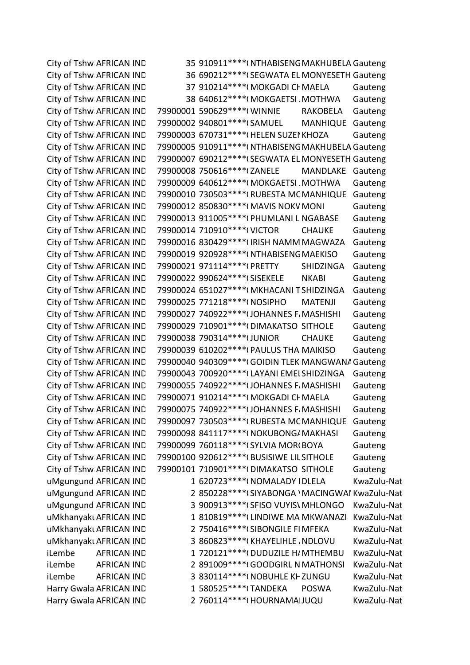City of Tshw AFRICAN IND 35 910911\*\*\*\*( NTHABISENG MAKHUBELA Gauteng City of Tshw AFRICAN IND 36 690212\*\*\*\* (SEGWATA EL MONYESETH Gauteng City of Tshw AFRICAN IND 37 910214\*\*\*\*(MOKGADI CF MAELA Gauteng City of Tshw AFRICAN IND 38 640612\*\*\*\*(MOKGAETSI MOTHWA Gauteng City of Tshw AFRICAN IND 79900001 590629\*\*\*\*(WINNIE RAKOBELA Gauteng City of Tshw AFRICAN IND 79900002 940801\*\*\*\* (SAMUEL MANHIQUE Gauteng City of Tshw AFRICAN IND 79900003 670731\*\*\*\*(HELEN SUZEI KHOZA Gauteng City of Tshw AFRICAN IND 79900005 910911\*\*\*\*( NTHABISENG MAKHUBELA Gauteng City of Tshw AFRICAN IND 79900007 690212\*\*\*\* (SEGWATA EL MONYESETH Gauteng City of Tshw AFRICAN IND 79900008 750616\*\*\*\*(ZANELE MANDLAKE Gauteng City of Tshw AFRICAN IND 79900009 640612\*\*\*\*(MOKGAETSI MOTHWA Gauteng City of Tshw AFRICAN IND 79900010 730503\*\*\*\*(RUBESTA MC MANHIQUE Gauteng City of Tshw AFRICAN IND 79900012 850830\*\*\*\*(MAVIS NOKV MONI Gauteng City of Tshw AFRICAN IND 79900013 911005\*\*\*\*(PHUMLANI L NGABASE Gauteng City of Tshw AFRICAN IND 79900014 710910\*\*\*\*(VICTOR CHAUKE Gauteng City of Tshw AFRICAN IND 79900016 830429\*\*\*\* (IRISH NAMM MAGWAZA Gauteng City of Tshw AFRICAN IND 79900019 920928\*\*\*\*( NTHABISENG MAEKISO Gauteng City of Tshw AFRICAN IND 79900021 971114\*\*\*\*(PRETTY SHIDZINGA Gauteng City of Tshw AFRICAN IND 79900022 990624\*\*\*\* (SISEKELE NKABI Gauteng City of Tshw AFRICAN IND 79900024 651027\*\*\*\*(MKHACANI TSHIDZINGA Gauteng City of Tshw AFRICAN IND 79900025 771218\*\*\*\*(NOSIPHO MATENJI Gauteng City of Tshw AFRICAN IND 79900027 740922\*\*\*\* (JOHANNES F. MASHISHI Gauteng City of Tshw AFRICAN IND 79900029 710901\*\*\*\*(DIMAKATSO SITHOLE Gauteng City of Tshw AFRICAN IND 79900038 790314\*\*\*\* (JUNIOR CHAUKE Gauteng City of Tshw AFRICAN IND 79900039 610202\*\*\*\*(PAULUS THA MAIKISO Gauteng City of Tshw AFRICAN IND 79900040 940309\*\*\*\*(GOIDIN TLEK MANGWANA Gauteng City of Tshw AFRICAN IND 79900043 700920\*\*\*\* (LAYANI EMEI SHIDZINGA Gauteng City of Tshw AFRICAN IND 79900055 740922\*\*\*\*(JOHANNES F. MASHISHI Gauteng City of Tshw AFRICAN IND 79900071 910214\*\*\*\*(MOKGADI CHMAELA Gauteng City of Tshw AFRICAN IND 79900075 740922\*\*\*\* (JOHANNES F. MASHISHI Gauteng City of Tshw AFRICAN IND 79900097 730503\*\*\*\*(RUBESTA MC MANHIQUE Gauteng City of Tshw AFRICAN IND 79900098 841117\*\*\*\*(NOKUBONG/MAKHASI Gauteng City of Tshw AFRICAN IND 79900099 760118\*\*\*\* (SYLVIA MORI BOYA Gauteng City of Tshw AFRICAN IND 79900100 920612\*\*\*\*(BUSISIWE LIL SITHOLE Gauteng City of Tshw AFRICAN IND 79900101 710901\*\*\*\*(DIMAKATSO SITHOLE Gauteng uMgungund AFRICAN IND 1 620723\*\*\*\*(NOMALADY IDLELA KwaZulu-Nat uMgungund AFRICAN IND 2 850228\*\*\*\* (SIYABONGA 'MACINGWAI KwaZulu-Nat uMgungund AFRICAN IND 3 900913\*\*\*\*(SFISO VUYIS\ MHLONGO KwaZulu-Nat uMkhanyakı AFRICAN IND 1 810819\*\*\*\* (LINDIWE MA MKWANAZI KwaZulu-Nat uMkhanyakı AFRICAN IND 2 750416\*\*\*\* (SIBONGILE FI MFEKA KwaZulu-Nat uMkhanyakı AFRICAN IND 3 860823\*\*\*\*(KHAYELIHLE , NDLOVU KwaZulu-Nat iLembe AFRICAN IND 1 720121\*\*\*\*(DUDUZILE H/MTHEMBU KwaZulu-Nat iLembe AFRICAN IND 2 891009\*\*\*\*(GOODGIRL N MATHONSI KwaZulu-Nat iLembe AFRICAN IND 3 830114\*\*\*\*(NOBUHLE KHZUNGU KwaZulu-Nat Harry Gwala AFRICAN IND 1 580525\*\*\*\* TANDEKA POSWA KwaZulu-Nat Harry Gwala AFRICAN IND 2 760114\*\*\*\*(HOURNAMA|JUQU KwaZulu-Nat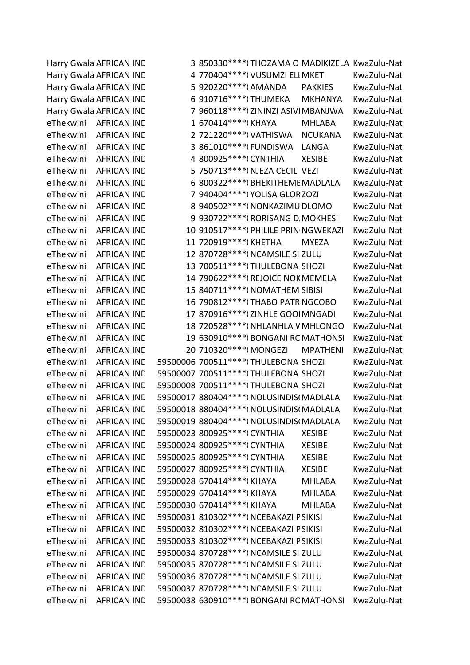Harry Gwala AFRICAN IND 3 850330\*\*\*\*(THOZAMA O MADIKIZELA KwaZulu-Nat Harry Gwala AFRICAN IND 4 770404\*\*\*\*(VUSUMZI ELI MKETI KwaZulu-Nat Harry Gwala AFRICAN IND 5 920220\*\*\*\*(AMANDA PAKKIES KwaZulu-Nat Harry Gwala AFRICAN IND 6 910716\*\*\*\* (THUMEKA MKHANYA KwaZulu-Nat Harry Gwala AFRICAN IND 7 960118\*\*\*\* (ZININZI ASIVI MBANJWA KwaZulu-Nat eThekwini AFRICAN IND 1 670414\*\*\*\*(KHAYA MHLABA KwaZulu-Nat eThekwini AFRICAN IND 2 721220\*\*\*\*(VATHISWA NCUKANA KwaZulu-Nat eThekwini AFRICAN IND 3 861010\*\*\*\*(FUNDISWA LANGA KwaZulu-Nat eThekwini AFRICAN IND 4 800925\*\*\*\*(CYNTHIA XESIBE KwaZulu-Nat eThekwini AFRICAN IND 5 750713\*\*\*\*(NJEZA CECIL VEZI KwaZulu-Nat eThekwini AFRICAN IND 6 800322\*\*\*\*(BHEKITHEME MADLALA KwaZulu-Nat eThekwini AFRICAN IND 7 940404\*\*\*\*(YOLISA GLORZOZI KwaZulu-Nat eThekwini AFRICAN IND 8 940502\*\*\*\*(NONKAZIMU DLOMO KwaZulu-Nat eThekwini AFRICAN IND 9930722\*\*\*\*(RORISANG D. MOKHESI KwaZulu-Nat eThekwini AFRICAN IND 10 910517\*\*\*\*(PHILILE PRIN NGWEKAZI KwaZulu-Nat eThekwini AFRICAN IND 11 720919\*\*\*\*(KHETHA MYEZA KwaZulu-Nat eThekwini AFRICAN IND 12 870728\*\*\*\*(NCAMSILE SI ZULU KwaZulu-Nat eThekwini AFRICAN IND 13 700511\*\*\*\*(THULEBONA SHOZI KwaZulu-Nat eThekwini AFRICAN IND 14 790622\*\*\*\*(REJOICE NOK MEMELA KwaZulu-Nat eThekwini AFRICAN IND 15 840711\*\*\*\*(NOMATHEM SIBISI KwaZulu-Nat eThekwini AFRICAN IND 16 790812\*\*\*\* (THABO PATR NGCOBO KwaZulu-Nat eThekwini AFRICAN IND 17 870916\*\*\*\*(ZINHLE GOOI MNGADI KwaZulu-Nat eThekwini AFRICAN IND 18 720528\*\*\*\*(NHLANHLA V MHLONGO KwaZulu-Nat eThekwini AFRICAN IND 19 630910\*\*\*\*(BONGANI RC MATHONSI KwaZulu-Nat eThekwini AFRICAN IND 20 710320\*\*\*\*(MONGEZI MPATHENI KwaZulu-Nat eThekwini AFRICAN IND 59500006 700511\*\*\*\*(THULEBONA SHOZI KwaZulu-Nat eThekwini AFRICAN IND 59500007 700511\*\*\*\*(THULEBONA SHOZI KwaZulu-Nat eThekwini AFRICAN IND 59500008 700511\*\*\*\*(THULEBONA SHOZI KwaZulu-Nat eThekwini AFRICAN IND 59500017 880404\*\*\*\*(NOLUSINDIS(MADLALA KwaZulu-Nat eThekwini AFRICAN IND 59500018 880404\*\*\*\*(NOLUSINDIS(MADLALA KwaZulu-Nat eThekwini AFRICAN IND 59500019 880404\*\*\*\*(NOLUSINDIS(MADLALA KwaZulu-Nat eThekwini AFRICAN IND 59500023 800925\*\*\*\*(CYNTHIA XESIBE KwaZulu-Nat eThekwini AFRICAN IND 59500024 800925\*\*\*\*(CYNTHIA XESIBE KwaZulu-Nat eThekwini AFRICAN IND 59500025 800925\*\*\*\*(CYNTHIA XESIBE KwaZulu-Nat eThekwini AFRICAN IND 59500027 800925\*\*\*\*(CYNTHIA XESIBE KwaZulu-Nat eThekwini AFRICAN IND 59500028 670414\*\*\*\*(KHAYA MHLABA KwaZulu-Nat eThekwini AFRICAN IND 59500029 670414\*\*\*\*(KHAYA MHLABA KwaZulu-Nat eThekwini AFRICAN IND 59500030 670414\*\*\*\*(KHAYA MHLABA KwaZulu-Nat eThekwini AFRICAN IND 59500031 810302\*\*\*\*(NCEBAKAZI PSIKISI KwaZulu-Nat eThekwini AFRICAN IND 59500032 810302\*\*\*\*(NCEBAKAZI PSIKISI KwaZulu-Nat eThekwini AFRICAN IND 59500033 810302\*\*\*\*(NCEBAKAZI PSIKISI KwaZulu-Nat eThekwini AFRICAN IND 59500034 870728\*\*\*\*(NCAMSILE SI ZULU KwaZulu-Nat eThekwini AFRICAN IND 59500035 870728\*\*\*\*(NCAMSILE SI ZULU KwaZulu-Nat eThekwini AFRICAN IND 59500036 870728\*\*\*\*(NCAMSILE SI ZULU KwaZulu-Nat eThekwini AFRICAN IND 59500037 870728\*\*\*\*(NCAMSILE SI ZULU KwaZulu-Nat eThekwini AFRICAN IND 59500038 630910\*\*\*\*(BONGANI RCMATHONSI KwaZulu-Nat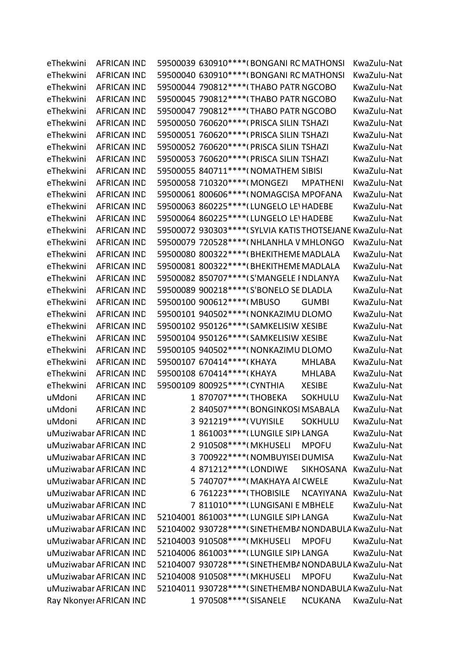| eThekwini | <b>AFRICAN IND</b>      |                                | 59500039 630910 **** (BONGANI RC MATHONSI                 |                       | KwaZulu-Nat |  |
|-----------|-------------------------|--------------------------------|-----------------------------------------------------------|-----------------------|-------------|--|
| eThekwini | <b>AFRICAN IND</b>      |                                | 59500040 630910 **** (BONGANI RC MATHONSI                 |                       | KwaZulu-Nat |  |
| eThekwini | <b>AFRICAN IND</b>      |                                | 59500044 790812 **** (THABO PATR NGCOBO                   |                       | KwaZulu-Nat |  |
| eThekwini | <b>AFRICAN IND</b>      |                                | 59500045 790812 **** (THABO PATR NGCOBO                   |                       | KwaZulu-Nat |  |
| eThekwini | <b>AFRICAN IND</b>      |                                | 59500047 790812 **** (THABO PATR NGCOBO                   |                       | KwaZulu-Nat |  |
| eThekwini | <b>AFRICAN IND</b>      |                                | 59500050 760620 **** (PRISCA SILIN TSHAZI                 |                       | KwaZulu-Nat |  |
| eThekwini | <b>AFRICAN IND</b>      |                                | 59500051 760620 **** (PRISCA SILIN TSHAZI                 |                       | KwaZulu-Nat |  |
| eThekwini | <b>AFRICAN IND</b>      |                                | 59500052 760620 **** (PRISCA SILIN TSHAZI                 |                       | KwaZulu-Nat |  |
| eThekwini | <b>AFRICAN IND</b>      |                                | 59500053 760620 **** (PRISCA SILIN TSHAZI                 |                       | KwaZulu-Nat |  |
| eThekwini | <b>AFRICAN IND</b>      |                                | 59500055 840711 **** (NOMATHEM SIBISI                     |                       | KwaZulu-Nat |  |
| eThekwini | <b>AFRICAN IND</b>      | 59500058 710320 **** (MONGEZI  |                                                           | <b>MPATHENI</b>       | KwaZulu-Nat |  |
| eThekwini | <b>AFRICAN IND</b>      |                                | 59500061 800606***** (NOMAGCISA MPOFANA                   |                       | KwaZulu-Nat |  |
| eThekwini | <b>AFRICAN IND</b>      |                                | 59500063 860225 **** (LUNGELO LE HADEBE                   |                       | KwaZulu-Nat |  |
| eThekwini | <b>AFRICAN IND</b>      |                                | 59500064 860225 **** (LUNGELO LE HADEBE                   |                       | KwaZulu-Nat |  |
| eThekwini | <b>AFRICAN IND</b>      |                                | 59500072 930303 **** (SYLVIA KATIS THOTSEJANE KwaZulu-Nat |                       |             |  |
| eThekwini | <b>AFRICAN IND</b>      |                                | 59500079 720528 **** ( NHLANHLA V MHLONGO                 |                       | KwaZulu-Nat |  |
| eThekwini | <b>AFRICAN IND</b>      |                                | 59500080 800322 **** (BHEKITHEME MADLALA                  |                       | KwaZulu-Nat |  |
| eThekwini | <b>AFRICAN IND</b>      |                                | 59500081 800322 **** (BHEKITHEME MADLALA                  |                       | KwaZulu-Nat |  |
| eThekwini | <b>AFRICAN IND</b>      |                                | 59500082 850707 **** (S'MANGELE I NDLANYA                 |                       | KwaZulu-Nat |  |
| eThekwini | <b>AFRICAN IND</b>      |                                | 59500089 900218 **** (S'BONELO SE DLADLA                  |                       | KwaZulu-Nat |  |
| eThekwini | <b>AFRICAN IND</b>      | 59500100 900612 **** (MBUSO    |                                                           | <b>GUMBI</b>          | KwaZulu-Nat |  |
| eThekwini | <b>AFRICAN IND</b>      |                                | 59500101 940502 **** ( NONKAZIMU DLOMO                    |                       | KwaZulu-Nat |  |
| eThekwini | <b>AFRICAN IND</b>      |                                | 59500102 950126 **** (SAMKELISIW XESIBE                   |                       | KwaZulu-Nat |  |
| eThekwini | <b>AFRICAN IND</b>      |                                | 59500104 950126 **** (SAMKELISIW XESIBE                   |                       | KwaZulu-Nat |  |
| eThekwini | <b>AFRICAN IND</b>      |                                | 59500105 940502 **** ( NONKAZIMU DLOMO                    |                       | KwaZulu-Nat |  |
| eThekwini | <b>AFRICAN IND</b>      | 59500107 670414 **** (KHAYA    |                                                           | <b>MHLABA</b>         | KwaZulu-Nat |  |
| eThekwini | <b>AFRICAN IND</b>      | 59500108 670414 **** (KHAYA    |                                                           | <b>MHLABA</b>         | KwaZulu-Nat |  |
| eThekwini | <b>AFRICAN IND</b>      | 59500109 800925 **** ( CYNTHIA |                                                           | <b>XESIBE</b>         | KwaZulu-Nat |  |
| uMdoni    | <b>AFRICAN IND</b>      | 1 870707*****(THOBEKA          |                                                           | <b>SOKHULU</b>        | KwaZulu-Nat |  |
| uMdoni    | <b>AFRICAN IND</b>      |                                | 2 840507***** (BONGINKOSI MSABALA                         |                       | KwaZulu-Nat |  |
| uMdoni    | <b>AFRICAN IND</b>      | 3 921219 **** ( VUYISILE       |                                                           | <b>SOKHULU</b>        | KwaZulu-Nat |  |
|           | uMuziwabar AFRICAN IND  |                                | 1 861003 **** (LUNGILE SIPI LANGA                         |                       | KwaZulu-Nat |  |
|           | uMuziwabar AFRICAN IND  | 2 910508 **** (MKHUSELI        |                                                           | <b>MPOFU</b>          | KwaZulu-Nat |  |
|           | uMuziwabar AFRICAN IND  |                                | 3 700922 **** (NOMBUYISEI DUMISA                          |                       | KwaZulu-Nat |  |
|           | uMuziwabar AFRICAN IND  | 4 871212 **** (LONDIWE         |                                                           | SIKHOSANA             | KwaZulu-Nat |  |
|           | uMuziwabar AFRICAN IND  |                                | 5 740707****(MAKHAYA AI CWELE                             |                       | KwaZulu-Nat |  |
|           | uMuziwabar AFRICAN IND  | 6 761223 **** (THOBISILE       |                                                           | NCAYIYANA KwaZulu-Nat |             |  |
|           | uMuziwabar AFRICAN IND  |                                | 7 811010 **** (LUNGISANI E MBHELE                         |                       | KwaZulu-Nat |  |
|           | uMuziwabar AFRICAN IND  |                                | 52104001 861003 **** (LUNGILE SIPI LANGA                  |                       | KwaZulu-Nat |  |
|           | uMuziwabar AFRICAN IND  |                                | 52104002 930728 **** (SINETHEMBA NONDABULA KwaZulu-Nat    |                       |             |  |
|           | uMuziwabar AFRICAN IND  | 52104003 910508 **** (MKHUSELI |                                                           | <b>MPOFU</b>          | KwaZulu-Nat |  |
|           | uMuziwabar AFRICAN IND  |                                | 52104006 861003 **** (LUNGILE SIPI LANGA                  |                       | KwaZulu-Nat |  |
|           | uMuziwabar AFRICAN IND  |                                | 52104007 930728 **** (SINETHEMBA NONDABULA KwaZulu-Nat    |                       |             |  |
|           | uMuziwabar AFRICAN IND  | 52104008 910508 **** (MKHUSELI |                                                           | <b>MPOFU</b>          | KwaZulu-Nat |  |
|           | uMuziwabar AFRICAN IND  |                                | 52104011 930728 **** (SINETHEMBA NONDABULA KwaZulu-Nat    |                       |             |  |
|           | Ray Nkonyei AFRICAN IND | 1 970508 **** (SISANELE        |                                                           | <b>NCUKANA</b>        | KwaZulu-Nat |  |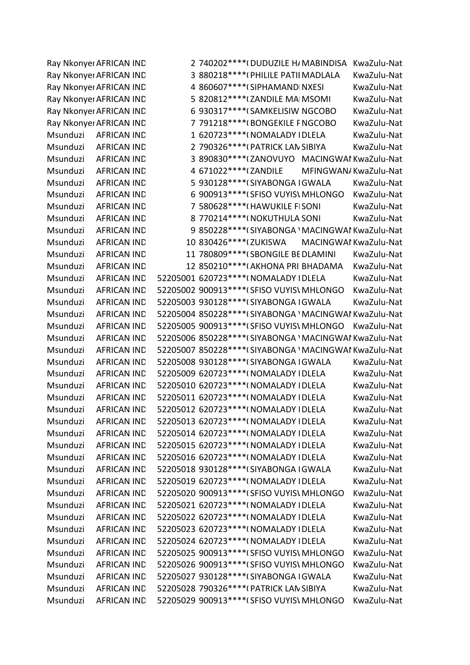Ray Nkonyei AFRICAN IND 2 740202\*\*\*\*\*(DUDUZILE H/MABINDISA KwaZulu-Nat Ray Nkonyei AFRICAN IND 3 880218\*\*\*\*(PHILILE PATII MADLALA KwaZulu-Nat Ray Nkonyei AFRICAN IND 4 860607\*\*\*\* (SIPHAMAND NXESI KwaZulu-Nat Ray Nkonyei AFRICAN IND 5 820812\*\*\*\* (ZANDILE MAI MSOMI KwaZulu-Nat Ray Nkonyei AFRICAN IND 6 930317\*\*\*\* (SAMKELISIW NGCOBO KwaZulu-Nat Ray Nkonyei AFRICAN IND 7 791218\*\*\*\* (BONGEKILE FNGCOBO KwaZulu-Nat Msunduzi AFRICAN IND 1 620723\*\*\*\*(NOMALADY IDLELA KwaZulu-Nat Msunduzi AFRICAN IND 2 790326\*\*\*\*(PATRICK LAN SIBIYA KwaZulu-Nat Msunduzi AFRICAN IND 3 890830\*\*\*\* (ZANOVUYO MACINGWAI KwaZulu-Nat Msunduzi AFRICAN IND 4 671022\*\*\*\*(ZANDILE MFINGWAN/KwaZulu-Nat Msunduzi AFRICAN IND 5 930128\*\*\*\*(SIYABONGA IGWALA KwaZulu-Nat Msunduzi AFRICAN IND 6 900913\*\*\*\* (SFISO VUYIS\ MHLONGO KwaZulu-Nat Msunduzi AFRICAN IND 7 580628\*\*\*\*(HAWUKILE FISONI KwaZulu-Nat Msunduzi AFRICAN IND 8 770214\*\*\*\*(NOKUTHULA SONI KwaZulu-Nat Msunduzi AFRICAN IND 9 850228\*\*\*\* (SIYABONGA 'MACINGWAI KwaZulu-Nat Msunduzi AFRICAN IND 10 830426\*\*\*\* (ZUKISWA MACINGWAI KwaZulu-Nat Msunduzi AFRICAN IND 11 780809\*\*\*\*(SBONGILE BE DLAMINI KwaZulu-Nat Msunduzi AFRICAN IND 12 850210\*\*\*\*(AKHONA PRI BHADAMA KwaZulu-Nat Msunduzi AFRICAN IND 52205001 620723\*\*\*\*(NOMALADY IDLELA KwaZulu-Nat Msunduzi AFRICAN IND 52205002 900913\*\*\*\*(SFISO VUYIS\ MHLONGO KwaZulu-Nat Msunduzi AFRICAN IND 52205003 930128\*\*\*\* (SIYABONGA I GWALA KwaZulu-Nat Msunduzi AFRICAN IND 52205004 850228\*\*\*\*(SIYABONGA 'MACINGWAI KwaZulu-Nat Msunduzi AFRICAN IND 52205005 900913\*\*\*\*(SFISO VUYIS\ MHLONGO KwaZulu-Nat Msunduzi AFRICAN IND 52205006 850228\*\*\*\*(SIYABONGA 'MACINGWAI KwaZulu-Nat Msunduzi AFRICAN IND 52205007 850228\*\*\*\* (SIYABONGA 'MACINGWAI KwaZulu-Nat Msunduzi AFRICAN IND 52205008 930128\*\*\*\*(SIYABONGA IGWALA KwaZulu-Nat Msunduzi AFRICAN IND 52205009 620723\*\*\*\*(NOMALADY IDLELA KwaZulu-Nat Msunduzi AFRICAN IND 52205010 620723\*\*\*\*(NOMALADY IDLELA KwaZulu-Nat Msunduzi AFRICAN IND 52205011 620723\*\*\*\*(NOMALADY IDLELA KwaZulu-Nat Msunduzi AFRICAN IND 52205012 620723\*\*\*\*(NOMALADY IDLELA KwaZulu-Nat Msunduzi AFRICAN IND 52205013 620723\*\*\*\*(NOMALADY IDLELA KwaZulu-Nat Msunduzi AFRICAN IND 52205014 620723\*\*\*\*(NOMALADY IDLELA KwaZulu-Nat Msunduzi AFRICAN IND 52205015 620723\*\*\*\*(NOMALADY IDLELA KwaZulu-Nat Msunduzi AFRICAN IND 52205016 620723\*\*\*\*(NOMALADY IDLELA KwaZulu-Nat Msunduzi AFRICAN IND 52205018 930128\*\*\*\*(SIYABONGA IGWALA KwaZulu-Nat Msunduzi AFRICAN IND 52205019 620723\*\*\*\*(NOMALADY IDLELA KwaZulu-Nat Msunduzi AFRICAN IND 52205020 900913\*\*\*\*(SFISO VUYIS\ MHLONGO KwaZulu-Nat Msunduzi AFRICAN IND 52205021 620723\*\*\*\*(NOMALADY IDLELA KwaZulu-Nat Msunduzi AFRICAN IND 52205022 620723\*\*\*\*(NOMALADY IDLELA KwaZulu-Nat Msunduzi AFRICAN IND 52205023 620723\*\*\*\*(NOMALADY IDLELA KwaZulu-Nat Msunduzi AFRICAN IND 52205024 620723\*\*\*\*(NOMALADY IDLELA KwaZulu-Nat Msunduzi AFRICAN IND 52205025 900913\*\*\*\*(SFISO VUYIS\ MHLONGO KwaZulu-Nat Msunduzi AFRICAN IND 52205026 900913\*\*\*\*(SFISO VUYIS\ MHLONGO KwaZulu-Nat Msunduzi AFRICAN IND 52205027 930128\*\*\*\* (SIYABONGA I GWALA KwaZulu-Nat Msunduzi AFRICAN IND 52205028 790326\*\*\*\*(PATRICK LAN SIBIYA KwaZulu-Nat Msunduzi AFRICAN IND 52205029 900913\*\*\*\*(SFISO VUYIS\ MHLONGO KwaZulu-Nat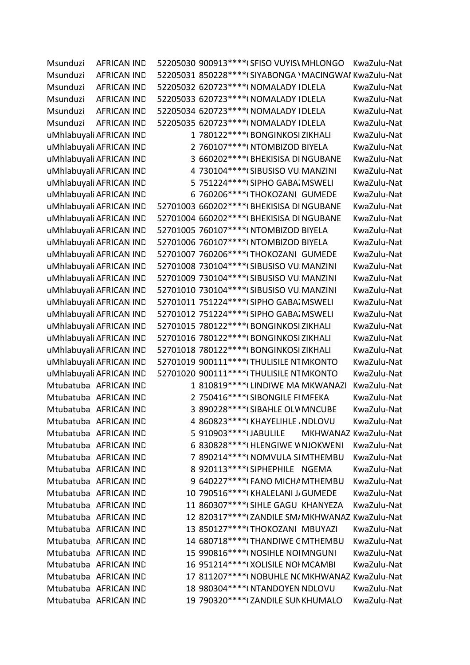| Msunduzi | AFRICAN IND             | 52205030 900913 **** (SFISO VUYIS MHLONGO               |  | KwaZulu-Nat          |  |
|----------|-------------------------|---------------------------------------------------------|--|----------------------|--|
| Msunduzi | <b>AFRICAN IND</b>      | 52205031 850228 **** (SIYABONGA ' MACINGWAI KwaZulu-Nat |  |                      |  |
| Msunduzi | <b>AFRICAN IND</b>      | 52205032 620723 **** ( NOMALADY I DLELA                 |  | KwaZulu-Nat          |  |
| Msunduzi | <b>AFRICAN IND</b>      | 52205033 620723 **** ( NOMALADY IDLELA                  |  | KwaZulu-Nat          |  |
| Msunduzi | <b>AFRICAN IND</b>      | 52205034 620723 **** ( NOMALADY IDLELA                  |  | KwaZulu-Nat          |  |
| Msunduzi | <b>AFRICAN IND</b>      | 52205035 620723 **** ( NOMALADY IDLELA                  |  | KwaZulu-Nat          |  |
|          | uMhlabuyali AFRICAN IND | 1 780122 **** (BONGINKOSI ZIKHALI                       |  | KwaZulu-Nat          |  |
|          | uMhlabuyali AFRICAN IND | 2 760107**** (NTOMBIZOD BIYELA                          |  | KwaZulu-Nat          |  |
|          | uMhlabuyali AFRICAN IND | 3 660202 **** (BHEKISISA DI NGUBANE                     |  | KwaZulu-Nat          |  |
|          | uMhlabuyali AFRICAN IND | 4 730104 **** (SIBUSISO VU MANZINI                      |  | KwaZulu-Nat          |  |
|          | uMhlabuyali AFRICAN IND | 5 751224 **** (SIPHO GABA MSWELI                        |  | KwaZulu-Nat          |  |
|          | uMhlabuyali AFRICAN IND | 6 760206*****(THOKOZANI GUMEDE                          |  | KwaZulu-Nat          |  |
|          | uMhlabuyali AFRICAN IND | 52701003 660202 **** (BHEKISISA DI NGUBANE              |  | KwaZulu-Nat          |  |
|          | uMhlabuyali AFRICAN IND | 52701004 660202**** (BHEKISISA DI NGUBANE               |  | KwaZulu-Nat          |  |
|          | uMhlabuyali AFRICAN IND | 52701005 760107**** (NTOMBIZOD BIYELA                   |  | KwaZulu-Nat          |  |
|          | uMhlabuyali AFRICAN IND | 52701006 760107**** (NTOMBIZOD BIYELA                   |  | KwaZulu-Nat          |  |
|          | uMhlabuyali AFRICAN IND | 52701007 760206 **** (THOKOZANI GUMEDE                  |  | KwaZulu-Nat          |  |
|          | uMhlabuyali AFRICAN IND | 52701008 730104 **** (SIBUSISO VU MANZINI               |  | KwaZulu-Nat          |  |
|          | uMhlabuyali AFRICAN IND | 52701009 730104 **** (SIBUSISO VU MANZINI               |  | KwaZulu-Nat          |  |
|          | uMhlabuyali AFRICAN IND | 52701010 730104 **** (SIBUSISO VU MANZINI               |  | KwaZulu-Nat          |  |
|          | uMhlabuyali AFRICAN IND | 52701011 751224 **** (SIPHO GABA MSWELI                 |  | KwaZulu-Nat          |  |
|          | uMhlabuyali AFRICAN IND | 52701012 751224 **** (SIPHO GABA: MSWELI                |  | KwaZulu-Nat          |  |
|          | uMhlabuyali AFRICAN IND | 52701015 780122 **** (BONGINKOSI ZIKHALI                |  | KwaZulu-Nat          |  |
|          | uMhlabuyali AFRICAN IND | 52701016 780122 **** (BONGINKOSI ZIKHALI                |  | KwaZulu-Nat          |  |
|          | uMhlabuyali AFRICAN IND | 52701018 780122 **** (BONGINKOSI ZIKHALI                |  | KwaZulu-Nat          |  |
|          | uMhlabuyali AFRICAN IND | 52701019 900111 **** (THULISILE NTMKONTO                |  | KwaZulu-Nat          |  |
|          | uMhlabuyali AFRICAN IND | 52701020 900111 **** (THULISILE NTMKONTO                |  | KwaZulu-Nat          |  |
|          | Mtubatuba AFRICAN IND   | 1 810819 **** (LINDIWE MA MKWANAZI                      |  | KwaZulu-Nat          |  |
|          | Mtubatuba AFRICAN IND   | 2 750416**** (SIBONGILE FI MFEKA                        |  | KwaZulu-Nat          |  |
|          | Mtubatuba AFRICAN IND   | 3 890228 **** (SIBAHLE OLV MNCUBE                       |  | KwaZulu-Nat          |  |
|          | Mtubatuba AFRICAN IND   | 4 860823 **** (KHAYELIHLE, NDLOVU                       |  | KwaZulu-Nat          |  |
|          | Mtubatuba AFRICAN IND   | 5 910903 **** (JABULILE                                 |  | MKHWANAZ KwaZulu-Nat |  |
|          | Mtubatuba AFRICAN IND   | 6 830828 **** (HLENGIWE V NJOKWENI                      |  | KwaZulu-Nat          |  |
|          | Mtubatuba AFRICAN IND   | 7 890214 **** (NOMVULA SIMTHEMBU                        |  | KwaZulu-Nat          |  |
|          | Mtubatuba AFRICAN IND   | 8 920113 **** (SIPHEPHILE NGEMA                         |  | KwaZulu-Nat          |  |
|          | Mtubatuba AFRICAN IND   | 9 640227 **** (FANO MICHA MTHEMBU                       |  | KwaZulu-Nat          |  |
|          | Mtubatuba AFRICAN IND   | 10 790516 **** (KHALELANI J, GUMEDE                     |  | KwaZulu-Nat          |  |
|          | Mtubatuba AFRICAN IND   | 11 860307 **** (SIHLE GAGU KHANYEZA                     |  | KwaZulu-Nat          |  |
|          | Mtubatuba AFRICAN IND   | 12 820317**** (ZANDILE SM/ MKHWANAZ KwaZulu-Nat         |  |                      |  |
|          | Mtubatuba AFRICAN IND   | 13 850127 **** (THOKOZANI MBUYAZI                       |  | KwaZulu-Nat          |  |
|          | Mtubatuba AFRICAN IND   | 14 680718 **** (THANDIWE C MTHEMBU                      |  | KwaZulu-Nat          |  |
|          | Mtubatuba AFRICAN IND   | 15 990816****(NOSIHLE NOI MNGUNI                        |  | KwaZulu-Nat          |  |
|          | Mtubatuba AFRICAN IND   | 16 951214 **** (XOLISILE NOI MCAMBI                     |  | KwaZulu-Nat          |  |
|          | Mtubatuba AFRICAN IND   | 17 811207**** (NOBUHLE N(MKHWANAZ KwaZulu-Nat           |  |                      |  |
|          | Mtubatuba AFRICAN IND   | 18 980304 **** (NTANDOYEN NDLOVU                        |  | KwaZulu-Nat          |  |
|          | Mtubatuba AFRICAN IND   | 19 790320 **** (ZANDILE SUN KHUMALO                     |  | KwaZulu-Nat          |  |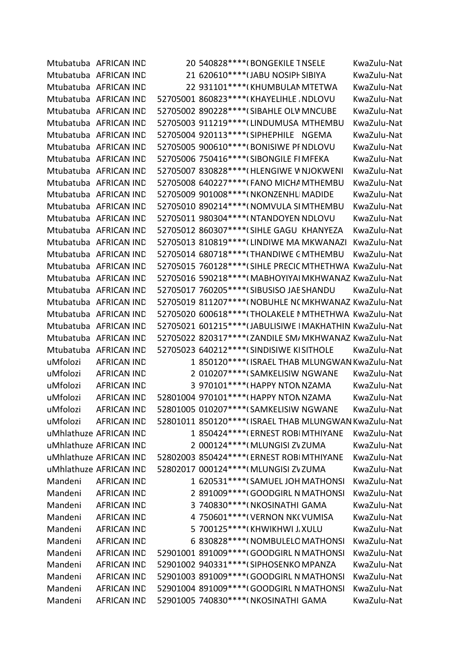Mtubatuba AFRICAN IND 20 540828\*\*\*\*(BONGEKILE TNSELE KwaZulu-Nat Mtubatuba AFRICAN IND 21 620610\*\*\*\*(JABU NOSIPH SIBIYA KwaZulu-Nat Mtubatuba AFRICAN IND 22 931101\*\*\*\*(KHUMBULAN MTETWA KwaZulu-Nat Mtubatuba AFRICAN IND 52705001 860823\*\*\*\*(KHAYELIHLE NDLOVU KwaZulu-Nat Mtubatuba AFRICAN IND 52705002 890228\*\*\*\*(SIBAHLE OLW MNCUBE KwaZulu-Nat Mtubatuba AFRICAN IND 52705003 911219\*\*\*\* (LINDUMUSA MTHEMBU KwaZulu-Nat Mtubatuba AFRICAN IND 52705004 920113\*\*\*\*(SIPHEPHILE NGEMA KwaZulu-Nat Mtubatuba AFRICAN IND 52705005 900610\*\*\*\*(BONISIWE PF NDLOVU KwaZulu-Nat Mtubatuba AFRICAN IND 52705006 750416\*\*\*\* (SIBONGILE FI MFEKA KwaZulu-Nat Mtubatuba AFRICAN IND 52705007 830828\*\*\*\*(HLENGIWE W NJOKWENI KwaZulu-Nat Mtubatuba AFRICAN IND 52705008 640227\*\*\*\*(FANO MICHA MTHEMBU KwaZulu-Nat Mtubatuba AFRICAN IND 52705009 901008\*\*\*\*(NKONZENHLIMADIDE KwaZulu-Nat Mtubatuba AFRICAN IND 52705010 890214\*\*\*\*(NOMVULA SIMTHEMBU KwaZulu-Nat Mtubatuba AFRICAN IND 52705011 980304\*\*\*\*(NTANDOYEN NDLOVU KwaZulu-Nat Mtubatuba AFRICAN IND 52705012 860307\*\*\*\*(SIHLE GAGU KHANYEZA KwaZulu-Nat Mtubatuba AFRICAN IND 52705013 810819\*\*\*\* (LINDIWE MA MKWANAZI KwaZulu-Nat Mtubatuba AFRICAN IND 52705014 680718\*\*\*\*(THANDIWE CMTHEMBU KwaZulu-Nat Mtubatuba AFRICAN IND 52705015 760128\*\*\*\*(SIHLE PRECIC MTHETHWA KwaZulu-Nat Mtubatuba AFRICAN IND 52705016 590218\*\*\*\*(MABHOYIYAI MKHWANAZ KwaZulu-Nat Mtubatuba AFRICAN IND 52705017 760205\*\*\*\*(SIBUSISO JAESHANDU KwaZulu-Nat Mtubatuba AFRICAN IND 52705019 811207\*\*\*\*(NOBUHLE N(MKHWANAZ KwaZulu-Nat Mtubatuba AFRICAN IND 52705020 600618\*\*\*\*(THOLAKELE MTHETHWA KwaZulu-Nat Mtubatuba AFRICAN IND 52705021 601215\*\*\*\* (JABULISIWE IMAKHATHIN KwaZulu-Nat Mtubatuba AFRICAN IND 52705022 820317\*\*\*\*(ZANDILE SM/MKHWANAZ KwaZulu-Nat Mtubatuba AFRICAN IND 52705023 640212\*\*\*\* (SINDISIWE KISITHOLE KwaZulu-Nat uMfolozi AFRICAN IND 1 850120\*\*\*\*(ISRAEL THAB MLUNGWAN KwaZulu-Nat uMfolozi AFRICAN IND 2 010207\*\*\*\*(SAMKELISIW NGWANE KwaZulu-Nat uMfolozi AFRICAN IND 3 970101\*\*\*\*(HAPPY NTON NZAMA KwaZulu-Nat uMfolozi AFRICAN IND 52801004 970101\*\*\*\*(HAPPY NTON NZAMA KwaZulu-Nat uMfolozi AFRICAN IND 52801005 010207\*\*\*\*(SAMKELISIW NGWANE KwaZulu-Nat uMfolozi AFRICAN IND 52801011 850120\*\*\*\*(ISRAEL THAB MLUNGWAN KwaZulu-Nat uMhlathuze AFRICAN IND 1 850424\*\*\*\*\*(ERNEST ROBI MTHIYANE KwaZulu-Nat uMhlathuze AFRICAN IND  $2.000124****(MLUNGISI ZVZUMA$  KwaZulu-Nat uMhlathuze AFRICAN IND 52802003 850424\*\*\*\*(ERNEST ROBIMTHIYANE KwaZulu-Nat uMhlathuze AFRICAN IND 52802017 000124\*\*\*\*(MLUNGISI ZVZUMA KwaZulu-Nat Mandeni AFRICAN IND 1 620531\*\*\*\*(SAMUEL JOH MATHONSI KwaZulu-Nat Mandeni AFRICAN IND 2 891009\*\*\*\*(GOODGIRL N MATHONSI KwaZulu-Nat Mandeni AFRICAN IND 3 740830\*\*\*\*(NKOSINATHI GAMA KwaZulu-Nat Mandeni AFRICAN IND 4 750601\*\*\*\*(VERNON NKCVUMISA KwaZulu-Nat Mandeni AFRICAN IND 5 700125\*\*\*\*(KHWIKHWI J.XULU KwaZulu-Nat Mandeni AFRICAN IND 6 830828\*\*\*\*(NOMBULELO MATHONSI KwaZulu-Nat Mandeni AFRICAN IND 52901001 891009\*\*\*\*(GOODGIRL N MATHONSI KwaZulu-Nat Mandeni AFRICAN IND 52901002 940331\*\*\*\*(SIPHOSENKO MPANZA KwaZulu-Nat Mandeni AFRICAN IND 52901003 891009\*\*\*\*(GOODGIRL N MATHONSI KwaZulu-Nat Mandeni AFRICAN IND 52901004 891009\*\*\*\*(GOODGIRL N MATHONSI KwaZulu-Nat Mandeni AFRICAN IND 52901005 740830\*\*\*\*(NKOSINATHI GAMA KwaZulu-Nat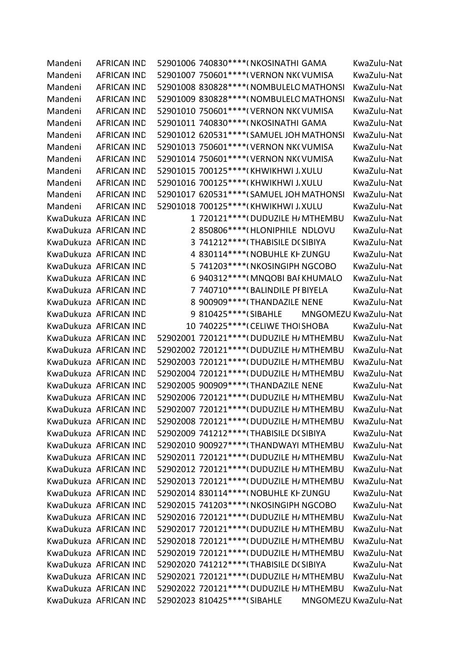Mandeni AFRICAN IND 52901006 740830\*\*\*\*(NKOSINATHI GAMA KwaZulu-Nat Mandeni AFRICAN IND 52901007 750601\*\*\*\*(VERNON NK(VUMISA KwaZulu-Nat Mandeni AFRICAN IND 52901008 830828\*\*\*\*(NOMBULELO MATHONSI KwaZulu-Nat Mandeni AFRICAN IND 52901009 830828\*\*\*\*(NOMBULELO MATHONSI KwaZulu-Nat Mandeni AFRICAN IND 52901010 750601\*\*\*\*(VERNON NK(VUMISA KwaZulu-Nat Mandeni AFRICAN IND 52901011 740830\*\*\*\*(NKOSINATHI GAMA KwaZulu-Nat Mandeni AFRICAN IND 52901012 620531\*\*\*\*(SAMUEL JOH MATHONSI KwaZulu-Nat Mandeni AFRICAN IND 52901013 750601\*\*\*\*(VERNON NK(VUMISA KwaZulu-Nat Mandeni AFRICAN IND 52901014 750601\*\*\*\*(VERNON NK(VUMISA KwaZulu-Nat Mandeni AFRICAN IND 52901015 700125\*\*\*\*(KHWIKHWI J.XULU KwaZulu-Nat Mandeni AFRICAN IND 52901016 700125\*\*\*\*(KHWIKHWI J.XULU KwaZulu-Nat Mandeni AFRICAN IND 52901017 620531\*\*\*\*(SAMUEL JOH MATHONSI KwaZulu-Nat Mandeni AFRICAN IND 52901018 700125\*\*\*\*(KHWIKHWI J.XULU KwaZulu-Nat KwaDukuza AFRICAN IND 1 720121\*\*\*\*(DUDUZILE H/MTHEMBU KwaZulu-Nat KwaDukuza AFRICAN IND 2 850806\*\*\*\*(HLONIPHILE NDLOVU KwaZulu-Nat KwaDukuza AFRICAN IND 3 741212\*\*\*\*(THABISILE D(SIBIYA KwaZulu-Nat KwaDukuza AFRICAN IND 4 830114\*\*\*\*(NOBUHLE KHZUNGU KwaZulu-Nat KwaDukuza AFRICAN IND 5 741203\*\*\*\*(NKOSINGIPH NGCOBO KwaZulu-Nat KwaDukuza AFRICAN IND 6 940312\*\*\*\*(MNQOBI BAI KHUMALO KwaZulu-Nat KwaDukuza AFRICAN IND  $7740710***$ <sup>\*\*\*\*</sup>(BALINDILE PF BIYELA KwaZulu-Nat KwaDukuza AFRICAN IND 8 900909\*\*\*\*(THANDAZILE NENE KwaZulu-Nat KwaDukuza AFRICAN IND 9 810425 \*\*\*\* (SIBAHLE MNGOMEZU KwaZulu-Nat KwaDukuza AFRICAN IND 10 740225 \*\*\*\* (CELIWE THOISHOBA KwaZulu-Nat KwaDukuza AFRICAN IND 52902001 720121\*\*\*\*(DUDUZILE H/MTHEMBU KwaZulu-Nat KwaDukuza AFRICAN IND 52902002 720121\*\*\*\*(DUDUZILE H/MTHEMBU KwaZulu-Nat KwaDukuza AFRICAN IND 52902003 720121\*\*\*\*(DUDUZILE H/MTHEMBU KwaZulu-Nat KwaDukuza AFRICAN IND 52902004 720121\*\*\*\*(DUDUZILE H/MTHEMBU KwaZulu-Nat KwaDukuza AFRICAN IND 52902005 900909\*\*\*\*(THANDAZILE NENE KwaZulu-Nat KwaDukuza AFRICAN IND 52902006 720121\*\*\*\*(DUDUZILE H/MTHEMBU KwaZulu-Nat KwaDukuza AFRICAN IND 52902007 720121\*\*\*\*(DUDUZILE H/MTHEMBU KwaZulu-Nat KwaDukuza AFRICAN IND 52902008 720121\*\*\*\*(DUDUZILE H/MTHEMBU KwaZulu-Nat KwaDukuza AFRICAN IND 52902009 741212\*\*\*\*(THABISILE D(SIBIYA KwaZulu-Nat KwaDukuza AFRICAN IND 52902010 900927\*\*\*\* (THANDWAYI MTHEMBU KwaZulu-Nat KwaDukuza AFRICAN IND 52902011 720121\*\*\*\*(DUDUZILE H/MTHEMBU KwaZulu-Nat KwaDukuza AFRICAN IND 52902012 720121\*\*\*\*(DUDUZILE H/MTHEMBU KwaZulu-Nat KwaDukuza AFRICAN IND 52902013 720121\*\*\*\*(DUDUZILE H/MTHEMBU KwaZulu-Nat KwaDukuza AFRICAN IND 52902014 830114\*\*\*\*(NOBUHLE KHZUNGU KwaZulu-Nat KwaDukuza AFRICAN IND 52902015 741203\*\*\*\*(NKOSINGIPH NGCOBO KwaZulu-Nat KwaDukuza AFRICAN IND 52902016 720121\*\*\*\*(DUDUZILE H/MTHEMBU KwaZulu-Nat KwaDukuza AFRICAN IND 52902017 720121\*\*\*\*(DUDUZILE H/MTHEMBU KwaZulu-Nat KwaDukuza AFRICAN IND 52902018 720121\*\*\*\*(DUDUZILE H/MTHEMBU KwaZulu-Nat KwaDukuza AFRICAN IND 52902019 720121\*\*\*\*(DUDUZILE H/MTHEMBU KwaZulu-Nat KwaDukuza AFRICAN IND 52902020 741212\*\*\*\*(THABISILE D(SIBIYA KwaZulu-Nat KwaDukuza AFRICAN IND 52902021 720121\*\*\*\*(DUDUZILE H/MTHEMBU KwaZulu-Nat KwaDukuza AFRICAN IND 52902022 720121\*\*\*\*(DUDUZILE H/MTHEMBU KwaZulu-Nat KwaDukuza AFRICAN IND 52902023 810425\*\*\*\*(SIBAHLE MNGOMEZU KwaZulu-Nat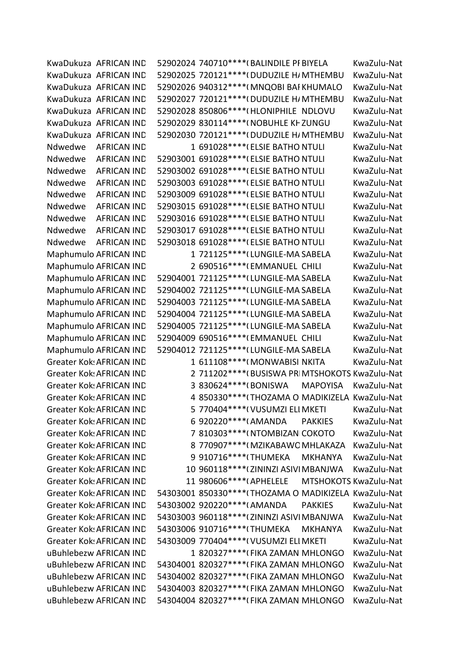KwaDukuza AFRICAN IND 52902024 740710\*\*\*\*(BALINDILE PF BIYELA KwaZulu-Nat KwaDukuza AFRICAN IND 52902025 720121\*\*\*\*(DUDUZILE H/MTHEMBU KwaZulu-Nat KwaDukuza AFRICAN IND 52902026 940312\*\*\*\*(MNQOBI BAI KHUMALO KwaZulu-Nat KwaDukuza AFRICAN IND 52902027 720121\*\*\*\*(DUDUZILE H/MTHEMBU KwaZulu-Nat KwaDukuza AFRICAN IND 52902028 850806\*\*\*\*(HLONIPHILE NDLOVU KwaZulu-Nat KwaDukuza AFRICAN IND 52902029 830114\*\*\*\*(NOBUHLE KHZUNGU KwaZulu-Nat KwaDukuza AFRICAN IND 52902030 720121\*\*\*\*(DUDUZILE H/MTHEMBU KwaZulu-Nat Ndwedwe AFRICAN IND 1 691028\*\*\*\*(ELSIE BATHO NTULI KwaZulu-Nat Ndwedwe AFRICAN IND 52903001 691028\*\*\*\*(ELSIE BATHO NTULI KwaZulu-Nat Ndwedwe AFRICAN IND 52903002 691028\*\*\*\*(ELSIE BATHO NTULI KwaZulu-Nat Ndwedwe AFRICAN IND 52903003 691028\*\*\*\*(ELSIE BATHO NTULI KwaZulu-Nat Ndwedwe AFRICAN IND 52903009 691028\*\*\*\*(ELSIE BATHO NTULI KwaZulu-Nat Ndwedwe AFRICAN IND 52903015 691028\*\*\*\*(ELSIE BATHO NTULI KwaZulu-Nat Ndwedwe AFRICAN IND 52903016 691028\*\*\*\*(ELSIE BATHO NTULI KwaZulu-Nat Ndwedwe AFRICAN IND 52903017 691028\*\*\*\*(ELSIE BATHO NTULI KwaZulu-Nat Ndwedwe AFRICAN IND 52903018 691028\*\*\*\*(ELSIE BATHO NTULI KwaZulu-Nat Maphumulo AFRICAN IND 1 721125\*\*\*\* (LUNGILE-MA SABELA KwaZulu-Nat Maphumulo AFRICAN IND 2 690516\*\*\*\*(EMMANUEL CHILI KwaZulu-Nat Maphumulo AFRICAN IND 52904001 721125\*\*\*\* (LUNGILE-MA SABELA KwaZulu-Nat Maphumulo AFRICAN IND 52904002 721125\*\*\*\* (LUNGILE-MA SABELA KwaZulu-Nat Maphumulo AFRICAN IND 52904003 721125\*\*\*\* (LUNGILE-MA SABELA KwaZulu-Nat Maphumulo AFRICAN IND 52904004 721125\*\*\*\* (LUNGILE-MA SABELA KwaZulu-Nat Maphumulo AFRICAN IND 52904005 721125\*\*\*\* (LUNGILE-MA SABELA KwaZulu-Nat Maphumulo AFRICAN IND 52904009 690516\*\*\*\*(EMMANUEL CHILI KwaZulu-Nat Maphumulo AFRICAN IND 52904012 721125\*\*\*\* (LUNGILE-MA SABELA KwaZulu-Nat Greater Kok: AFRICAN IND  $\begin{array}{r} 1.611108****(MONWABISI NKITA \hspace{1.5cm} Kwazulu-Nat \end{array}$ Greater Kok: AFRICAN IND 2 711202\*\*\*\*(BUSISWA PRIMTSHOKOTS KwaZulu-Nat Greater Kok: AFRICAN IND 3 830624\*\*\*\*(BONISWA MAPOYISA KwaZulu-Nat Greater Kok: AFRICAN IND 4 850330\*\*\*\*(THOZAMA O MADIKIZELA KwaZulu-Nat Greater Kok: AFRICAN IND 5 770404\*\*\*\*(VUSUMZI ELI MKETI KwaZulu-Nat Greater Kok: AFRICAN IND 6 920220\*\*\*\*(AMANDA PAKKIES KwaZulu-Nat Greater Kok: AFRICAN IND 7 810303\*\*\*\*(NTOMBIZAN COKOTO KwaZulu-Nat Greater Kok: AFRICAN IND 8 770907\*\*\*\*(MZIKABAWO MHLAKAZA KwaZulu-Nat Greater Kok: AFRICAN IND 9910716\*\*\*\*(THUMEKA MKHANYA KwaZulu-Nat Greater Kok: AFRICAN IND 10 960118\*\*\*\*(ZININZI ASIVI MBANJWA KwaZulu-Nat Greater Kok: AFRICAN IND 11 980606\*\*\*\*(APHELELE MTSHOKOTS KwaZulu-Nat Greater Kok: AFRICAN IND 54303001 850330\*\*\*\*(THOZAMA O MADIKIZELA KwaZulu-Nat Greater Kok: AFRICAN IND 54303002 920220\*\*\*\* (AMANDA PAKKIES KwaZulu-Nat Greater Kok: AFRICAN IND 54303003 960118\*\*\*\*(ZININZI ASIVI MBANJWA KwaZulu-Nat Greater Kok: AFRICAN IND 54303006 910716\*\*\*\*(THUMEKA MKHANYA KwaZulu-Nat Greater Kok: AFRICAN IND 54303009 770404\*\*\*\*(VUSUMZI ELI MKETI KwaZulu-Nat uBuhlebezw AFRICAN IND 1 820327\*\*\*\*(FIKA ZAMAN MHLONGO KwaZulu-Nat uBuhlebezw AFRICAN IND 54304001 820327\*\*\*\*(FIKA ZAMAN MHLONGO KwaZulu-Nat uBuhlebezw AFRICAN IND 54304002 820327\*\*\*\*(FIKA ZAMAN MHLONGO KwaZulu-Nat uBuhlebezw AFRICAN IND 54304003 820327\*\*\*\*(FIKA ZAMAN MHLONGO KwaZulu-Nat uBuhlebezw AFRICAN IND 54304004 820327\*\*\*\*(FIKA ZAMAN MHLONGO KwaZulu-Nat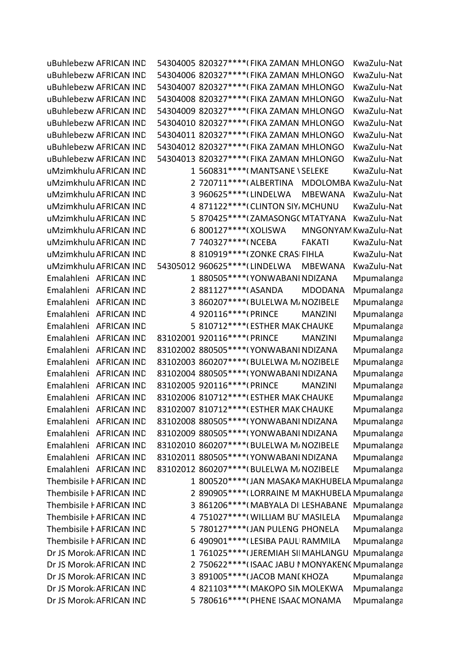uBuhlebezw AFRICAN IND 54304005 820327\*\*\*\*(FIKA ZAMAN MHLONGO KwaZulu-Nat uBuhlebezw AFRICAN IND 54304006 820327\*\*\*\*(FIKA ZAMAN MHLONGO KwaZulu-Nat uBuhlebezw AFRICAN IND 54304007 820327\*\*\*\*(FIKA ZAMAN MHLONGO KwaZulu-Nat uBuhlebezw AFRICAN IND 54304008 820327\*\*\*\*(FIKA ZAMAN MHLONGO KwaZulu-Nat uBuhlebezw AFRICAN IND 54304009 820327\*\*\*\*(FIKA ZAMAN MHLONGO KwaZulu-Nat uBuhlebezw AFRICAN IND 54304010 820327\*\*\*\*(FIKA ZAMAN MHLONGO KwaZulu-Nat uBuhlebezw AFRICAN IND 54304011 820327\*\*\*\*(FIKA ZAMAN MHLONGO KwaZulu-Nat uBuhlebezw AFRICAN IND 54304012 820327\*\*\*\*(FIKA ZAMAN MHLONGO KwaZulu-Nat uBuhlebezw AFRICAN IND 54304013 820327\*\*\*\*(FIKA ZAMAN MHLONGO KwaZulu-Nat uMzimkhulu AFRICAN IND  $1560831***$ <sup>\*\*\*\*</sup>(MANTSANE \SELEKE KwaZulu-Nat uMzimkhulu AFRICAN IND 2 720711\*\*\*\*(ALBERTINA MDOLOMBA KwaZulu-Nat uMzimkhulu AFRICAN IND 3 960625 \*\*\*\* (LINDELWA MBEWANA KwaZulu-Nat uMzimkhulu AFRICAN IND 4 871122\*\*\*\*(CLINTON SIY, MCHUNU KwaZulu-Nat uMzimkhulu AFRICAN IND 5 870425\*\*\*\*(ZAMASONGC MTATYANA KwaZulu-Nat uMzimkhulu AFRICAN IND  $6.800127***$ \*\*\*(XOLISWA MNGONYAM KwaZulu-Nat uMzimkhulu AFRICAN IND <br>
7 740327\*\*\*\*(NCEBA FAKATI KwaZulu-Nat uMzimkhulu AFRICAN IND 8 810919\*\*\*\* (ZONKE CRASI FIHLA KwaZulu-Nat uMzimkhulu AFRICAN IND 54305012 960625 \*\*\*\* (LINDELWA MBEWANA KwaZulu-Nat Emalahleni AFRICAN IND 1 880505\*\*\*\*(YONWABANI NDIZANA Mpumalanga Emalahleni AFRICAN IND 2 881127\*\*\*\*(ASANDA MDODANA Mpumalanga Emalahleni AFRICAN IND 3 860207\*\*\*\*(BULELWA M/NOZIBELE Mpumalanga Emalahleni AFRICAN IND 4 920116\*\*\*\*(PRINCE MANZINI Mpumalanga Emalahleni AFRICAN IND 5 810712\*\*\*\*(ESTHER MAK CHAUKE Mpumalanga Emalahleni AFRICAN IND 83102001 920116\*\*\*\*(PRINCE MANZINI Mpumalanga Emalahleni AFRICAN IND 83102002 880505\*\*\*\*(YONWABANI NDIZANA Mpumalanga Emalahleni AFRICAN IND 83102003 860207\*\*\*\*(BULELWA M/NOZIBELE Mpumalanga Emalahleni AFRICAN IND 83102004 880505\*\*\*\*(YONWABANI NDIZANA Mpumalanga Emalahleni AFRICAN IND 83102005 920116\*\*\*\*(PRINCE MANZINI Mpumalanga Emalahleni AFRICAN IND 83102006 810712\*\*\*\*(ESTHER MAK CHAUKE Mpumalanga Emalahleni AFRICAN IND 83102007 810712\*\*\*\*(ESTHER MAK CHAUKE Mpumalanga Emalahleni AFRICAN IND 83102008 880505\*\*\*\*(YONWABANI NDIZANA Mpumalanga Emalahleni AFRICAN IND 83102009 880505\*\*\*\*(YONWABANI NDIZANA Mpumalanga Emalahleni AFRICAN IND 83102010 860207\*\*\*\*(BULELWA M/NOZIBELE Mpumalanga Emalahleni AFRICAN IND 83102011 880505\*\*\*\*(YONWABANI NDIZANA Mpumalanga Emalahleni AFRICAN IND 83102012 860207\*\*\*\*(BULELWA M/NOZIBELE Mpumalanga Thembisile FAFRICAN IND 1 800520\*\*\*\* (JAN MASAKA MAKHUBELA Mpumalanga Thembisile FAFRICAN IND 2 890905\*\*\*\*\*(LORRAINE M MAKHUBELA Mpumalanga Thembisile FAFRICAN IND 3 861206\*\*\*\*(MABYALA DILESHABANE Mpumalanga Thembisile FAFRICAN IND 4 751027\*\*\*\*(WILLIAM BU MASILELA Mpumalanga Thembisile FAFRICAN IND 5 780127\*\*\*\* (JAN PULENG PHONELA Mpumalanga Thembisile FAFRICAN IND 6 490901\*\*\*\*(LESIBA PAULI RAMMILA Mpumalanga Dr JS Morok AFRICAN IND 1 761025\*\*\*\* (JEREMIAH SII MAHLANGU Mpumalanga Dr JS Morok AFRICAN IND 2 750622\*\*\*\* (ISAAC JABU I MONYAKENG Mpumalanga Dr JS Morok AFRICAN IND 3 891005\*\*\*\* (JACOB MANI KHOZA Mpumalanga Dr JS Morok AFRICAN IND 4 821103\*\*\*\* (MAKOPO SIN MOLEKWA Mpumalanga Dr JS Morok AFRICAN IND 5 780616\*\*\*\*(PHENE ISAAC MONAMA Mpumalanga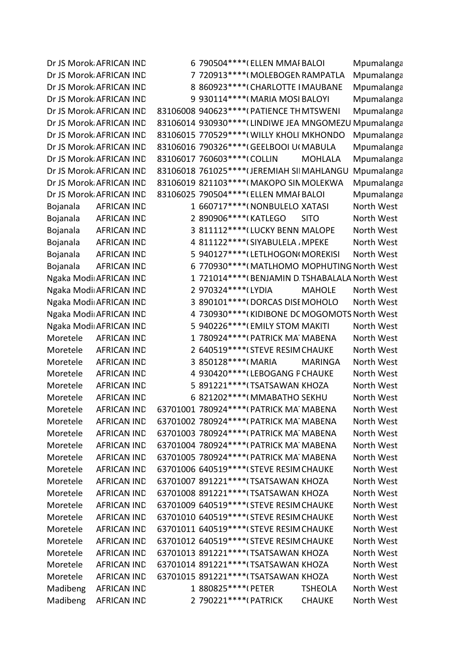Dr JS Morok AFRICAN IND 6 790504\*\*\*\* (ELLEN MMAI BALOI Mpumalanga Dr JS Morok AFRICAN IND 7 720913 \*\*\*\* (MOLEBOGEN RAMPATLA Mpumalanga Dr JS Morok AFRICAN IND 8 860923\*\*\*\*\*(CHARLOTTE I MAUBANE Mpumalanga Dr JS Morok AFRICAN IND 9 930114\*\*\*\* (MARIA MOSI BALOYI Mpumalanga Dr JS Morok AFRICAN IND 83106008 940623\*\*\*\*(PATIENCE THMTSWENI Mpumalanga Dr JS Morok AFRICAN IND 83106014 930930\*\*\*\* (LINDIWE JEA MNGOMEZU Mpumalanga Dr JS Morok AFRICAN IND 83106015 770529\*\*\*\*(WILLY KHOLI MKHONDO Mpumalanga Dr JS Morok AFRICAN IND 83106016 790326\*\*\*\* (GEELBOOI U(MABULA Mpumalanga Dr JS Morok AFRICAN IND 83106017 760603\*\*\*\*(COLLIN MOHLALA Mpumalanga Dr JS Morok AFRICAN IND 83106018 761025\*\*\*\* (JEREMIAH SII MAHLANGU Mpumalanga Dr JS Morok AFRICAN IND 83106019 821103\*\*\*\* (MAKOPO SIN MOLEKWA Mpumalanga Dr JS Morok AFRICAN IND 83106025 790504\*\*\*\* (ELLEN MMAI BALOI Mpumalanga Bojanala AFRICAN IND 1 660717\*\*\*\*( NONBULELO XATASI North West Bojanala AFRICAN IND 2 890906\*\*\*\*(KATLEGO SITO North West Bojanala AFRICAN IND 3 811112\*\*\*\* (LUCKY BENN MALOPE North West Bojanala AFRICAN IND 4 811122\*\*\*\* (SIYABULELA , MPEKE North West Bojanala AFRICAN IND 5 940127\*\*\*\*(LETLHOGON(MOREKISI North West Bojanala AFRICAN IND 6 770930\*\*\*\*(MATLHOMO MOPHUTING North West Ngaka Modi AFRICAN IND 1 721014\*\*\*\* (BENJAMIN D. TSHABALALA North West Ngaka Modi AFRICAN IND 2 970324\*\*\*\* (LYDIA MAHOLE North West Ngaka Modi AFRICAN IND 3 890101\*\*\*\* (DORCAS DISEMOHOLO North West Ngaka Modi AFRICAN IND 4 730930\*\*\*\*(KIDIBONE DC MOGOMOTS North West Ngaka Modi AFRICAN IND 5 940226\*\*\*\*( EMILY STOM MAKITI North West Moretele AFRICAN IND 1 780924\*\*\*\*(PATRICK MATMABENA North West Moretele AFRICAN IND 2 640519\*\*\*\*(STEVE RESIM CHAUKE North West Moretele AFRICAN IND 3 850128\*\*\*\*(MARIA MARINGA North West Moretele AFRICAN IND 4 930420\*\*\*\*(LEBOGANG PCHAUKE North West Moretele AFRICAN IND 5 891221\*\*\*\* (TSATSAWAN KHOZA North West Moretele AFRICAN IND 6 821202\*\*\*\*( MMABATHO SEKHU North West Moretele AFRICAN IND 63701001 780924\*\*\*\*(PATRICK MA MABENA North West Moretele AFRICAN IND 63701002 780924\*\*\*\*(PATRICK MA MABENA North West Moretele AFRICAN IND 63701003 780924\*\*\*\*(PATRICK MATMABENA North West Moretele AFRICAN IND 63701004 780924\*\*\*\*(PATRICK MA MABENA North West Moretele AFRICAN IND 63701005 780924\*\*\*\*(PATRICK MATMABENA North West Moretele AFRICAN IND 63701006 640519\*\*\*\*(STEVE RESIM CHAUKE North West Moretele AFRICAN IND 63701007 891221\*\*\*\*(TSATSAWAN KHOZA North West Moretele AFRICAN IND 63701008 891221\*\*\*\*(TSATSAWAN KHOZA North West Moretele AFRICAN IND 63701009 640519\*\*\*\*(STEVE RESIM CHAUKE North West Moretele AFRICAN IND 63701010 640519\*\*\*\*(STEVE RESIM CHAUKE North West Moretele AFRICAN IND 63701011 640519\*\*\*\*(STEVE RESIM CHAUKE North West Moretele AFRICAN IND 63701012 640519\*\*\*\*(STEVE RESIM CHAUKE North West Moretele AFRICAN IND 63701013 891221\*\*\*\*(TSATSAWAN KHOZA North West Moretele AFRICAN IND 63701014 891221\*\*\*\*(TSATSAWAN KHOZA North West Moretele AFRICAN IND 63701015 891221\*\*\*\*(TSATSAWAN KHOZA North West Madibeng AFRICAN IND 1 880825\*\*\*\*(PETER TSHEOLA North West Madibeng AFRICAN IND 2 790221\*\*\*\*(PATRICK CHAUKE North West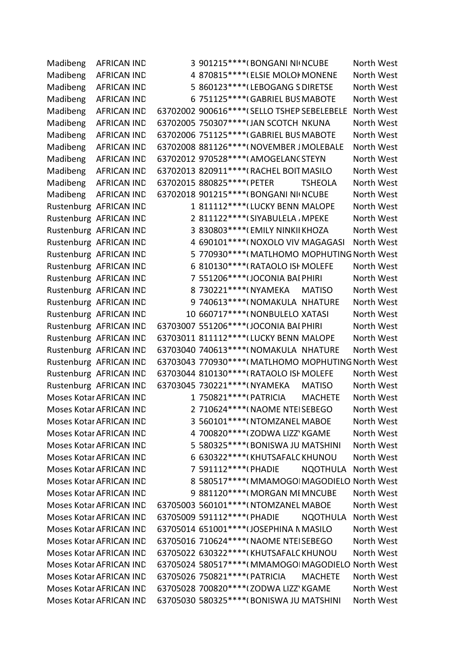Madibeng AFRICAN IND 3 901215\*\*\*\*(BONGANI NI(NCUBE North West Madibeng AFRICAN IND 4 870815\*\*\*\*(ELSIE MOLOI MONENE North West Madibeng AFRICAN IND 5 860123\*\*\*\*(LEBOGANG S DIRETSE North West Madibeng AFRICAN IND 6 751125\*\*\*\*(GABRIEL BUS MABOTE North West Madibeng AFRICAN IND 63702002 900616\*\*\*\*(SELLO TSHEP SEBELEBELE North West Madibeng AFRICAN IND 63702005 750307\*\*\*\*(JAN SCOTCH NKUNA North West Madibeng AFRICAN IND 63702006 751125\*\*\*\*(GABRIEL BUS MABOTE North West Madibeng AFRICAN IND 63702008 881126\*\*\*\*(NOVEMBER JMOLEBALE North West Madibeng AFRICAN IND 63702012 970528\*\*\*\*(AMOGELANC STEYN North West Madibeng AFRICAN IND 63702013 820911\*\*\*\*(RACHEL BOIT MASILO North West Madibeng AFRICAN IND 63702015 880825\*\*\*\*(PETER TSHEOLA North West Madibeng AFRICAN IND 63702018 901215\*\*\*\*(BONGANI NI(NCUBE North West Rustenburg AFRICAN IND 1 811112\*\*\*\* (LUCKY BENN MALOPE North West Rustenburg AFRICAN IND 2 811122\*\*\*\*(SIYABULELA , MPEKE North West Rustenburg AFRICAN IND 3 830803\*\*\*\*(EMILY NINKII KHOZA North West Rustenburg AFRICAN IND 4 690101\*\*\*\*( NOXOLO VIV MAGAGASI North West Rustenburg AFRICAN IND 5 770930\*\*\*\*(MATLHOMO MOPHUTING North West Rustenburg AFRICAN IND 6 810130\*\*\*\*(RATAOLO ISH MOLEFE North West Rustenburg AFRICAN IND 7 551206\*\*\*\* (JOCONIA BAI PHIRI North West Rustenburg AFRICAN IND 8 730221\*\*\*\*(NYAMEKA MATISO North West Rustenburg AFRICAN IND 9 740613\*\*\*\*\*(NOMAKULA NHATURE North West Rustenburg AFRICAN IND 10 660717\*\*\*\*( NONBULELO XATASI North West Rustenburg AFRICAN IND 63703007 551206\*\*\*\* (JOCONIA BAI PHIRI North West Rustenburg AFRICAN IND 63703011 811112\*\*\*\* (LUCKY BENN MALOPE North West Rustenburg AFRICAN IND 63703040 740613\*\*\*\*(NOMAKULA NHATURE North West Rustenburg AFRICAN IND 63703043 770930\*\*\*\*(MATLHOMO MOPHUTING North West Rustenburg AFRICAN IND 63703044 810130\*\*\*\*(RATAOLO ISH MOLEFE North West Rustenburg AFRICAN IND 63703045 730221\*\*\*\*(NYAMEKA MATISO North West Moses Kotar AFRICAN IND 1 750821\*\*\*\*(PATRICIA MACHETE North West Moses Kotar AFRICAN IND 2 710624\*\*\*\*(NAOME NTEISEBEGO North West Moses Kotar AFRICAN IND 3 560101\*\*\*\*( NTOMZANEL MABOE North West Moses Kotar AFRICAN IND 4 700820\*\*\*\* (ZODWA LIZZ' KGAME North West Moses Kotar AFRICAN IND **Example 2 5 580325\*\*\*\*** (BONISWA JU MATSHINI North West Moses Kotar AFRICAN IND 6 630322\*\*\*\*( KHUTSAFALC KHUNOU North West Moses Kotar AFRICAN IND  $\begin{array}{c} 7 & 591112****(PHADIE \qquad NQOTHULA \quad North West \end{array}$ Moses Kotar AFRICAN IND 8 580517\*\*\*\*( MMAMOGOI MAGODIELO North West Moses Kotar AFRICAN IND 9 881120\*\*\*\*(MORGAN MI MNCUBE North West Moses Kotar AFRICAN IND 63705003 560101\*\*\*\*(NTOMZANEL MABOE North West Moses Kotar AFRICAN IND 63705009 591112\*\*\*\*(PHADIE NQOTHULA North West Moses Kotar AFRICAN IND 63705014 651001\*\*\*\*(JOSEPHINA N MASILO North West Moses Kotar AFRICAN IND 63705016 710624\*\*\*\*(NAOME NTEISEBEGO North West Moses Kotar AFRICAN IND 63705022 630322\*\*\*\*(KHUTSAFALC KHUNOU North West Moses Kotar AFRICAN IND 63705024 580517\*\*\*\*( MMAMOGOI MAGODIELO North West Moses Kotar AFRICAN IND 63705026 750821\*\*\*\*(PATRICIA MACHETE North West Moses Kotar AFRICAN IND 63705028 700820\*\*\*\*(ZODWA LIZZ' KGAME North West Moses Kotar AFRICAN IND 63705030 580325\*\*\*\*(BONISWA JU MATSHINI North West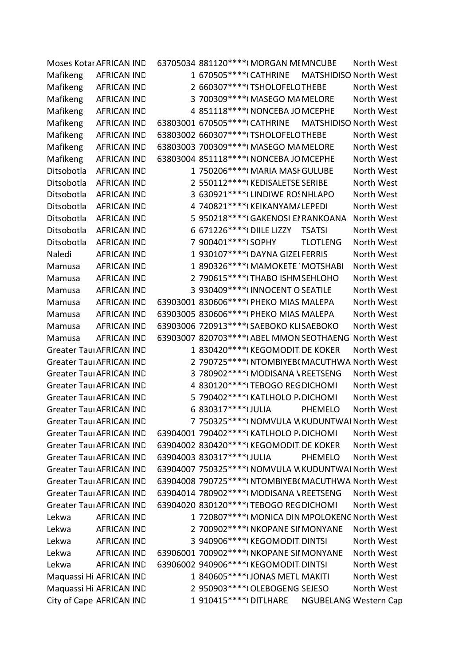|            | Moses Kotar AFRICAN IND         | 63705034 881120****(MORGAN MI MNCUBE<br>North West             |  |
|------------|---------------------------------|----------------------------------------------------------------|--|
| Mafikeng   | <b>AFRICAN IND</b>              | 1 670505 **** (CATHRINE<br><b>MATSHIDISO North West</b>        |  |
| Mafikeng   | <b>AFRICAN IND</b>              | 2 660307****(TSHOLOFELOTHEBE<br>North West                     |  |
| Mafikeng   | <b>AFRICAN IND</b>              | 3 700309****(MASEGO MA MELORE<br>North West                    |  |
| Mafikeng   | <b>AFRICAN IND</b>              | 4 851118 **** (NONCEBA JO MCEPHE<br>North West                 |  |
| Mafikeng   | <b>AFRICAN IND</b>              | 63803001 670505 **** (CATHRINE<br><b>MATSHIDISO North West</b> |  |
| Mafikeng   | <b>AFRICAN IND</b>              | 63803002 660307*****(TSHOLOFELOTHEBE<br>North West             |  |
| Mafikeng   | <b>AFRICAN IND</b>              | 63803003 700309 **** (MASEGO MA MELORE<br>North West           |  |
| Mafikeng   | <b>AFRICAN IND</b>              | 63803004 851118 **** (NONCEBA JO MCEPHE<br>North West          |  |
| Ditsobotla | <b>AFRICAN IND</b>              | 1 750206****(MARIA MASI GULUBE<br>North West                   |  |
| Ditsobotla | <b>AFRICAN IND</b>              | 2 550112****(KEDISALETSE SERIBE<br>North West                  |  |
| Ditsobotla | <b>AFRICAN IND</b>              | 3 630921 **** (LINDIWE RO! NHLAPO<br>North West                |  |
| Ditsobotla | <b>AFRICAN IND</b>              | 4 740821 **** (KEIKANYAM/ LEPEDI<br>North West                 |  |
| Ditsobotla | <b>AFRICAN IND</b>              | 5 950218****(GAKENOSI EI RANKOANA<br>North West                |  |
| Ditsobotla | <b>AFRICAN IND</b>              | 6 671226 **** (DIILE LIZZY<br><b>TSATSI</b><br>North West      |  |
| Ditsobotla | <b>AFRICAN IND</b>              | 7 900401 **** (SOPHY<br><b>TLOTLENG</b><br>North West          |  |
| Naledi     | <b>AFRICAN IND</b>              | 1 930107**** (DAYNA GIZEL FERRIS<br>North West                 |  |
| Mamusa     | <b>AFRICAN IND</b>              | 1 890326****(MAMOKETE MOTSHABI<br>North West                   |  |
| Mamusa     | <b>AFRICAN IND</b>              | 2 790615****(THABO ISHM SEHLOHO<br>North West                  |  |
| Mamusa     | <b>AFRICAN IND</b>              | 3 930409 **** (INNOCENT O SEATILE<br>North West                |  |
| Mamusa     | <b>AFRICAN IND</b>              | 63903001 830606 **** (PHEKO MIAS MALEPA<br>North West          |  |
| Mamusa     | <b>AFRICAN IND</b>              | 63903005 830606 **** (PHEKO MIAS MALEPA<br>North West          |  |
| Mamusa     | <b>AFRICAN IND</b>              | 63903006 720913 **** (SAEBOKO KLISAEBOKO<br>North West         |  |
| Mamusa     | <b>AFRICAN IND</b>              | 63903007 820703 **** (ABEL MMON SEOTHAENG North West           |  |
|            | <b>Greater Taul AFRICAN IND</b> | 1 830420****(KEGOMODIT DE KOKER<br>North West                  |  |
|            | <b>Greater Taul AFRICAN IND</b> | 2 790725****(NTOMBIYEB(MACUTHWA North West                     |  |
|            | <b>Greater Taul AFRICAN IND</b> | 3 780902 **** (MODISANA \ REETSENG<br>North West               |  |
|            | <b>Greater Taul AFRICAN IND</b> | 4 830120****(TEBOGO REG DICHOMI<br>North West                  |  |
|            | <b>Greater Taul AFRICAN IND</b> | 5 790402****(KATLHOLO P. DICHOMI<br>North West                 |  |
|            | <b>Greater Taul AFRICAN IND</b> | 6 830317****(JULIA<br>North West<br>PHEMELO                    |  |
|            | <b>Greater Taul AFRICAN IND</b> | 7 750325 **** (NOMVULA WKUDUNTWAI North West                   |  |
|            | <b>Greater Taul AFRICAN IND</b> | 63904001 790402 **** (KATLHOLO P. DICHOMI<br>North West        |  |
|            | <b>Greater Taul AFRICAN IND</b> | 63904002 830420 **** (KEGOMODIT DE KOKER<br>North West         |  |
|            | <b>Greater Taul AFRICAN IND</b> | 63904003 830317 **** (JULIA<br>North West<br><b>PHEMELO</b>    |  |
|            | <b>Greater Taul AFRICAN IND</b> | 63904007 750325 **** (NOMVULA WKUDUNTWAI North West            |  |
|            | <b>Greater Taul AFRICAN IND</b> | 63904008 790725 **** (NTOMBIYEB) MACUTHWA North West           |  |
|            | <b>Greater Taul AFRICAN IND</b> | 63904014 780902 **** (MODISANA \ REETSENG<br>North West        |  |
|            | <b>Greater Taul AFRICAN IND</b> | 63904020 830120**** (TEBOGO REG DICHOMI<br>North West          |  |
| Lekwa      | <b>AFRICAN IND</b>              | 1 720807****(MONICA DIN MPOLOKENC North West                   |  |
| Lekwa      | <b>AFRICAN IND</b>              | 2 700902****(NKOPANE SII MONYANE<br>North West                 |  |
| Lekwa      | <b>AFRICAN IND</b>              | 3 940906****(KEGOMODIT DINTSI<br>North West                    |  |
| Lekwa      | <b>AFRICAN IND</b>              | 63906001 700902 **** (NKOPANE SII MONYANE<br>North West        |  |
| Lekwa      | <b>AFRICAN IND</b>              | 63906002 940906*****(KEGOMODIT DINTSI<br>North West            |  |
|            | Maquassi Hi AFRICAN IND         | 1 840605 **** (JONAS METL MAKITI<br>North West                 |  |
|            | Maquassi Hi AFRICAN IND         | 2 950903 **** (OLEBOGENG SEJESO<br>North West                  |  |
|            | City of Cape AFRICAN IND        | 1 910415 **** (DITLHARE<br><b>NGUBELANG Western Cap</b>        |  |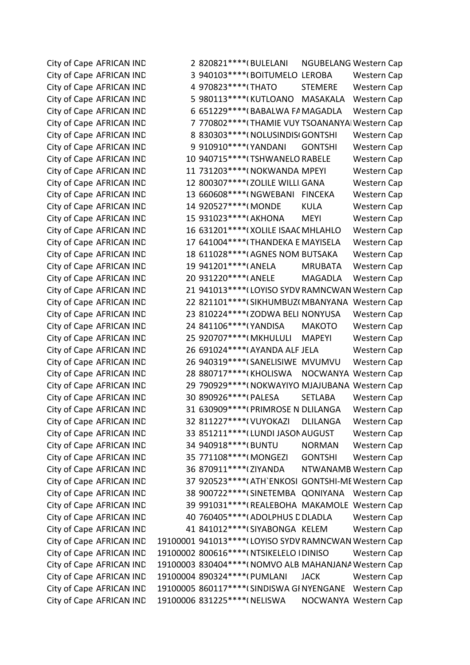City of Cape AFRICAN IND 19100006 831225\*\*\*\*(NELISWA NOCWANYA Western Cap

City of Cape AFRICAN IND 2 820821\*\*\*\*(BULELANI NGUBELANG Western Cap City of Cape AFRICAN IND 3 940103\*\*\*\*(BOITUMELO LEROBA Western Cap City of Cape AFRICAN IND 4 970823\*\*\*\*(THATO STEMERE Western Cap City of Cape AFRICAN IND 5 980113\*\*\*\*(KUTLOANO MASAKALA Western Cap City of Cape AFRICAN IND 6 651229\*\*\*\*(BABALWA FAMAGADLA Western Cap City of Cape AFRICAN IND 7 770802\*\*\*\* (THAMIE VUY TSOANANYA Western Cap City of Cape AFRICAN IND 8 830303\*\*\*\*(NOLUSINDISOGONTSHI Western Cap City of Cape AFRICAN IND 9 910910\*\*\*\*(YANDANI GONTSHI Western Cap City of Cape AFRICAN IND 10 940715\*\*\*\*(TSHWANELO RABELE Western Cap City of Cape AFRICAN IND 11 731203\*\*\*\*(NOKWANDA MPEYI Western Cap City of Cape AFRICAN IND 12 800307\*\*\*\*(ZOLILE WILLI GANA Western Cap City of Cape AFRICAN IND 13 660608\*\*\*\*(NGWEBANI FINCEKA Western Cap City of Cape AFRICAN IND 14 920527\*\*\*\*(MONDE KULA Western Cap City of Cape AFRICAN IND 15 931023\*\*\*\*(AKHONA MEYI Western Cap City of Cape AFRICAN IND 16 631201\*\*\*\*(XOLILE ISAAC MHLAHLO Western Cap City of Cape AFRICAN IND 17 641004\*\*\*\*(THANDEKA E MAYISELA Western Cap City of Cape AFRICAN IND 18 611028\*\*\*\*(AGNES NOM BUTSAKA Western Cap City of Cape AFRICAN IND 19 941201\*\*\*\*(ANELA MRUBATA Western Cap City of Cape AFRICAN IND 20 931220\*\*\*\*(ANELE MAGADLA Western Cap City of Cape AFRICAN IND 21 941013\*\*\*\* (LOYISO SYDV RAMNCWAN Western Cap City of Cape AFRICAN IND 22 821101\*\*\*\*(SIKHUMBUZ(MBANYANA Western Cap City of Cape AFRICAN IND 23 810224\*\*\*\*(ZODWA BELI NONYUSA Western Cap City of Cape AFRICAN IND 24 841106\*\*\*\*(YANDISA MAKOTO Western Cap City of Cape AFRICAN IND 25 920707\*\*\*\*(MKHULULI MAPEYI Western Cap City of Cape AFRICAN IND 26 691024\*\*\*\*(AYANDA ALF JELA Western Cap City of Cape AFRICAN IND 26 940319\*\*\*\* (SANELISIWE MVUMVU Western Cap City of Cape AFRICAN IND 28 880717\*\*\*\*(KHOLISWA NOCWANYA Western Cap City of Cape AFRICAN IND 29 790929\*\*\*\*(NOKWAYIYO MJAJUBANA Western Cap City of Cape AFRICAN IND 30 890926\*\*\*\*(PALESA SETLABA Western Cap City of Cape AFRICAN IND 31 630909\*\*\*\*(PRIMROSE N DLILANGA Western Cap City of Cape AFRICAN IND 32 811227\*\*\*\*(VUYOKAZI DLILANGA Western Cap City of Cape AFRICAN IND 33 851211\*\*\*\* (LUNDI JASON AUGUST Western Cap City of Cape AFRICAN IND 34 940918\*\*\*\*(BUNTU NORMAN Western Cap City of Cape AFRICAN IND 35 771108\*\*\*\*(MONGEZI GONTSHI Western Cap City of Cape AFRICAN IND 36 870911\*\*\*\*(ZIYANDA NTWANAMB Western Cap City of Cape AFRICAN IND 37 920523\*\*\*\*(ATH`ENKOSI GONTSHI-ME Western Cap City of Cape AFRICAN IND 38 900722\*\*\*\* (SINETEMBA QONIYANA Western Cap City of Cape AFRICAN IND 39 991031\*\*\*\*(REALEBOHA MAKAMOLE Western Cap City of Cape AFRICAN IND 40 760405\*\*\*\*(ADOLPHUS DDLADLA Western Cap City of Cape AFRICAN IND 41 841012\*\*\*\* (SIYABONGA KELEM Western Cap City of Cape AFRICAN IND 19100001 941013\*\*\*\* (LOYISO SYDV RAMNCWAN Western Cap City of Cape AFRICAN IND 19100002 800616\*\*\*\*(NTSIKELELO IDINISO Western Cap City of Cape AFRICAN IND 19100003 830404\*\*\*\*(NOMVO ALB MAHANJANA Western Cap City of Cape AFRICAN IND 19100004 890324\*\*\*\*(PUMLANI JACK Western Cap City of Cape AFRICAN IND 19100005 860117\*\*\*\* (SINDISWA GINYENGANE Western Cap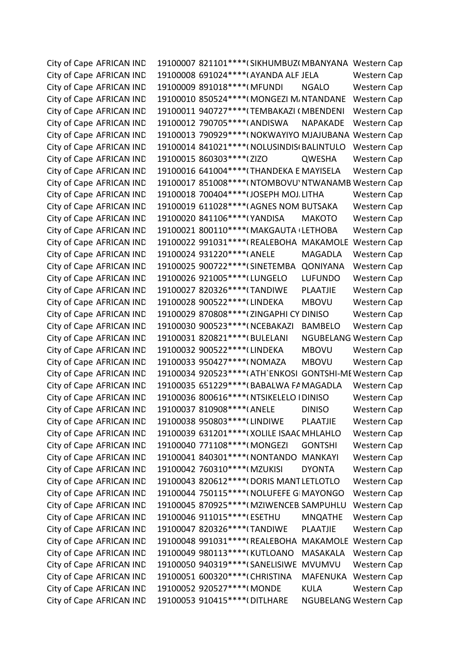City of Cape AFRICAN IND 19100007 821101\*\*\*\* (SIKHUMBUZI MBANYANA Western Cap City of Cape AFRICAN IND 19100008 691024\*\*\*\*(AYANDA ALF JELA Western Cap City of Cape AFRICAN IND 19100009 891018\*\*\*\*(MFUNDI NGALO Western Cap City of Cape AFRICAN IND 19100010 850524\*\*\*\*(MONGEZI M/NTANDANE Western Cap City of Cape AFRICAN IND 19100011 940727\*\*\*\* (TEMBAKAZI (MBENDENI Western Cap City of Cape AFRICAN IND 19100012 790705\*\*\*\*(ANDISWA NAPAKADE Western Cap City of Cape AFRICAN IND 19100013 790929\*\*\*\*(NOKWAYIYO MJAJUBANA Western Cap City of Cape AFRICAN IND 19100014 841021\*\*\*\*(NOLUSINDIS(BALINTULO Western Cap City of Cape AFRICAN IND 19100015 860303\*\*\*\*(ZIZO QWESHA Western Cap City of Cape AFRICAN IND 19100016 641004\*\*\*\*(THANDEKA E MAYISELA Western Cap City of Cape AFRICAN IND 19100017 851008\*\*\*\*(NTOMBOVU' NTWANAMB Western Cap City of Cape AFRICAN IND 19100018 700404\*\*\*\*(JOSEPH MOJ. LITHA Western Cap City of Cape AFRICAN IND 19100019 611028\*\*\*\*(AGNES NOM BUTSAKA Western Cap City of Cape AFRICAN IND 19100020 841106\*\*\*\*(YANDISA MAKOTO Western Cap City of Cape AFRICAN IND 19100021 800110\*\*\*\*(MAKGAUTA (LETHOBA Western Cap City of Cape AFRICAN IND 19100022 991031\*\*\*\*(REALEBOHA MAKAMOLE Western Cap City of Cape AFRICAN IND 19100024 931220\*\*\*\* (ANELE MAGADLA Western Cap City of Cape AFRICAN IND 19100025 900722\*\*\*\* (SINETEMBA QONIYANA Western Cap City of Cape AFRICAN IND 19100026 921005\*\*\*\* (LUNGELO LUFUNDO Western Cap City of Cape AFRICAN IND 19100027 820326\*\*\*\*(TANDIWE PLAATJIE Western Cap City of Cape AFRICAN IND 19100028 900522\*\*\*\* (LINDEKA MBOVU Western Cap City of Cape AFRICAN IND 19100029 870808\*\*\*\*(ZINGAPHI CY DINISO Western Cap City of Cape AFRICAN IND 19100030 900523\*\*\*\*(NCEBAKAZI BAMBELO Western Cap City of Cape AFRICAN IND 19100031 820821\*\*\*\*(BULELANI NGUBELANG Western Cap City of Cape AFRICAN IND 19100032 900522\*\*\*\* (LINDEKA MBOVU Western Cap City of Cape AFRICAN IND 19100033 950427\*\*\*\*(NOMAZA MBOVU Western Cap City of Cape AFRICAN IND 19100034 920523\*\*\*\*(ATH`ENKOSI GONTSHI-ME Western Cap City of Cape AFRICAN IND 19100035 651229\*\*\*\* (BABALWA FAMAGADLA Western Cap City of Cape AFRICAN IND 19100036 800616\*\*\*\*( NTSIKELELO I DINISO Western Cap City of Cape AFRICAN IND 19100037 810908\*\*\*\*(ANELE DINISO Western Cap City of Cape AFRICAN IND 19100038 950803\*\*\*\*(LINDIWE PLAATJIE Western Cap City of Cape AFRICAN IND 19100039 631201\*\*\*\*(XOLILE ISAAC MHLAHLO Western Cap City of Cape AFRICAN IND 19100040 771108\*\*\*\*(MONGEZI GONTSHI Western Cap City of Cape AFRICAN IND 19100041 840301\*\*\*\*(NONTANDO MANKAYI Western Cap City of Cape AFRICAN IND 19100042 760310\*\*\*\*(MZUKISI DYONTA Western Cap City of Cape AFRICAN IND 19100043 820612\*\*\*\*(DORIS MANT LETLOTLO Western Cap City of Cape AFRICAN IND 19100044 750115\*\*\*\*(NOLUFEFE GIMAYONGO Western Cap City of Cape AFRICAN IND 19100045 870925\*\*\*\*(MZIWENCEB SAMPUHLU Western Cap City of Cape AFRICAN IND 19100046 911015\*\*\*\*(ESETHU MNQATHE Western Cap City of Cape AFRICAN IND 19100047 820326\*\*\*\*(TANDIWE PLAATJIE Western Cap City of Cape AFRICAN IND 19100048 991031\*\*\*\*(REALEBOHA MAKAMOLE Western Cap City of Cape AFRICAN IND 19100049 980113\*\*\*\*(KUTLOANO MASAKALA Western Cap City of Cape AFRICAN IND 19100050 940319\*\*\*\* (SANELISIWE MVUMVU Western Cap City of Cape AFRICAN IND 19100051 600320\*\*\*\*(CHRISTINA MAFENUKA Western Cap City of Cape AFRICAN IND 19100052 920527\*\*\*\*(MONDE KULA Western Cap City of Cape AFRICAN IND 19100053 910415\*\*\*\*(DITLHARE NGUBELANG Western Cap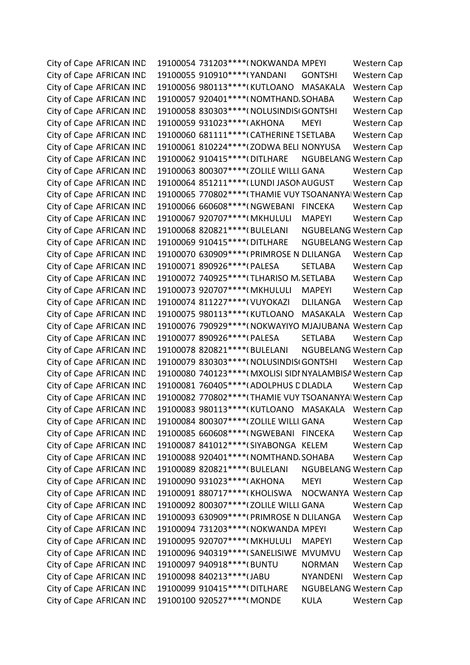City of Cape AFRICAN IND 19100054 731203\*\*\*\*(NOKWANDA MPEYI Western Cap City of Cape AFRICAN IND 19100055 910910\*\*\*\*(YANDANI GONTSHI Western Cap City of Cape AFRICAN IND 19100056 980113\*\*\*\*(KUTLOANO MASAKALA Western Cap City of Cape AFRICAN IND 19100057 920401\*\*\*\*(NOMTHAND, SOHABA Western Cap City of Cape AFRICAN IND 19100058 830303\*\*\*\*(NOLUSINDIS(GONTSHI Western Cap City of Cape AFRICAN IND 19100059 931023\*\*\*\*(AKHONA MEYI Western Cap City of Cape AFRICAN IND 19100060 681111\*\*\*\*(CATHERINE TSETLABA Western Cap City of Cape AFRICAN IND 19100061 810224\*\*\*\* (ZODWA BELI NONYUSA Western Cap City of Cape AFRICAN IND 19100062 910415\*\*\*\*(DITLHARE NGUBELANG Western Cap City of Cape AFRICAN IND 19100063 800307\*\*\*\*(ZOLILE WILLI GANA Western Cap City of Cape AFRICAN IND 19100064 851211\*\*\*\* (LUNDI JASON AUGUST Western Cap City of Cape AFRICAN IND 19100065 770802\*\*\*\* (THAMIE VUY TSOANANYA Western Cap City of Cape AFRICAN IND 19100066 660608\*\*\*\*(NGWEBANI FINCEKA Western Cap City of Cape AFRICAN IND 19100067 920707\*\*\*\*(MKHULULI MAPEYI Western Cap City of Cape AFRICAN IND 19100068 820821\*\*\*\*(BULELANI NGUBELANG Western Cap City of Cape AFRICAN IND 19100069 910415\*\*\*\*(DITLHARE NGUBELANG Western Cap City of Cape AFRICAN IND 19100070 630909\*\*\*\*(PRIMROSE N DLILANGA Western Cap City of Cape AFRICAN IND 19100071 890926\*\*\*\*(PALESA SETLABA Western Cap City of Cape AFRICAN IND 19100072 740925\*\*\*\*(TLHARISO M. SETLABA Western Cap City of Cape AFRICAN IND 19100073 920707\*\*\*\*(MKHULULI MAPEYI Western Cap City of Cape AFRICAN IND 19100074 811227\*\*\*\*(VUYOKAZI DLILANGA Western Cap City of Cape AFRICAN IND 19100075 980113\*\*\*\*(KUTLOANO MASAKALA Western Cap City of Cape AFRICAN IND 19100076 790929\*\*\*\*(NOKWAYIYO MJAJUBANA Western Cap City of Cape AFRICAN IND 19100077 890926\*\*\*\*(PALESA SETLABA Western Cap City of Cape AFRICAN IND 19100078 820821\*\*\*\*(BULELANI NGUBELANG Western Cap City of Cape AFRICAN IND 19100079 830303\*\*\*\*(NOLUSINDIS(GONTSHI Western Cap City of Cape AFRICAN IND 19100080 740123\*\*\*\*(MXOLISI SIDI NYALAMBISA Western Cap City of Cape AFRICAN IND 19100081 760405\*\*\*\*(ADOLPHUS DDLADLA Western Cap City of Cape AFRICAN IND 19100082 770802\*\*\*\* (THAMIE VUY TSOANANYA Western Cap City of Cape AFRICAN IND 19100083 980113\*\*\*\*(KUTLOANO MASAKALA Western Cap City of Cape AFRICAN IND 19100084 800307\*\*\*\* (ZOLILE WILLI GANA Western Cap City of Cape AFRICAN IND 19100085 660608\*\*\*\*(NGWEBANI FINCEKA Western Cap City of Cape AFRICAN IND 19100087 841012\*\*\*\* (SIYABONGA KELEM Western Cap City of Cape AFRICAN IND 19100088 920401\*\*\*\*(NOMTHAND. SOHABA Western Cap City of Cape AFRICAN IND 19100089 820821\*\*\*\*(BULELANI NGUBELANG Western Cap City of Cape AFRICAN IND 19100090 931023\*\*\*\*(AKHONA MEYI Western Cap City of Cape AFRICAN IND 19100091 880717\*\*\*\*(KHOLISWA NOCWANYA Western Cap City of Cape AFRICAN IND 19100092 800307\*\*\*\* (ZOLILE WILLI GANA Western Cap City of Cape AFRICAN IND 19100093 630909\*\*\*\*(PRIMROSE N DLILANGA Western Cap City of Cape AFRICAN IND 19100094 731203\*\*\*\*(NOKWANDA MPEYI Western Cap City of Cape AFRICAN IND 19100095 920707\*\*\*\*(MKHULULI MAPEYI Western Cap City of Cape AFRICAN IND 19100096 940319\*\*\*\* (SANELISIWE MVUMVU Western Cap City of Cape AFRICAN IND 19100097 940918\*\*\*\*(BUNTU NORMAN Western Cap City of Cape AFRICAN IND 19100098 840213\*\*\*\* (JABU NYANDENI Western Cap City of Cape AFRICAN IND 19100099 910415\*\*\*\*(DITLHARE NGUBELANG Western Cap City of Cape AFRICAN IND 19100100 920527\*\*\*\*(MONDE KULA Western Cap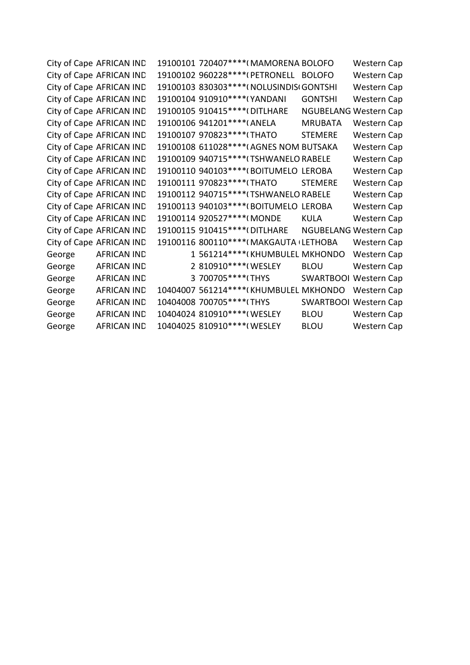City of Cape AFRICAN IND 19100101 720407\*\*\*\*(MAMORENA BOLOFO Western Cap City of Cape AFRICAN IND 19100102 960228\*\*\*\*(PETRONELL BOLOFO Western Cap City of Cape AFRICAN IND 19100103 830303\*\*\*\*(NOLUSINDIS(GONTSHI Western Cap City of Cape AFRICAN IND 19100104 910910\*\*\*\*(YANDANI GONTSHI Western Cap City of Cape AFRICAN IND 19100105 910415\*\*\*\*(DITLHARE NGUBELANG Western Cap City of Cape AFRICAN IND 19100106 941201\*\*\*\*(ANELA MRUBATA Western Cap City of Cape AFRICAN IND 19100107 970823\*\*\*\*(THATO STEMERE Western Cap City of Cape AFRICAN IND 19100108 611028\*\*\*\*(AGNES NOM BUTSAKA Western Cap City of Cape AFRICAN IND 19100109 940715\*\*\*\*(TSHWANELO RABELE Western Cap City of Cape AFRICAN IND 19100110 940103\*\*\*\*(BOITUMELO LEROBA Western Cap City of Cape AFRICAN IND 19100111 970823\*\*\*\*(THATO STEMERE Western Cap City of Cape AFRICAN IND 19100112 940715\*\*\*\*(TSHWANELO RABELE Western Cap City of Cape AFRICAN IND 19100113 940103\*\*\*\*(BOITUMELO LEROBA Western Cap City of Cape AFRICAN IND 19100114 920527\*\*\*\*(MONDE KULA Western Cap City of Cape AFRICAN IND 19100115 910415\*\*\*\*(DITLHARE NGUBELANG Western Cap City of Cape AFRICAN IND 19100116 800110\*\*\*\*(MAKGAUTA (LETHOBA Western Cap George AFRICAN IND 1 561214\*\*\*\*(KHUMBULEL MKHONDO Western Cap George AFRICAN IND 2 810910\*\*\*\*(WESLEY BLOU Western Cap George AFRICAN IND 3 700705\*\*\*\*(THYS SWARTBOOI Western Cap George AFRICAN IND 10404007 561214\*\*\*\*(KHUMBULEL MKHONDO Western Cap George AFRICAN IND 10404008 700705\*\*\*\*(THYS SWARTBOOI Western Cap George AFRICAN IND 10404024 810910\*\*\*\*(WESLEY BLOU Western Cap George AFRICAN IND 10404025 810910\*\*\*\*(WESLEY BLOU Western Cap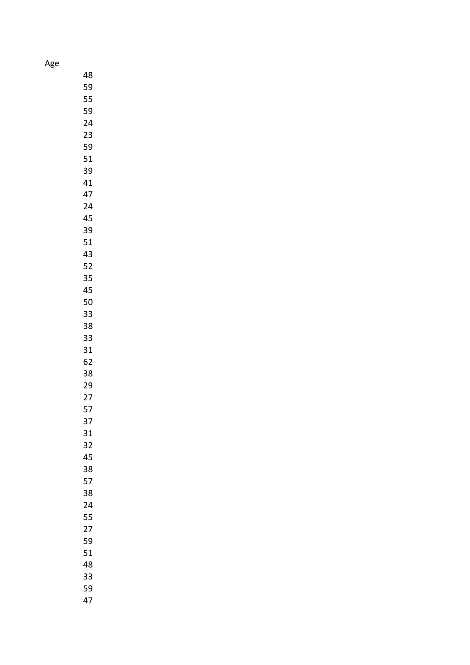Age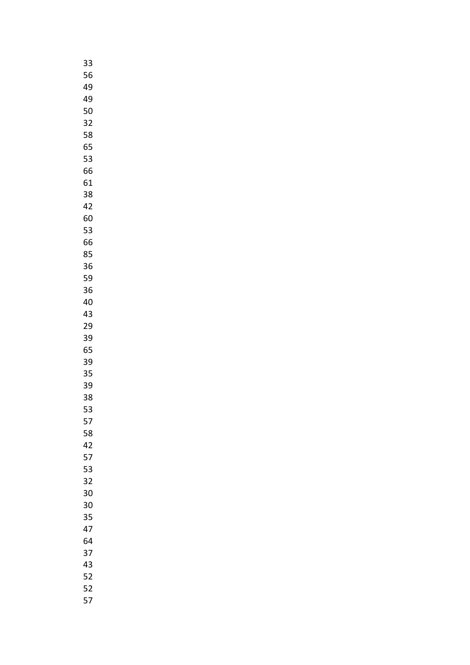| 33 |
|----|
| 56 |
| 49 |
| 49 |
| 50 |
| 32 |
| 58 |
| 65 |
| 53 |
| 66 |
| 61 |
| 38 |
| 42 |
| 60 |
| 53 |
| 66 |
| 85 |
| 36 |
| 59 |
| 36 |
| 40 |
| 43 |
| 29 |
| 39 |
| 65 |
| 39 |
| 35 |
| 39 |
| 38 |
| 53 |
| 57 |
| 58 |
| 42 |
| 57 |
| 53 |
| 32 |
| 30 |
| 30 |
| 35 |
| 47 |
| 64 |
| 37 |
| 43 |
| 52 |
| 52 |
| 57 |
|    |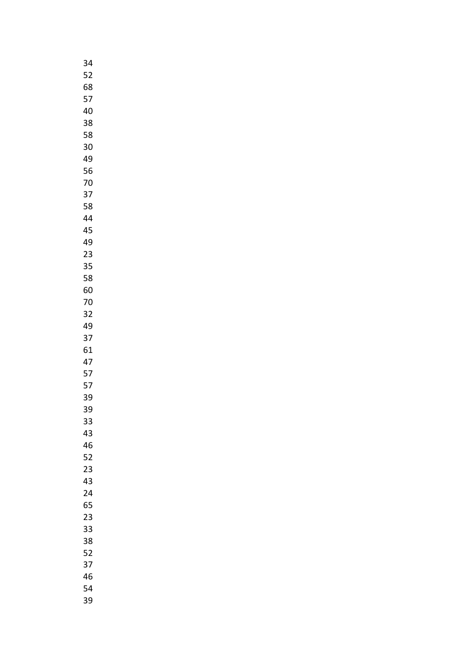| 34 |
|----|
| 52 |
| 68 |
| 57 |
| 40 |
| 38 |
| 58 |
| 30 |
|    |
| 49 |
| 56 |
| 70 |
| 37 |
| 58 |
| 44 |
| 45 |
| 49 |
| 23 |
| 35 |
| 58 |
| 60 |
| 70 |
| 32 |
| 49 |
| 37 |
| 61 |
| 47 |
| 57 |
| 57 |
| 39 |
| 39 |
|    |
| 33 |
| 43 |
| 46 |
| 52 |
| 23 |
| 43 |
| 24 |
| 65 |
| 23 |
| 33 |
| 38 |
| 52 |
| 37 |
| 46 |
| 54 |
| 39 |
|    |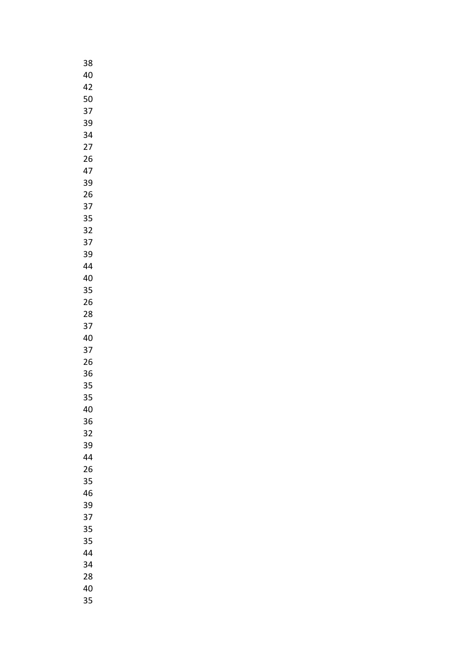| 38 |
|----|
| 40 |
| 42 |
| 50 |
| 37 |
| 39 |
| 34 |
|    |
| 27 |
| 26 |
| 47 |
| 39 |
| 26 |
| 37 |
| 35 |
| 32 |
| 37 |
| 39 |
| 44 |
| 40 |
| 35 |
| 26 |
| 28 |
| 37 |
|    |
| 40 |
| 37 |
| 26 |
| 36 |
| 35 |
| 35 |
| 40 |
| 36 |
| 32 |
| 39 |
| 44 |
| 26 |
| 35 |
| 46 |
| 39 |
| 37 |
| 35 |
| 35 |
| 44 |
| 34 |
| 28 |
|    |
| 40 |
| 35 |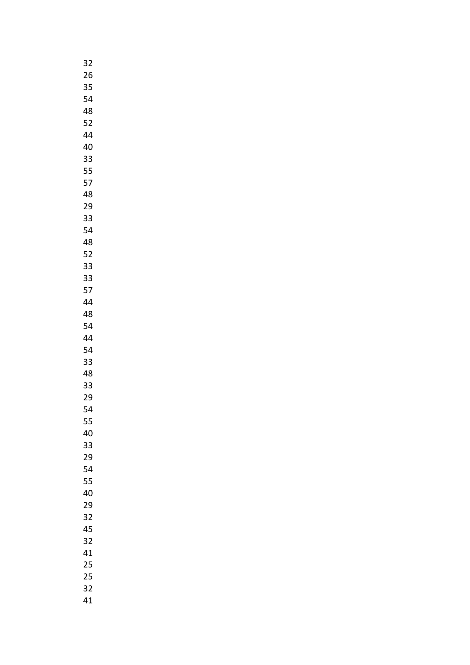| 32 |
|----|
| 26 |
| 35 |
| 54 |
| 48 |
| 52 |
| 44 |
| 40 |
| 33 |
| 55 |
| 57 |
|    |
| 48 |
| 29 |
| 33 |
| 54 |
| 48 |
| 52 |
| 33 |
| 33 |
| 57 |
| 44 |
| 48 |
| 54 |
| 44 |
| 54 |
| 33 |
| 48 |
| 33 |
| 29 |
| 54 |
| 55 |
| 40 |
| 33 |
| 29 |
| 54 |
|    |
| 55 |
| 40 |
| 29 |
| 32 |
| 45 |
| 32 |
| 41 |
| 25 |
| 25 |
| 32 |
| 41 |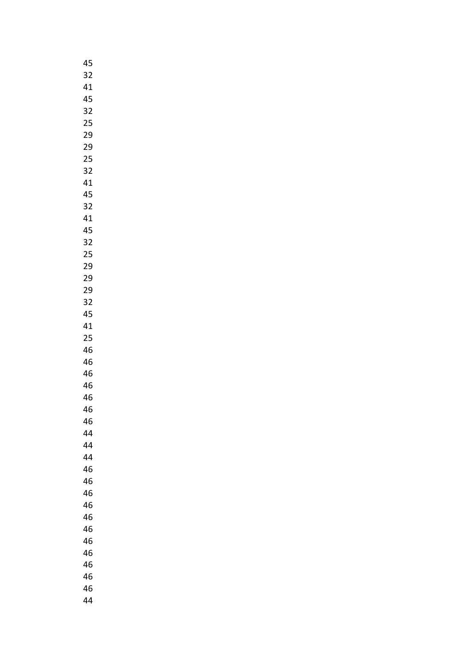| 45 |
|----|
| 32 |
| 41 |
| 45 |
| 32 |
| 25 |
| 29 |
|    |
| 29 |
| 25 |
| 32 |
| 41 |
| 45 |
| 32 |
| 41 |
| 45 |
| 32 |
| 25 |
| 29 |
| 29 |
| 29 |
| 32 |
| 45 |
| 41 |
| 25 |
| 46 |
| 46 |
| 46 |
|    |
| 46 |
| 46 |
| 46 |
| 46 |
| 44 |
| 44 |
| 44 |
| 46 |
| 46 |
| 46 |
| 46 |
| 46 |
| 46 |
| 46 |
| 46 |
| 46 |
| 46 |
| 46 |
| 44 |
|    |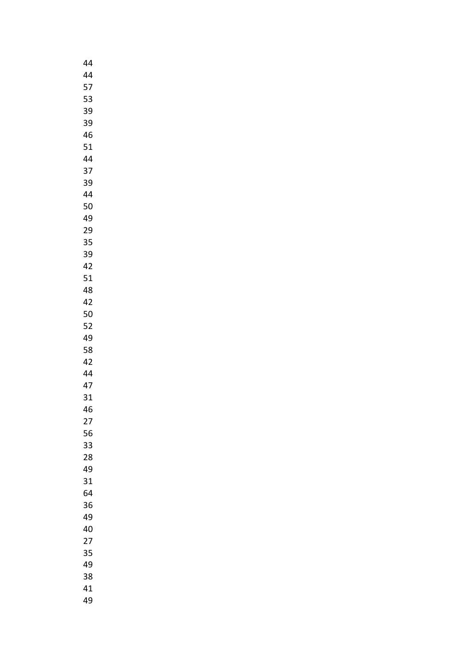| 44 |
|----|
| 44 |
| 57 |
| 53 |
| 39 |
|    |
| 39 |
| 46 |
| 51 |
| 44 |
| 37 |
| 39 |
| 44 |
| 50 |
| 49 |
| 29 |
| 35 |
|    |
| 39 |
| 42 |
| 51 |
| 48 |
| 42 |
| 50 |
| 52 |
| 49 |
| 58 |
| 42 |
| 44 |
|    |
| 47 |
| 31 |
| 46 |
| 27 |
| 56 |
| 33 |
| 28 |
| 49 |
| 31 |
| 64 |
| 36 |
| 49 |
|    |
| 40 |
| 27 |
| 35 |
| 49 |
| 38 |
| 41 |
| 49 |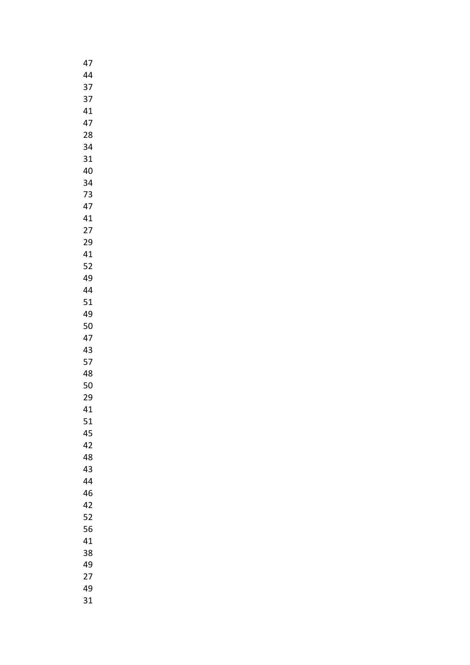| 47 |
|----|
| 44 |
| 37 |
| 37 |
| 41 |
| 47 |
|    |
| 28 |
| 34 |
| 31 |
| 40 |
| 34 |
| 73 |
| 47 |
| 41 |
| 27 |
| 29 |
| 41 |
| 52 |
| 49 |
| 44 |
|    |
| 51 |
| 49 |
| 50 |
| 47 |
| 43 |
| 57 |
| 48 |
| 50 |
| 29 |
| 41 |
| 51 |
| 45 |
| 42 |
| 48 |
| 43 |
| 44 |
| 46 |
|    |
| 42 |
| 52 |
| 56 |
| 41 |
| 38 |
| 49 |
| 27 |
| 49 |
| 31 |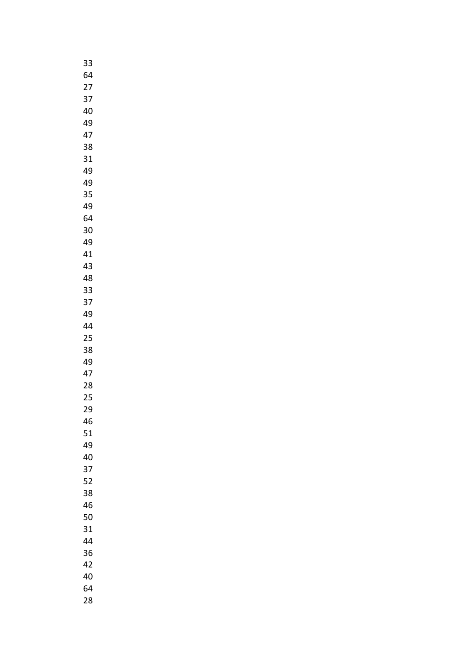| 33 |
|----|
| 64 |
| 27 |
| 37 |
| 40 |
| 49 |
| 47 |
| 38 |
| 31 |
|    |
| 49 |
| 49 |
| 35 |
| 49 |
| 64 |
| 30 |
| 49 |
| 41 |
| 43 |
| 48 |
| 33 |
| 37 |
| 49 |
| 44 |
| 25 |
| 38 |
| 49 |
| 47 |
| 28 |
| 25 |
| 29 |
| 46 |
| 51 |
|    |
| 49 |
| 40 |
| 37 |
| 52 |
| 38 |
| 46 |
| 50 |
| 31 |
| 44 |
| 36 |
| 42 |
| 40 |
| 64 |
| 28 |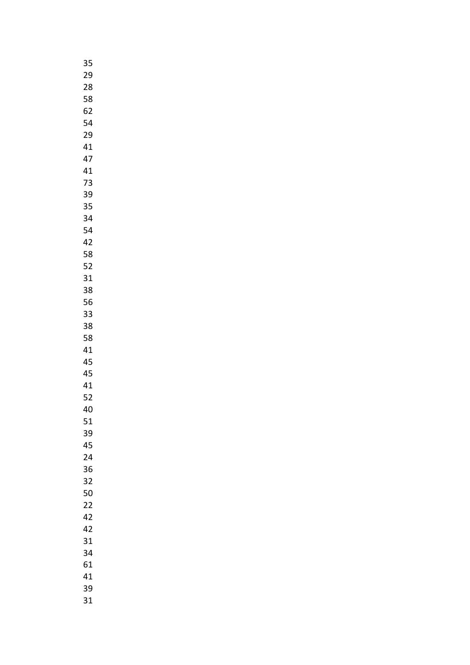| 35 |  |
|----|--|
| 29 |  |
| 28 |  |
| 58 |  |
| 62 |  |
|    |  |
| 54 |  |
| 29 |  |
| 41 |  |
| 47 |  |
| 41 |  |
| 73 |  |
| 39 |  |
| 35 |  |
| 34 |  |
| 54 |  |
| 42 |  |
|    |  |
| 58 |  |
| 52 |  |
| 31 |  |
| 38 |  |
| 56 |  |
| 33 |  |
| 38 |  |
| 58 |  |
| 41 |  |
| 45 |  |
| 45 |  |
| 41 |  |
|    |  |
| 52 |  |
| 40 |  |
| 51 |  |
| 39 |  |
| 45 |  |
| 24 |  |
| 36 |  |
| 32 |  |
| 50 |  |
| 22 |  |
| 42 |  |
| 42 |  |
| 31 |  |
|    |  |
| 34 |  |
| 61 |  |
| 41 |  |
| 39 |  |
| 31 |  |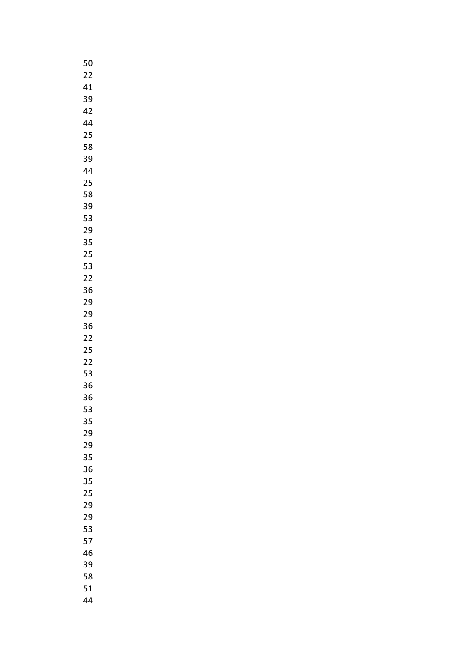| 50 |
|----|
| 22 |
| 41 |
| 39 |
| 42 |
| 44 |
| 25 |
| 58 |
| 39 |
|    |
| 44 |
| 25 |
| 58 |
| 39 |
| 53 |
| 29 |
| 35 |
| 25 |
| 53 |
| 22 |
| 36 |
| 29 |
| 29 |
| 36 |
| 22 |
| 25 |
| 22 |
| 53 |
| 36 |
| 36 |
|    |
| 53 |
| 35 |
| 29 |
| 29 |
| 35 |
| 36 |
| 35 |
| 25 |
| 29 |
| 29 |
| 53 |
| 57 |
| 46 |
| 39 |
| 58 |
| 51 |
| 44 |
|    |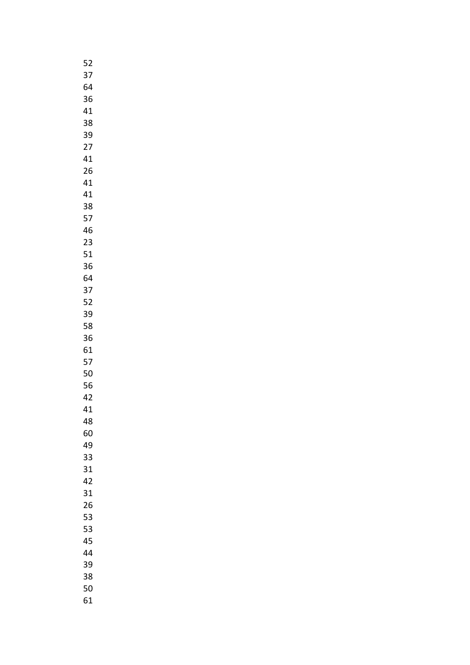| 52 |  |
|----|--|
| 37 |  |
| 64 |  |
| 36 |  |
| 41 |  |
|    |  |
| 38 |  |
| 39 |  |
| 27 |  |
| 41 |  |
| 26 |  |
| 41 |  |
| 41 |  |
| 38 |  |
| 57 |  |
| 46 |  |
| 23 |  |
| 51 |  |
| 36 |  |
| 64 |  |
| 37 |  |
|    |  |
| 52 |  |
| 39 |  |
| 58 |  |
| 36 |  |
| 61 |  |
| 57 |  |
| 50 |  |
| 56 |  |
| 42 |  |
| 41 |  |
| 48 |  |
| 60 |  |
| 49 |  |
| 33 |  |
| 31 |  |
|    |  |
| 42 |  |
| 31 |  |
| 26 |  |
| 53 |  |
| 53 |  |
| 45 |  |
| 44 |  |
| 39 |  |
| 38 |  |
| 50 |  |
| 61 |  |
|    |  |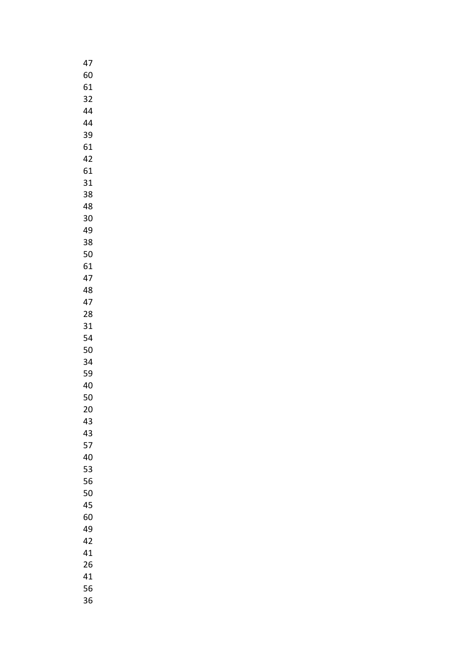| 47 |
|----|
| 60 |
| 61 |
| 32 |
| 44 |
| 44 |
| 39 |
|    |
| 61 |
| 42 |
| 61 |
| 31 |
| 38 |
| 48 |
| 30 |
| 49 |
| 38 |
| 50 |
| 61 |
| 47 |
| 48 |
| 47 |
| 28 |
| 31 |
|    |
| 54 |
| 50 |
| 34 |
| 59 |
| 40 |
| 50 |
| 20 |
| 43 |
| 43 |
| 57 |
| 40 |
| 53 |
| 56 |
| 50 |
| 45 |
| 60 |
| 49 |
| 42 |
| 41 |
| 26 |
| 41 |
|    |
| 56 |
| 36 |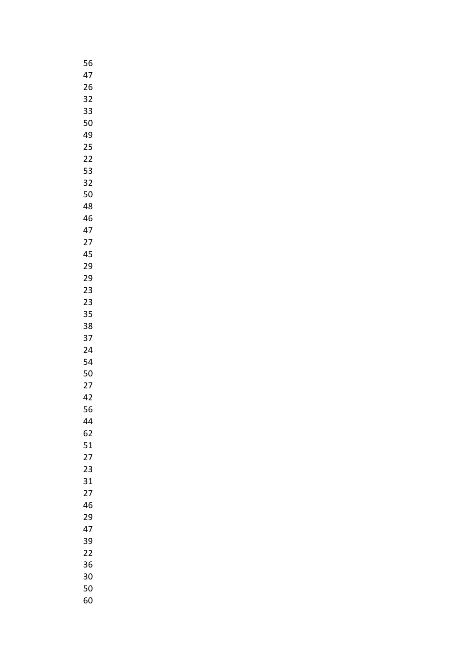| 56 |
|----|
| 47 |
| 26 |
| 32 |
| 33 |
| 50 |
| 49 |
| 25 |
|    |
| 22 |
| 53 |
| 32 |
| 50 |
| 48 |
| 46 |
| 47 |
| 27 |
| 45 |
| 29 |
| 29 |
| 23 |
| 23 |
| 35 |
| 38 |
| 37 |
|    |
| 24 |
| 54 |
| 50 |
| 27 |
| 42 |
| 56 |
| 44 |
| 62 |
| 51 |
| 27 |
| 23 |
| 31 |
| 27 |
| 46 |
| 29 |
| 47 |
| 39 |
| 22 |
| 36 |
|    |
| 30 |
| 50 |
| 60 |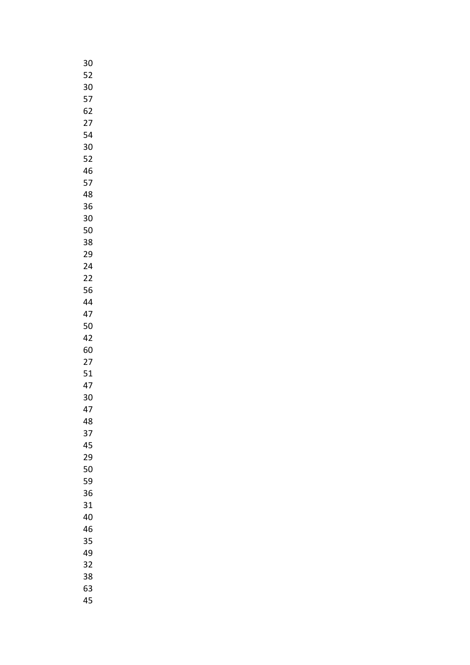| 30              |  |
|-----------------|--|
| 52              |  |
| 30              |  |
| 57              |  |
| 62              |  |
| $\overline{27}$ |  |
| 54              |  |
|                 |  |
| 30              |  |
| 52              |  |
| 46              |  |
| 57              |  |
| 48              |  |
| 36              |  |
| 30              |  |
| 50              |  |
| 38              |  |
| 29              |  |
| 24              |  |
| 22              |  |
| 56              |  |
|                 |  |
| 44              |  |
| 47              |  |
| 50              |  |
| 42              |  |
| 60              |  |
| 27              |  |
| 51              |  |
| 47              |  |
| 30              |  |
| 47              |  |
| 48              |  |
| 37              |  |
| 45              |  |
| 29              |  |
| 50              |  |
| 59              |  |
|                 |  |
| 36              |  |
| 31              |  |
| 40              |  |
| 46              |  |
| 35              |  |
| 49              |  |
| 32              |  |
| 38              |  |
| 63              |  |
| 45              |  |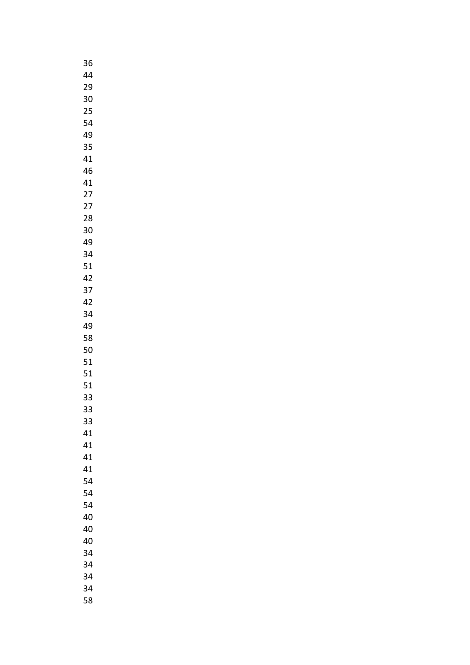| 36 |  |
|----|--|
| 44 |  |
| 29 |  |
| 30 |  |
| 25 |  |
|    |  |
| 54 |  |
| 49 |  |
| 35 |  |
| 41 |  |
| 46 |  |
| 41 |  |
| 27 |  |
| 27 |  |
| 28 |  |
| 30 |  |
| 49 |  |
| 34 |  |
| 51 |  |
|    |  |
| 42 |  |
| 37 |  |
| 42 |  |
| 34 |  |
| 49 |  |
| 58 |  |
| 50 |  |
| 51 |  |
| 51 |  |
| 51 |  |
| 33 |  |
| 33 |  |
| 33 |  |
|    |  |
| 41 |  |
| 41 |  |
| 41 |  |
| 41 |  |
| 54 |  |
| 54 |  |
| 54 |  |
| 40 |  |
| 40 |  |
| 40 |  |
| 34 |  |
| 34 |  |
| 34 |  |
| 34 |  |
| 58 |  |
|    |  |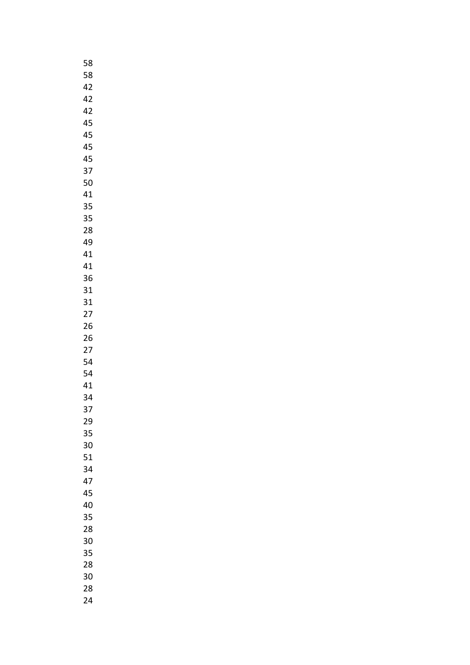| 58 |
|----|
| 58 |
| 42 |
| 42 |
| 42 |
| 45 |
| 45 |
| 45 |
| 45 |
| 37 |
|    |
| 50 |
| 41 |
| 35 |
| 35 |
| 28 |
| 49 |
| 41 |
| 41 |
| 36 |
| 31 |
| 31 |
| 27 |
| 26 |
| 26 |
| 27 |
| 54 |
| 54 |
|    |
| 41 |
| 34 |
| 37 |
| 29 |
| 35 |
| 30 |
| 51 |
| 34 |
| 47 |
| 45 |
| 40 |
| 35 |
| 28 |
| 30 |
| 35 |
| 28 |
| 30 |
| 28 |
|    |
| 24 |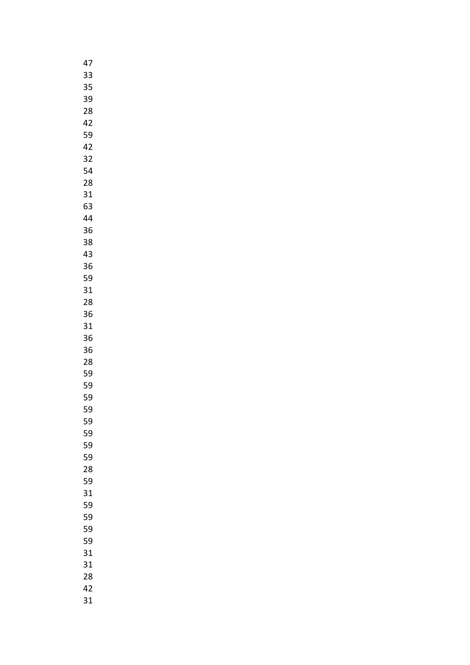| 47 |
|----|
| 33 |
| 35 |
| 39 |
| 28 |
| 42 |
| 59 |
| 42 |
|    |
| 32 |
| 54 |
| 28 |
| 31 |
| 63 |
| 44 |
| 36 |
| 38 |
| 43 |
| 36 |
| 59 |
| 31 |
| 28 |
| 36 |
| 31 |
| 36 |
|    |
| 36 |
| 28 |
| 59 |
| 59 |
| 59 |
| 59 |
| 59 |
| 59 |
| 59 |
| 59 |
| 28 |
| 59 |
| 31 |
| 59 |
| 59 |
| 59 |
| 59 |
|    |
| 31 |
| 31 |
| 28 |
| 42 |
| 31 |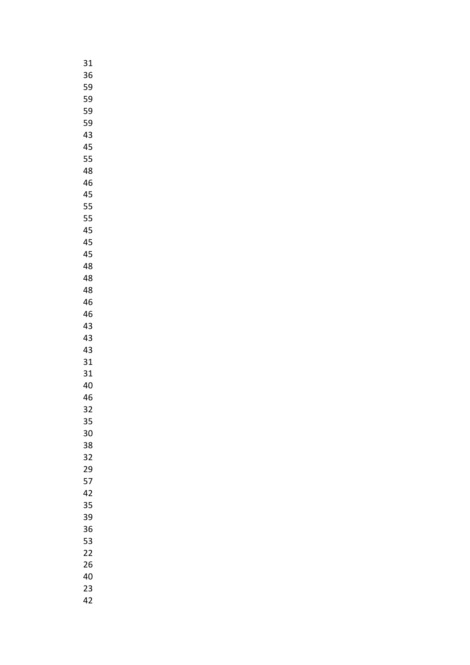| 31 |  |
|----|--|
| 36 |  |
| 59 |  |
| 59 |  |
| 59 |  |
| 59 |  |
| 43 |  |
| 45 |  |
| 55 |  |
| 48 |  |
|    |  |
| 46 |  |
| 45 |  |
| 55 |  |
| 55 |  |
| 45 |  |
| 45 |  |
| 45 |  |
| 48 |  |
| 48 |  |
| 48 |  |
| 46 |  |
| 46 |  |
| 43 |  |
| 43 |  |
| 43 |  |
| 31 |  |
| 31 |  |
| 40 |  |
| 46 |  |
| 32 |  |
| 35 |  |
| 30 |  |
| 38 |  |
| 32 |  |
| 29 |  |
|    |  |
| 57 |  |
| 42 |  |
| 35 |  |
| 39 |  |
| 36 |  |
| 53 |  |
| 22 |  |
| 26 |  |
| 40 |  |
| 23 |  |
| 42 |  |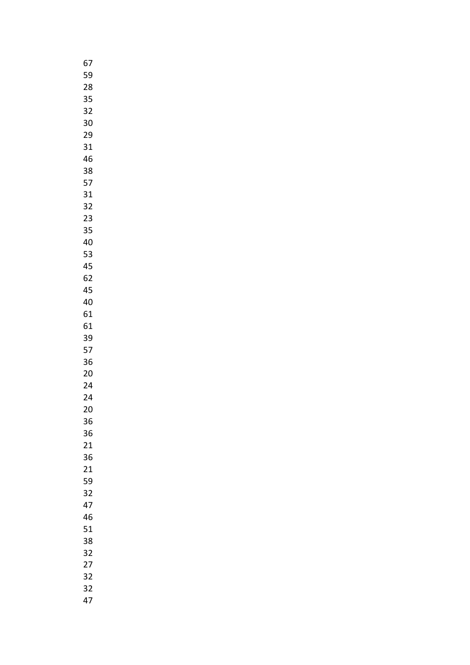| 67 |  |
|----|--|
| 59 |  |
| 28 |  |
| 35 |  |
| 32 |  |
|    |  |
| 30 |  |
| 29 |  |
| 31 |  |
| 46 |  |
| 38 |  |
| 57 |  |
| 31 |  |
| 32 |  |
| 23 |  |
| 35 |  |
|    |  |
| 40 |  |
| 53 |  |
| 45 |  |
| 62 |  |
| 45 |  |
| 40 |  |
| 61 |  |
| 61 |  |
| 39 |  |
| 57 |  |
| 36 |  |
| 20 |  |
|    |  |
| 24 |  |
| 24 |  |
| 20 |  |
| 36 |  |
| 36 |  |
| 21 |  |
| 36 |  |
| 21 |  |
| 59 |  |
| 32 |  |
| 47 |  |
|    |  |
| 46 |  |
| 51 |  |
| 38 |  |
| 32 |  |
| 27 |  |
| 32 |  |
| 32 |  |
| 47 |  |
|    |  |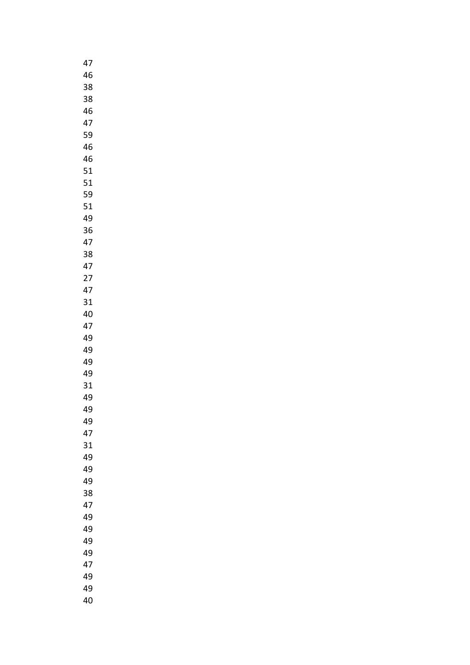| 47 |
|----|
| 46 |
| 38 |
| 38 |
| 46 |
| 47 |
| 59 |
| 46 |
| 46 |
| 51 |
|    |
| 51 |
| 59 |
| 51 |
| 49 |
| 36 |
| 47 |
| 38 |
| 47 |
| 27 |
| 47 |
| 31 |
| 40 |
| 47 |
| 49 |
| 49 |
| 49 |
| 49 |
| 31 |
| 49 |
| 49 |
| 49 |
| 47 |
| 31 |
| 49 |
|    |
| 49 |
| 49 |
| 38 |
| 47 |
| 49 |
| 49 |
| 49 |
| 49 |
| 47 |
| 49 |
| 49 |
| 40 |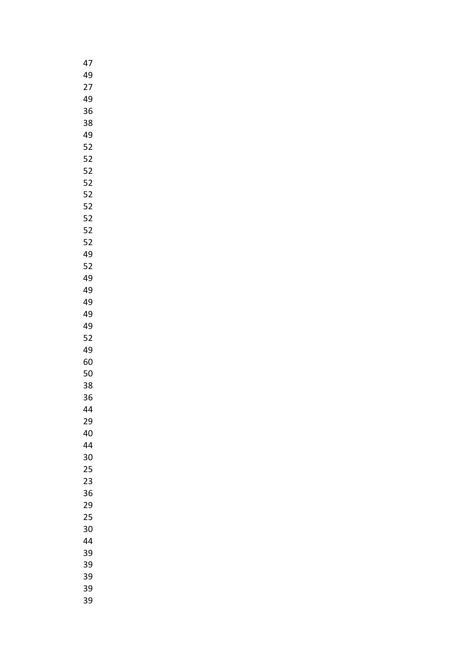| 47 |
|----|
| 49 |
| 27 |
| 49 |
| 36 |
| 38 |
| 49 |
| 52 |
|    |
| 52 |
| 52 |
| 52 |
| 52 |
| 52 |
| 52 |
| 52 |
| 52 |
| 49 |
| 52 |
| 49 |
| 49 |
| 49 |
| 49 |
| 49 |
| 52 |
| 49 |
| 60 |
| 50 |
|    |
| 38 |
| 36 |
| 44 |
| 29 |
| 40 |
| 44 |
| 30 |
| 25 |
| 23 |
| 36 |
| 29 |
| 25 |
| 30 |
| 44 |
| 39 |
| 39 |
| 39 |
| 39 |
| 39 |
|    |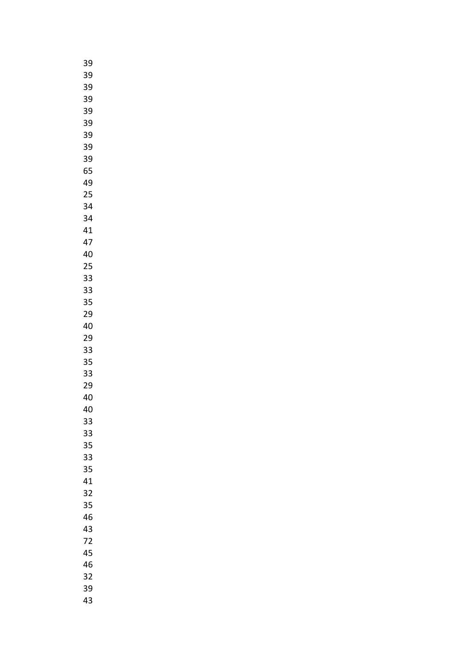| 39 |
|----|
| 39 |
| 39 |
| 39 |
| 39 |
| 39 |
| 39 |
| 39 |
|    |
| 39 |
| 65 |
| 49 |
| 25 |
| 34 |
| 34 |
| 41 |
| 47 |
| 40 |
| 25 |
| 33 |
| 33 |
| 35 |
| 29 |
| 40 |
| 29 |
|    |
| 33 |
| 35 |
| 33 |
| 29 |
| 40 |
| 40 |
| 33 |
| 33 |
| 35 |
| 33 |
| 35 |
| 41 |
| 32 |
| 35 |
| 46 |
| 43 |
| 72 |
| 45 |
| 46 |
| 32 |
| 39 |
| 43 |
|    |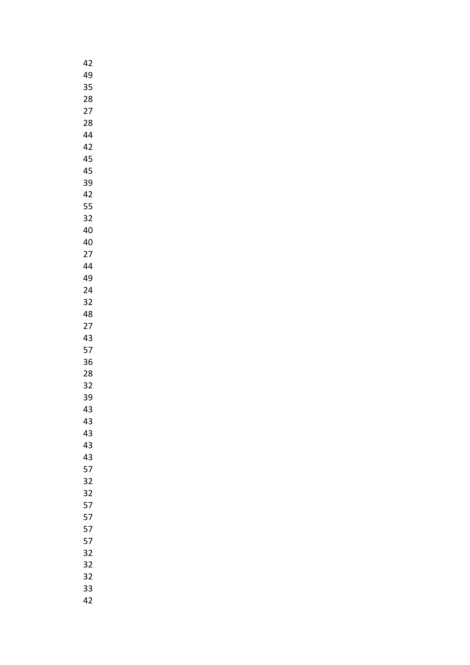| 42 |  |
|----|--|
| 49 |  |
| 35 |  |
| 28 |  |
| 27 |  |
|    |  |
| 28 |  |
| 44 |  |
| 42 |  |
| 45 |  |
| 45 |  |
| 39 |  |
| 42 |  |
| 55 |  |
| 32 |  |
| 40 |  |
| 40 |  |
|    |  |
| 27 |  |
| 44 |  |
| 49 |  |
| 24 |  |
| 32 |  |
| 48 |  |
| 27 |  |
| 43 |  |
| 57 |  |
| 36 |  |
| 28 |  |
| 32 |  |
|    |  |
| 39 |  |
| 43 |  |
| 43 |  |
| 43 |  |
| 43 |  |
| 43 |  |
| 57 |  |
| 32 |  |
| 32 |  |
| 57 |  |
| 57 |  |
|    |  |
| 57 |  |
| 57 |  |
| 32 |  |
| 32 |  |
| 32 |  |
| 33 |  |
| 42 |  |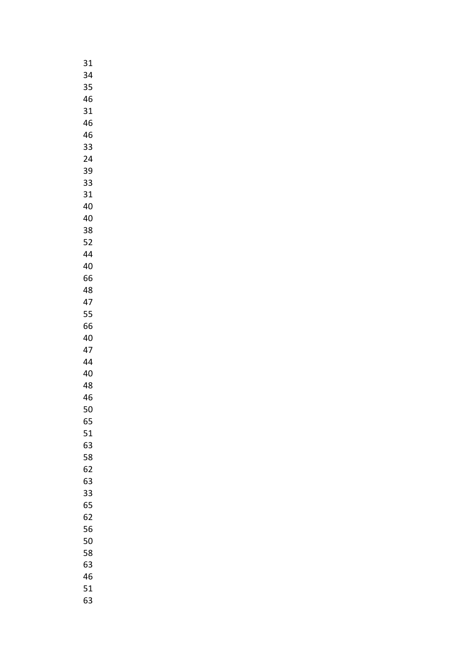| 31 |  |
|----|--|
| 34 |  |
| 35 |  |
| 46 |  |
| 31 |  |
| 46 |  |
| 46 |  |
| 33 |  |
|    |  |
| 24 |  |
| 39 |  |
| 33 |  |
| 31 |  |
| 40 |  |
| 40 |  |
| 38 |  |
| 52 |  |
| 44 |  |
| 40 |  |
| 66 |  |
| 48 |  |
| 47 |  |
| 55 |  |
| 66 |  |
| 40 |  |
| 47 |  |
| 44 |  |
| 40 |  |
| 48 |  |
| 46 |  |
| 50 |  |
|    |  |
| 65 |  |
| 51 |  |
| 63 |  |
| 58 |  |
| 62 |  |
| 63 |  |
| 33 |  |
| 65 |  |
| 62 |  |
| 56 |  |
| 50 |  |
| 58 |  |
| 63 |  |
| 46 |  |
| 51 |  |
| 63 |  |
|    |  |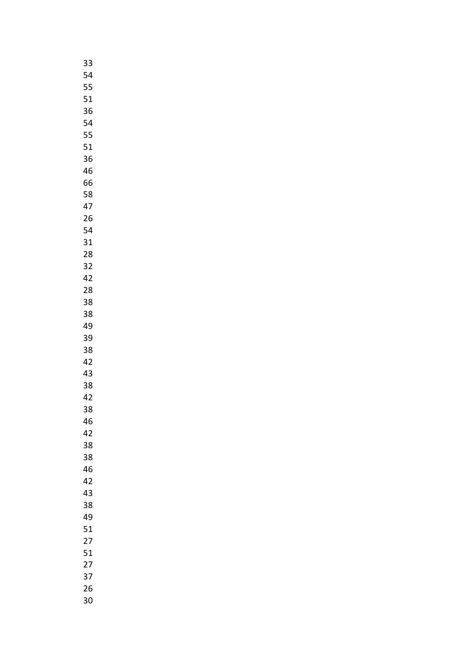| 33              |
|-----------------|
| 54              |
| 55              |
| 51              |
| 36              |
| 54              |
| 55              |
|                 |
| 51              |
| 36              |
| 46              |
| 66              |
| 58              |
| 47              |
| 26              |
| 54              |
| 31              |
| 28              |
| 32              |
| 42              |
| 28              |
| 38              |
| 38              |
| 49              |
| 39              |
| 38              |
| 42              |
| 43              |
| 38              |
| 42              |
| 38              |
|                 |
| 46              |
| 42              |
| 38              |
| 38              |
| 46              |
| 42              |
| 43              |
| 38              |
| 49              |
| 51              |
| 27              |
| 51              |
| $\overline{27}$ |
| 37              |
| 26              |
| 30              |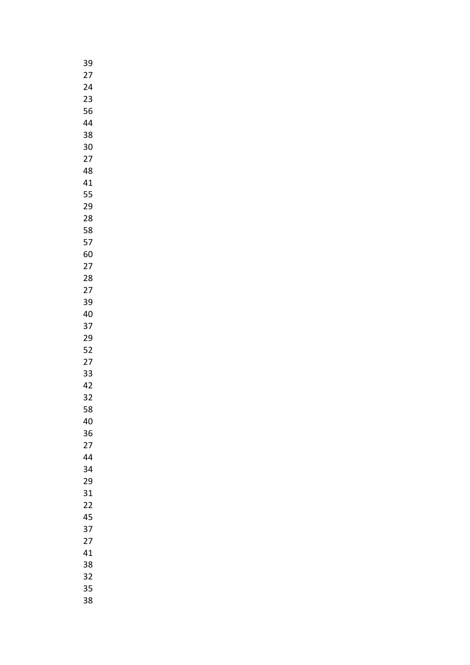| 39              |  |
|-----------------|--|
| 27              |  |
| 24              |  |
| 23              |  |
| 56              |  |
|                 |  |
| 44              |  |
| 38              |  |
| 30              |  |
| 27              |  |
| 48              |  |
| 41              |  |
| 55              |  |
| 29              |  |
| 28              |  |
| 58              |  |
|                 |  |
| 57              |  |
| 60              |  |
| 27              |  |
| 28              |  |
| $\overline{27}$ |  |
| 39              |  |
| 40              |  |
| 37              |  |
| 29              |  |
| 52              |  |
| $\overline{27}$ |  |
|                 |  |
| 33              |  |
| 42              |  |
| 32              |  |
| 58              |  |
| 40              |  |
| 36              |  |
| 27              |  |
| 44              |  |
| 34              |  |
| 29              |  |
| 31              |  |
| 22              |  |
|                 |  |
| 45              |  |
| 37              |  |
| 27              |  |
| 41              |  |
| 38              |  |
| 32              |  |
| 35              |  |
| 38              |  |
|                 |  |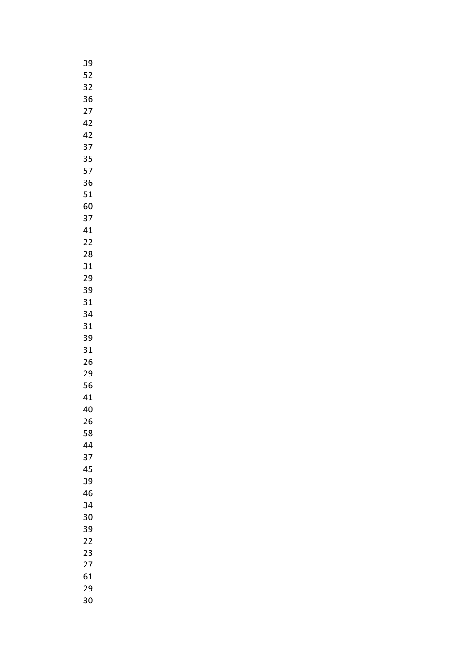| 39 |
|----|
| 52 |
| 32 |
| 36 |
| 27 |
| 42 |
|    |
| 42 |
| 37 |
| 35 |
| 57 |
| 36 |
| 51 |
| 60 |
| 37 |
| 41 |
| 22 |
| 28 |
| 31 |
| 29 |
| 39 |
| 31 |
| 34 |
| 31 |
| 39 |
|    |
| 31 |
| 26 |
| 29 |
| 56 |
| 41 |
| 40 |
| 26 |
| 58 |
| 44 |
| 37 |
| 45 |
| 39 |
| 46 |
| 34 |
| 30 |
| 39 |
| 22 |
| 23 |
| 27 |
| 61 |
| 29 |
| 30 |
|    |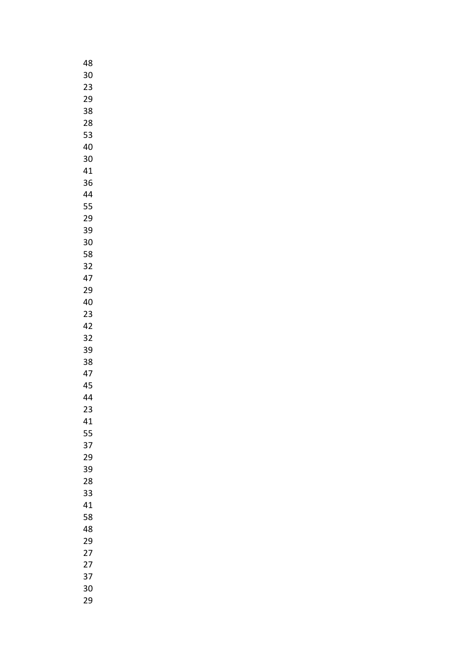| 48              |
|-----------------|
| 30              |
| 23              |
| 29              |
| 38              |
|                 |
| 28              |
| 53              |
| 40              |
| 30              |
| 41              |
| 36              |
| 44              |
| 55              |
| 29              |
| 39              |
| 30              |
|                 |
| 58              |
| 32              |
| 47              |
| 29              |
| 40              |
| 23              |
| 42              |
| 32              |
| 39              |
| 38              |
| 47              |
| 45              |
| 44              |
|                 |
| 23              |
| 41              |
| 55              |
| 37              |
| 29              |
| 39              |
| 28              |
| 33              |
| 41              |
| 58              |
| 48              |
| 29              |
| 27              |
| $\overline{27}$ |
| 37              |
|                 |
| 30              |
| 29              |